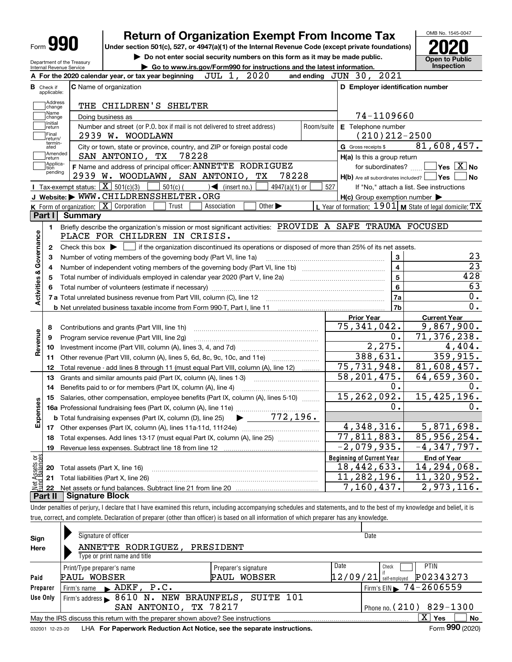| Form |  |
|------|--|
|      |  |

# **Return of Organization Exempt From Income Tax**

**Under section 501(c), 527, or 4947(a)(1) of the Internal Revenue Code (except private foundations) 2020**

**| Do not enter social security numbers on this form as it may be made public.**



| Department of the Treasury<br>Internal Revenue Service                                                                                              | Inspection<br>Go to www.irs.gov/Form990 for instructions and the latest information.     |
|-----------------------------------------------------------------------------------------------------------------------------------------------------|------------------------------------------------------------------------------------------|
| JUL 1, 2020<br>A For the 2020 calendar year, or tax year beginning                                                                                  | and ending JUN 30, 2021                                                                  |
| C Name of organization<br><b>B</b> Check if<br>applicable:                                                                                          | D Employer identification number                                                         |
| Address<br>THE CHILDREN'S SHELTER<br>change                                                                                                         |                                                                                          |
| Name<br>Doing business as<br>change                                                                                                                 | 74-1109660                                                                               |
| Initial<br>Number and street (or P.O. box if mail is not delivered to street address)<br>return                                                     | E Telephone number<br>Room/suite                                                         |
| Final<br>2939 W. WOODLAWN<br>return/                                                                                                                | $(210)212 - 2500$                                                                        |
| termin-<br>City or town, state or province, country, and ZIP or foreign postal code<br>ated                                                         | 81,608,457.<br>G Gross receipts \$                                                       |
| ]Amended<br>]return<br>78228<br>SAN ANTONIO, TX                                                                                                     | H(a) Is this a group return                                                              |
| Applica-<br>tion<br>F Name and address of principal officer: ANNETTE RODRIGUEZ<br>pending                                                           | for subordinates? $\Box$ Yes $\boxed{X}$ No                                              |
| 2939 W. WOODLAWN, SAN ANTONIO, TX                                                                                                                   | 78228<br>$H(b)$ Are all subordinates included? $\Box$ Yes  <br>∣No                       |
| Tax-exempt status: $\boxed{\mathbf{X}}$ 501(c)(3) $\boxed{\phantom{0}}$ 501(c)( $\phantom{0}$ ) (insert no.)                                        | $4947(a)(1)$ or<br>527<br>If "No," attach a list. See instructions                       |
| J Website: WWW.CHILDRENSSHELTER.ORG                                                                                                                 | $H(c)$ Group exemption number $\blacktriangleright$                                      |
| K Form of organization: X Corporation<br>Trust<br>Association                                                                                       | L Year of formation: $1901$ M State of legal domicile: TX<br>Other $\blacktriangleright$ |
| Part I<br><b>Summary</b>                                                                                                                            |                                                                                          |
| Briefly describe the organization's mission or most significant activities: PROVIDE A SAFE TRAUMA FOCUSED<br>1.                                     |                                                                                          |
| PLACE FOR CHILDREN IN CRISIS.                                                                                                                       |                                                                                          |
| Check this box $\triangleright$ $\blacksquare$ if the organization discontinued its operations or disposed of more than 25% of its net assets.<br>2 |                                                                                          |
| з                                                                                                                                                   | 23<br>3                                                                                  |
| 4                                                                                                                                                   | $\overline{23}$<br>$\overline{\mathbf{4}}$                                               |
| 5                                                                                                                                                   | $\overline{5}$<br>428                                                                    |
|                                                                                                                                                     | 63<br>6                                                                                  |
|                                                                                                                                                     | 0.<br>7a                                                                                 |
|                                                                                                                                                     | 0.<br>7b                                                                                 |
|                                                                                                                                                     | <b>Prior Year</b><br><b>Current Year</b>                                                 |
| 8                                                                                                                                                   | 75,341,042.<br>9,867,900.                                                                |
| Program service revenue (Part VIII, line 2g)<br>9                                                                                                   | 71,376,238.<br>0.                                                                        |
| Revenue<br>10                                                                                                                                       | 2,275.<br>4,404.                                                                         |
| Other revenue (Part VIII, column (A), lines 5, 6d, 8c, 9c, 10c, and 11e)<br>11                                                                      | 388,631.<br>359,915.                                                                     |
| Total revenue - add lines 8 through 11 (must equal Part VIII, column (A), line 12)<br>12                                                            | 75, 731, 948.<br>81,608,457.                                                             |
| 13<br>Grants and similar amounts paid (Part IX, column (A), lines 1-3) <i>manoronononononon</i>                                                     | 58, 201, 475.<br>64,659,360.                                                             |
| 14                                                                                                                                                  | 0.<br>ο.                                                                                 |
| Salaries, other compensation, employee benefits (Part IX, column (A), lines 5-10)<br>15                                                             | 15, 262, 092.<br>15,425,196.                                                             |
| Expenses                                                                                                                                            | 0.<br>0.                                                                                 |
| <b>b</b> Total fundraising expenses (Part IX, column (D), line 25) $\rightarrow$ 772, 196.                                                          |                                                                                          |
|                                                                                                                                                     | 4,348,316.<br>5,871,698.                                                                 |
| Total expenses. Add lines 13-17 (must equal Part IX, column (A), line 25) [<br>18                                                                   | 77,811,883.<br>85,956,254.                                                               |
| Revenue less expenses. Subtract line 18 from line 12<br>19                                                                                          | $-2,079,935$ .<br>$-4,347,797.$                                                          |
|                                                                                                                                                     | <b>Beginning of Current Year</b><br><b>End of Year</b>                                   |
| Net Assets or<br>Fund Balances<br>Total assets (Part X, line 16)<br>20                                                                              | 18,442,633.<br>14, 294, 068.                                                             |
| Total liabilities (Part X, line 26)<br>21                                                                                                           | 11,282,196.<br>11,320,952.                                                               |
|                                                                                                                                                     | 7,160,437.<br>2,973,116.                                                                 |

Under penalties of perjury, I declare that I have examined this return, including accompanying schedules and statements, and to the best of my knowledge and belief, it is true, correct, and complete. Declaration of preparer (other than officer) is based on all information of which preparer has any knowledge.

| Sign            | Signature of officer                                                            |                      | Date                                         |  |  |  |  |  |  |  |  |
|-----------------|---------------------------------------------------------------------------------|----------------------|----------------------------------------------|--|--|--|--|--|--|--|--|
| Here            | ANNETTE RODRIGUEZ,<br>PRESIDENT                                                 |                      |                                              |  |  |  |  |  |  |  |  |
|                 | Type or print name and title                                                    |                      |                                              |  |  |  |  |  |  |  |  |
|                 | Print/Type preparer's name                                                      | Preparer's signature | Date<br><b>PTIN</b><br>Check                 |  |  |  |  |  |  |  |  |
| Paid            | PAUL WOBSER                                                                     | PAUL WOBSER          | P02343273<br> 12/09/21 <br>self-emploved     |  |  |  |  |  |  |  |  |
| Preparer        | Firm's name $\blacktriangleright$ ADKF, $P.C.$                                  |                      | $\frac{1}{2}$ Firm's EIN $\geq 74 - 2606559$ |  |  |  |  |  |  |  |  |
| Use Only        | Firm's address > 8610 N. NEW BRAUNFELS, SUITE 101                               |                      |                                              |  |  |  |  |  |  |  |  |
|                 | SAN ANTONIO, TX 78217<br>Phone no. $(210)$ 829-1300                             |                      |                                              |  |  |  |  |  |  |  |  |
|                 | May the IRS discuss this return with the preparer shown above? See instructions |                      | x<br>No<br>Yes                               |  |  |  |  |  |  |  |  |
| 032001 12-23-20 | LHA For Paperwork Reduction Act Notice, see the separate instructions.          |                      | Form 990 (2020)                              |  |  |  |  |  |  |  |  |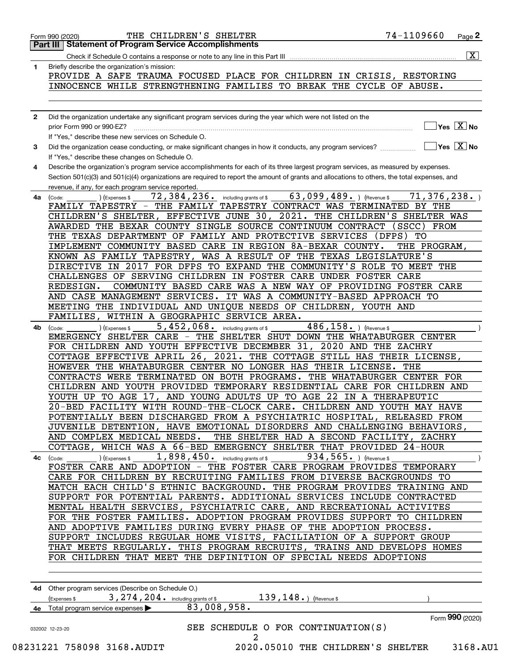|              | 74-1109660<br>THE CHILDREN'S SHELTER<br>Page 2<br>Form 990 (2020)                                                                                                    |
|--------------|----------------------------------------------------------------------------------------------------------------------------------------------------------------------|
|              | <b>Part III   Statement of Program Service Accomplishments</b>                                                                                                       |
|              | $\overline{\mathbf{x}}$                                                                                                                                              |
| 1            | Briefly describe the organization's mission:                                                                                                                         |
|              | PROVIDE A SAFE TRAUMA FOCUSED PLACE FOR CHILDREN IN CRISIS, RESTORING                                                                                                |
|              | INNOCENCE WHILE STRENGTHENING FAMILIES TO BREAK THE CYCLE OF ABUSE.                                                                                                  |
|              |                                                                                                                                                                      |
|              |                                                                                                                                                                      |
| $\mathbf{2}$ | Did the organization undertake any significant program services during the year which were not listed on the                                                         |
|              | $\overline{\ }$ Yes $\overline{\phantom{X}}$ No<br>prior Form 990 or 990-EZ?                                                                                         |
|              | If "Yes," describe these new services on Schedule O.                                                                                                                 |
| 3            | $\overline{\mathsf{Yes}}$ $\overline{\mathsf{X}}$ No<br>Did the organization cease conducting, or make significant changes in how it conducts, any program services? |
|              | If "Yes," describe these changes on Schedule O.                                                                                                                      |
| 4            | Describe the organization's program service accomplishments for each of its three largest program services, as measured by expenses.                                 |
|              | Section 501(c)(3) and 501(c)(4) organizations are required to report the amount of grants and allocations to others, the total expenses, and                         |
|              | revenue, if any, for each program service reported.                                                                                                                  |
| 4a           | 63,099,489. ) (Revenue \$<br>72,384,236.<br>71,376,238.<br>including grants of \$<br>(Code:<br>(Expenses \$                                                          |
|              | THE FAMILY TAPESTRY CONTRACT WAS TERMINATED BY THE<br>FAMILY TAPESTRY -                                                                                              |
|              | CHILDREN'S SHELTER, EFFECTIVE JUNE 30, 2021. THE CHILDREN'S SHELTER WAS                                                                                              |
|              | AWARDED THE BEXAR COUNTY SINGLE SOURCE CONTINUUM CONTRACT<br>(SSCC)<br>FROM                                                                                          |
|              | THE TEXAS DEPARTMENT OF FAMILY AND PROTECTIVE SERVICES<br>(DFFS)<br>TО                                                                                               |
|              | IMPLEMENT COMMUNITY BASED CARE IN REGION 8A-BEXAR COUNTY.                                                                                                            |
|              | THE PROGRAM,                                                                                                                                                         |
|              | KNOWN AS FAMILY TAPESTRY,<br>WAS A RESULT OF THE TEXAS LEGISLATURE'S                                                                                                 |
|              | DIRECTIVE IN 2017 FOR DFPS TO EXPAND THE COMMUNITY'S ROLE TO MEET THE                                                                                                |
|              | CHALLENGES OF SERVING CHILDREN IN FOSTER CARE UNDER FOSTER CARE                                                                                                      |
|              | COMMUNITY BASED CARE WAS A NEW WAY OF PROVIDING FOSTER CARE<br>REDESIGN.                                                                                             |
|              | AND CASE MANAGEMENT SERVICES. IT WAS A COMMUNITY-BASED APPROACH TO                                                                                                   |
|              | MEETING THE INDIVIDUAL AND UNIQUE NEEDS OF CHILDREN, YOUTH AND                                                                                                       |
|              | WITHIN A GEOGRAPHIC SERVICE AREA.<br>FAMILIES.                                                                                                                       |
| 4b           | 5,452,068.<br>486, 158. ) (Revenue \$<br>including grants of \$<br>(Code:<br>(Expenses \$                                                                            |
|              | EMERGENCY SHELTER CARE - THE SHELTER SHUT DOWN THE WHATABURGER CENTER                                                                                                |
|              | FOR CHILDREN AND YOUTH EFFECTIVE DECEMBER 31,<br>2020 AND THE ZACHRY                                                                                                 |
|              | COTTAGE EFFECTIVE APRIL 26, 2021. THE COTTAGE STILL HAS THEIR LICENSE,                                                                                               |
|              | HOWEVER THE WHATABURGER CENTER NO LONGER HAS THEIR LICENSE.<br>THE                                                                                                   |
|              | CONTRACTS WERE TERMINATED ON BOTH PROGRAMS.<br>THE WHATABURGER CENTER FOR                                                                                            |
|              | CHILDREN AND YOUTH PROVIDED TEMPORARY RESIDENTIAL CARE FOR CHILDREN AND                                                                                              |
|              | YOUTH UP TO AGE 17, AND YOUNG ADULTS UP TO AGE 22 IN A THERAPEUTIC                                                                                                   |
|              | 20-BED FACILITY WITH ROUND-THE-CLOCK CARE. CHILDREN AND YOUTH MAY HAVE                                                                                               |
|              | POTENTIALLY BEEN DISCHARGED FROM A PSYCHIATRIC HOSPITAL, RELEASED FROM                                                                                               |
|              | JUVENILE DETENTION, HAVE EMOTIONAL DISORDERS AND CHALLENGING BEHAVIORS,                                                                                              |
|              | AND COMPLEX MEDICAL NEEDS. THE SHELTER HAD A SECOND FACILITY, ZACHRY                                                                                                 |
|              | COTTAGE, WHICH WAS A 66-BED EMERGENCY SHELTER THAT PROVIDED 24-HOUR                                                                                                  |
|              | 934,565. ) (Revenue \$<br>$1,898,450$ and including grants of \$                                                                                                     |
| 4с           | ) (Expenses \$<br>(Code:                                                                                                                                             |
|              | FOSTER CARE AND ADOPTION - THE FOSTER CARE PROGRAM PROVIDES TEMPORARY                                                                                                |
|              | CARE FOR CHILDREN BY RECRUITING FAMILIES FROM DIVERSE BACKGROUNDS TO                                                                                                 |
|              | MATCH EACH CHILD'S ETHNIC BACKGROUND. THE PROGRAM PROVIDES TRAINING AND                                                                                              |
|              | SUPPORT FOR POTENTIAL PARENTS. ADDITIONAL SERVICES INCLUDE CONTRACTED                                                                                                |
|              | MENTAL HEALTH SERVCIES, PSYCHIATRIC CARE, AND RECREATIONAL ACTIVITES                                                                                                 |
|              | FOR THE FOSTER FAMILIES. ADOPTION PROGRAM PROVIDES SUPPORT TO CHILDREN                                                                                               |
|              | AND ADOPTIVE FAMILIES DURING EVERY PHASE OF THE ADOPTION PROCESS.                                                                                                    |
|              | SUPPORT INCLUDES REGULAR HOME VISITS, FACILIATION OF A SUPPORT GROUP                                                                                                 |
|              | THAT MEETS REGULARLY. THIS PROGRAM RECRUITS, TRAINS AND DEVELOPS HOMES                                                                                               |
|              | FOR CHILDREN THAT MEET THE DEFINITION OF SPECIAL NEEDS ADOPTIONS                                                                                                     |
|              |                                                                                                                                                                      |
|              |                                                                                                                                                                      |
|              | 4d Other program services (Describe on Schedule O.)                                                                                                                  |
|              | $139, 148.$ (Revenue \$<br>3, 274, 204. including grants of \$                                                                                                       |
|              | (Expenses \$<br>83,008,958.                                                                                                                                          |
|              | 4e Total program service expenses >                                                                                                                                  |
|              | Form 990 (2020)                                                                                                                                                      |
|              | SEE SCHEDULE O FOR CONTINUATION(S)<br>032002 12-23-20                                                                                                                |
|              | 2                                                                                                                                                                    |

 <sup>08231221 758098 3168.</sup>AUDIT 2020.05010 THE CHILDREN'S SHELTER 3168.AU1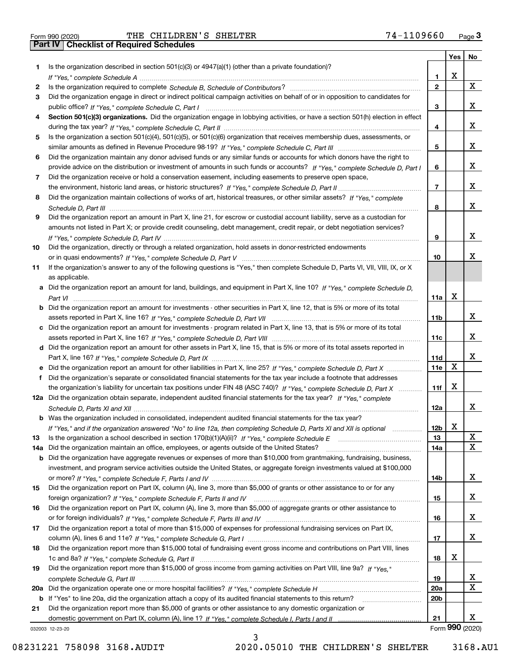Form 990 (2020) THE CHILDREN'S SHELTER 7 4-1109660 <sub>Page</sub> 3<br>**Part IV | Checklist of Required Schedules** 

|     |                                                                                                                                       |                 | Yes         | No              |
|-----|---------------------------------------------------------------------------------------------------------------------------------------|-----------------|-------------|-----------------|
| 1.  | Is the organization described in section $501(c)(3)$ or $4947(a)(1)$ (other than a private foundation)?                               |                 |             |                 |
|     |                                                                                                                                       | 1               | X           |                 |
| 2   |                                                                                                                                       | $\overline{2}$  |             | X               |
| 3   | Did the organization engage in direct or indirect political campaign activities on behalf of or in opposition to candidates for       |                 |             |                 |
|     |                                                                                                                                       | 3               |             | x               |
| 4   | Section 501(c)(3) organizations. Did the organization engage in lobbying activities, or have a section 501(h) election in effect      |                 |             |                 |
|     |                                                                                                                                       | 4               |             | x               |
| 5   | Is the organization a section 501(c)(4), 501(c)(5), or 501(c)(6) organization that receives membership dues, assessments, or          |                 |             |                 |
|     |                                                                                                                                       | 5               |             | x               |
| 6   | Did the organization maintain any donor advised funds or any similar funds or accounts for which donors have the right to             |                 |             |                 |
|     | provide advice on the distribution or investment of amounts in such funds or accounts? If "Yes," complete Schedule D, Part I          | 6               |             | x               |
| 7   | Did the organization receive or hold a conservation easement, including easements to preserve open space,                             |                 |             |                 |
|     |                                                                                                                                       | $\overline{7}$  |             | x               |
| 8   | Did the organization maintain collections of works of art, historical treasures, or other similar assets? If "Yes," complete          |                 |             |                 |
|     |                                                                                                                                       | 8               |             | x               |
| 9   | Did the organization report an amount in Part X, line 21, for escrow or custodial account liability, serve as a custodian for         |                 |             |                 |
|     | amounts not listed in Part X; or provide credit counseling, debt management, credit repair, or debt negotiation services?             |                 |             |                 |
|     |                                                                                                                                       | 9               |             | x               |
| 10  | Did the organization, directly or through a related organization, hold assets in donor-restricted endowments                          |                 |             |                 |
|     |                                                                                                                                       | 10              |             | x               |
| 11  | If the organization's answer to any of the following questions is "Yes," then complete Schedule D, Parts VI, VII, VIII, IX, or X      |                 |             |                 |
|     | as applicable.                                                                                                                        |                 |             |                 |
|     | a Did the organization report an amount for land, buildings, and equipment in Part X, line 10? If "Yes," complete Schedule D,         |                 |             |                 |
|     |                                                                                                                                       | 11a             | X           |                 |
|     | <b>b</b> Did the organization report an amount for investments - other securities in Part X, line 12, that is 5% or more of its total |                 |             |                 |
|     |                                                                                                                                       | 11b             |             | x               |
|     | c Did the organization report an amount for investments - program related in Part X, line 13, that is 5% or more of its total         |                 |             |                 |
|     |                                                                                                                                       | 11c             |             | x               |
|     | d Did the organization report an amount for other assets in Part X, line 15, that is 5% or more of its total assets reported in       |                 |             |                 |
|     |                                                                                                                                       | 11d             |             | x               |
|     | e Did the organization report an amount for other liabilities in Part X, line 25? If "Yes," complete Schedule D, Part X               | 11e             | $\mathbf X$ |                 |
| f   | Did the organization's separate or consolidated financial statements for the tax year include a footnote that addresses               |                 |             |                 |
|     | the organization's liability for uncertain tax positions under FIN 48 (ASC 740)? If "Yes," complete Schedule D, Part X                | 11f             | х           |                 |
|     | 12a Did the organization obtain separate, independent audited financial statements for the tax year? If "Yes," complete               |                 |             |                 |
|     |                                                                                                                                       | 12a             |             | x               |
|     | b Was the organization included in consolidated, independent audited financial statements for the tax year?                           |                 |             |                 |
|     | If "Yes," and if the organization answered "No" to line 12a, then completing Schedule D, Parts XI and XII is optional                 | 12b             | X           | X               |
| 13  |                                                                                                                                       | 13              |             | X               |
| 14a | Did the organization maintain an office, employees, or agents outside of the United States?                                           | 14a             |             |                 |
|     | <b>b</b> Did the organization have aggregate revenues or expenses of more than \$10,000 from grantmaking, fundraising, business,      |                 |             |                 |
|     | investment, and program service activities outside the United States, or aggregate foreign investments valued at \$100,000            |                 |             | x               |
|     | Did the organization report on Part IX, column (A), line 3, more than \$5,000 of grants or other assistance to or for any             | 14b             |             |                 |
| 15  |                                                                                                                                       |                 |             | x               |
| 16  | Did the organization report on Part IX, column (A), line 3, more than \$5,000 of aggregate grants or other assistance to              | 15              |             |                 |
|     |                                                                                                                                       | 16              |             | x               |
| 17  | Did the organization report a total of more than \$15,000 of expenses for professional fundraising services on Part IX,               |                 |             |                 |
|     |                                                                                                                                       | 17              |             | x               |
| 18  | Did the organization report more than \$15,000 total of fundraising event gross income and contributions on Part VIII, lines          |                 |             |                 |
|     |                                                                                                                                       | 18              | х           |                 |
| 19  | Did the organization report more than \$15,000 of gross income from gaming activities on Part VIII, line 9a? If "Yes."                |                 |             |                 |
|     |                                                                                                                                       | 19              |             | x               |
|     |                                                                                                                                       | 20a             |             | X               |
|     | b If "Yes" to line 20a, did the organization attach a copy of its audited financial statements to this return?                        | 20 <sub>b</sub> |             |                 |
| 21  | Did the organization report more than \$5,000 of grants or other assistance to any domestic organization or                           |                 |             |                 |
|     |                                                                                                                                       | 21              |             | x               |
|     | 032003 12-23-20                                                                                                                       |                 |             | Form 990 (2020) |

3

032003 12-23-20

08231221 758098 3168.AUDIT 2020.05010 THE CHILDREN'S SHELTER 3168.AU1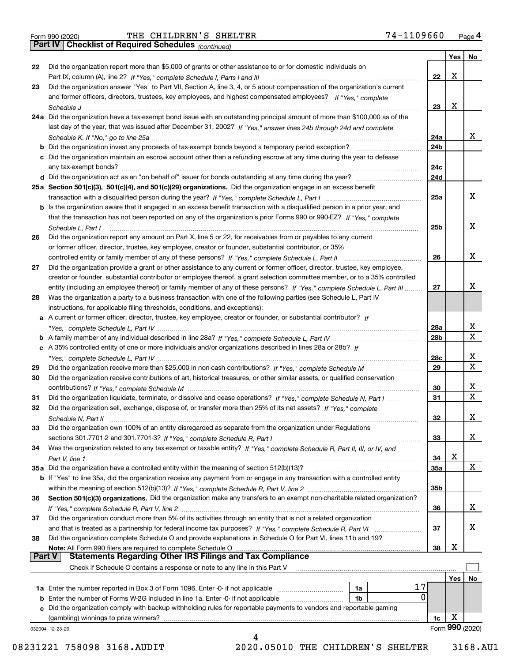*(continued)*

|               |                                                                                                                              |                 | Yes | No.              |
|---------------|------------------------------------------------------------------------------------------------------------------------------|-----------------|-----|------------------|
| 22            | Did the organization report more than \$5,000 of grants or other assistance to or for domestic individuals on                |                 |     |                  |
|               |                                                                                                                              | 22              | Х   |                  |
| 23            | Did the organization answer "Yes" to Part VII, Section A, line 3, 4, or 5 about compensation of the organization's current   |                 |     |                  |
|               | and former officers, directors, trustees, key employees, and highest compensated employees? If "Yes," complete               |                 |     |                  |
|               |                                                                                                                              | 23              | Х   |                  |
|               | 24a Did the organization have a tax-exempt bond issue with an outstanding principal amount of more than \$100,000 as of the  |                 |     |                  |
|               | last day of the year, that was issued after December 31, 2002? If "Yes," answer lines 24b through 24d and complete           |                 |     |                  |
|               |                                                                                                                              | 24a             |     | x                |
|               | b Did the organization invest any proceeds of tax-exempt bonds beyond a temporary period exception?                          | 24b             |     |                  |
|               | c Did the organization maintain an escrow account other than a refunding escrow at any time during the year to defease       |                 |     |                  |
|               |                                                                                                                              | 24c             |     |                  |
|               |                                                                                                                              | 24d             |     |                  |
|               | 25a Section 501(c)(3), 501(c)(4), and 501(c)(29) organizations. Did the organization engage in an excess benefit             |                 |     |                  |
|               |                                                                                                                              | 25a             |     | х                |
|               | b Is the organization aware that it engaged in an excess benefit transaction with a disqualified person in a prior year, and |                 |     |                  |
|               | that the transaction has not been reported on any of the organization's prior Forms 990 or 990-EZ? If "Yes," complete        |                 |     |                  |
|               | Schedule L, Part I                                                                                                           | 25 <sub>b</sub> |     | х                |
| 26            | Did the organization report any amount on Part X, line 5 or 22, for receivables from or payables to any current              |                 |     |                  |
|               | or former officer, director, trustee, key employee, creator or founder, substantial contributor, or 35%                      |                 |     |                  |
|               |                                                                                                                              | 26              |     | х                |
| 27            | Did the organization provide a grant or other assistance to any current or former officer, director, trustee, key employee,  |                 |     |                  |
|               | creator or founder, substantial contributor or employee thereof, a grant selection committee member, or to a 35% controlled  |                 |     |                  |
|               | entity (including an employee thereof) or family member of any of these persons? If "Yes," complete Schedule L, Part III     | 27              |     | х                |
| 28            | Was the organization a party to a business transaction with one of the following parties (see Schedule L, Part IV            |                 |     |                  |
|               | instructions, for applicable filing thresholds, conditions, and exceptions):                                                 |                 |     |                  |
|               | a A current or former officer, director, trustee, key employee, creator or founder, or substantial contributor? If           |                 |     |                  |
|               |                                                                                                                              | 28a             |     | x                |
|               |                                                                                                                              | 28b             |     | $\mathbf X$      |
|               |                                                                                                                              |                 |     |                  |
|               | c A 35% controlled entity of one or more individuals and/or organizations described in lines 28a or 28b? If                  | 28c             |     | х                |
|               |                                                                                                                              | 29              |     | $\mathbf X$      |
| 29            |                                                                                                                              |                 |     |                  |
| 30            | Did the organization receive contributions of art, historical treasures, or other similar assets, or qualified conservation  |                 |     |                  |
|               |                                                                                                                              | 30              |     | x<br>$\mathbf x$ |
| 31            | Did the organization liquidate, terminate, or dissolve and cease operations? If "Yes," complete Schedule N, Part I           | 31              |     |                  |
| 32            | Did the organization sell, exchange, dispose of, or transfer more than 25% of its net assets? If "Yes," complete             |                 |     |                  |
|               | Schedule N, Part II                                                                                                          | 32              |     | x                |
| 33            | Did the organization own 100% of an entity disregarded as separate from the organization under Regulations                   |                 |     |                  |
|               |                                                                                                                              | 33              |     | х                |
| 34            | Was the organization related to any tax-exempt or taxable entity? If "Yes," complete Schedule R, Part II, III, or IV, and    |                 |     |                  |
|               |                                                                                                                              | 34              | X   |                  |
|               | 35a Did the organization have a controlled entity within the meaning of section 512(b)(13)?                                  | <b>35a</b>      |     | X                |
|               | b If "Yes" to line 35a, did the organization receive any payment from or engage in any transaction with a controlled entity  |                 |     |                  |
|               |                                                                                                                              | 35 <sub>b</sub> |     |                  |
| 36            | Section 501(c)(3) organizations. Did the organization make any transfers to an exempt non-charitable related organization?   |                 |     |                  |
|               |                                                                                                                              | 36              |     | X                |
| 37            | Did the organization conduct more than 5% of its activities through an entity that is not a related organization             |                 |     |                  |
|               | and that is treated as a partnership for federal income tax purposes? If "Yes," complete Schedule R, Part VI                 | 37              |     | x                |
| 38            | Did the organization complete Schedule O and provide explanations in Schedule O for Part VI, lines 11b and 19?               |                 |     |                  |
|               | Note: All Form 990 filers are required to complete Schedule O                                                                | 38              | х   |                  |
| <b>Part V</b> | <b>Statements Regarding Other IRS Filings and Tax Compliance</b>                                                             |                 |     |                  |
|               | Check if Schedule O contains a response or note to any line in this Part V                                                   |                 |     |                  |
|               |                                                                                                                              |                 | Yes | No               |
|               | 17<br><b>1a</b> Enter the number reported in Box 3 of Form 1096. Enter -0- if not applicable <i>manumumumum</i><br>1a        |                 |     |                  |
|               | 0<br>1b                                                                                                                      |                 |     |                  |
|               | c Did the organization comply with backup withholding rules for reportable payments to vendors and reportable gaming         |                 |     |                  |
|               | (gambling) winnings to prize winners?                                                                                        | 1c              | х   |                  |
|               | 032004 12-23-20                                                                                                              |                 |     | Form 990 (2020)  |
|               | 4                                                                                                                            |                 |     |                  |

 <sup>08231221 758098 3168.</sup>AUDIT 2020.05010 THE CHILDREN'S SHELTER 3168.AU1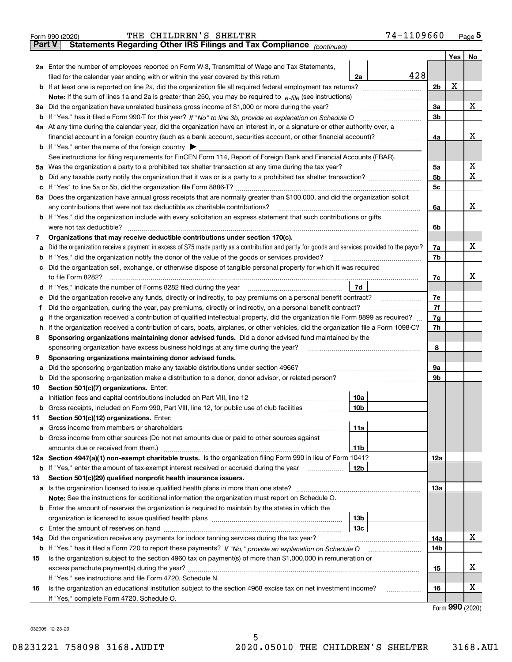|               | 74-1109660<br>THE CHILDREN'S SHELTER<br>Form 990 (2020)                                                                                                                                                                              |                |                             | <u>Page</u> 5 |  |  |  |  |  |  |
|---------------|--------------------------------------------------------------------------------------------------------------------------------------------------------------------------------------------------------------------------------------|----------------|-----------------------------|---------------|--|--|--|--|--|--|
| <b>Part V</b> | Statements Regarding Other IRS Filings and Tax Compliance (continued)                                                                                                                                                                |                |                             |               |  |  |  |  |  |  |
|               |                                                                                                                                                                                                                                      |                | Yes                         | No            |  |  |  |  |  |  |
|               | 2a Enter the number of employees reported on Form W-3, Transmittal of Wage and Tax Statements,                                                                                                                                       |                |                             |               |  |  |  |  |  |  |
|               | 428<br>filed for the calendar year ending with or within the year covered by this return [[[[[[[[[[[[[[[[[[[[[[[[[[[<br>2a                                                                                                           |                |                             |               |  |  |  |  |  |  |
|               |                                                                                                                                                                                                                                      | 2 <sub>b</sub> | X                           |               |  |  |  |  |  |  |
|               |                                                                                                                                                                                                                                      |                |                             |               |  |  |  |  |  |  |
| За            | Did the organization have unrelated business gross income of \$1,000 or more during the year?                                                                                                                                        | 3a             |                             | x             |  |  |  |  |  |  |
|               |                                                                                                                                                                                                                                      | 3b             |                             |               |  |  |  |  |  |  |
|               | 4a At any time during the calendar year, did the organization have an interest in, or a signature or other authority over, a                                                                                                         |                |                             |               |  |  |  |  |  |  |
|               |                                                                                                                                                                                                                                      | 4a             |                             | х             |  |  |  |  |  |  |
|               | <b>b</b> If "Yes," enter the name of the foreign country $\blacktriangleright$                                                                                                                                                       |                |                             |               |  |  |  |  |  |  |
|               | See instructions for filing requirements for FinCEN Form 114, Report of Foreign Bank and Financial Accounts (FBAR).                                                                                                                  |                |                             |               |  |  |  |  |  |  |
|               |                                                                                                                                                                                                                                      | 5a             |                             | х             |  |  |  |  |  |  |
| b             |                                                                                                                                                                                                                                      | 5b             |                             | X             |  |  |  |  |  |  |
| c             |                                                                                                                                                                                                                                      | 5c             |                             |               |  |  |  |  |  |  |
|               | 6a Does the organization have annual gross receipts that are normally greater than \$100,000, and did the organization solicit                                                                                                       |                |                             |               |  |  |  |  |  |  |
|               | any contributions that were not tax deductible as charitable contributions?                                                                                                                                                          | 6a             |                             | х             |  |  |  |  |  |  |
|               | <b>b</b> If "Yes," did the organization include with every solicitation an express statement that such contributions or gifts                                                                                                        |                |                             |               |  |  |  |  |  |  |
|               | were not tax deductible?                                                                                                                                                                                                             | 6b             |                             |               |  |  |  |  |  |  |
| 7             | Organizations that may receive deductible contributions under section 170(c).                                                                                                                                                        |                |                             | х             |  |  |  |  |  |  |
| a             | Did the organization receive a payment in excess of \$75 made partly as a contribution and partly for goods and services provided to the payor?                                                                                      | 7a<br>7b       |                             |               |  |  |  |  |  |  |
|               | <b>b</b> If "Yes," did the organization notify the donor of the value of the goods or services provided?<br>c Did the organization sell, exchange, or otherwise dispose of tangible personal property for which it was required      |                |                             |               |  |  |  |  |  |  |
|               |                                                                                                                                                                                                                                      | 7с             |                             | x             |  |  |  |  |  |  |
|               | 7d<br>d If "Yes," indicate the number of Forms 8282 filed during the year [11] [11] The Section of Holder and The Year [11] The Section of Holder and The Year [11] The Year [11] The Year [11] The Year [11] The Year [11] The Year |                |                             |               |  |  |  |  |  |  |
| е             | Did the organization receive any funds, directly or indirectly, to pay premiums on a personal benefit contract?                                                                                                                      | 7e             |                             |               |  |  |  |  |  |  |
| f             | Did the organization, during the year, pay premiums, directly or indirectly, on a personal benefit contract?                                                                                                                         | 7f             |                             |               |  |  |  |  |  |  |
| g             | If the organization received a contribution of qualified intellectual property, did the organization file Form 8899 as required?                                                                                                     |                |                             |               |  |  |  |  |  |  |
| h.            | If the organization received a contribution of cars, boats, airplanes, or other vehicles, did the organization file a Form 1098-C?                                                                                                   |                |                             |               |  |  |  |  |  |  |
| 8             | Sponsoring organizations maintaining donor advised funds. Did a donor advised fund maintained by the                                                                                                                                 |                |                             |               |  |  |  |  |  |  |
|               | sponsoring organization have excess business holdings at any time during the year?                                                                                                                                                   | 8              |                             |               |  |  |  |  |  |  |
| 9             | Sponsoring organizations maintaining donor advised funds.                                                                                                                                                                            |                |                             |               |  |  |  |  |  |  |
| а             | Did the sponsoring organization make any taxable distributions under section 4966?                                                                                                                                                   | 9а             |                             |               |  |  |  |  |  |  |
|               | <b>b</b> Did the sponsoring organization make a distribution to a donor, donor advisor, or related person?                                                                                                                           | 9b             |                             |               |  |  |  |  |  |  |
| 10            | Section 501(c)(7) organizations. Enter:                                                                                                                                                                                              |                |                             |               |  |  |  |  |  |  |
|               | 10a                                                                                                                                                                                                                                  |                |                             |               |  |  |  |  |  |  |
|               | 10b <br>Gross receipts, included on Form 990, Part VIII, line 12, for public use of club facilities                                                                                                                                  |                |                             |               |  |  |  |  |  |  |
| 11            | Section 501(c)(12) organizations. Enter:                                                                                                                                                                                             |                |                             |               |  |  |  |  |  |  |
| a             | Gross income from members or shareholders<br>11a                                                                                                                                                                                     |                |                             |               |  |  |  |  |  |  |
|               | b Gross income from other sources (Do not net amounts due or paid to other sources against                                                                                                                                           |                |                             |               |  |  |  |  |  |  |
|               | 11b                                                                                                                                                                                                                                  |                |                             |               |  |  |  |  |  |  |
|               | 12a Section 4947(a)(1) non-exempt charitable trusts. Is the organization filing Form 990 in lieu of Form 1041?                                                                                                                       | 12a            |                             |               |  |  |  |  |  |  |
|               | 12b<br><b>b</b> If "Yes," enter the amount of tax-exempt interest received or accrued during the year                                                                                                                                |                |                             |               |  |  |  |  |  |  |
| 13            | Section 501(c)(29) qualified nonprofit health insurance issuers.                                                                                                                                                                     |                |                             |               |  |  |  |  |  |  |
|               | a Is the organization licensed to issue qualified health plans in more than one state?                                                                                                                                               | 13а            |                             |               |  |  |  |  |  |  |
|               | Note: See the instructions for additional information the organization must report on Schedule O.                                                                                                                                    |                |                             |               |  |  |  |  |  |  |
|               | <b>b</b> Enter the amount of reserves the organization is required to maintain by the states in which the                                                                                                                            |                |                             |               |  |  |  |  |  |  |
|               | 13 <sub>b</sub>                                                                                                                                                                                                                      |                |                             |               |  |  |  |  |  |  |
|               | 13с                                                                                                                                                                                                                                  |                |                             |               |  |  |  |  |  |  |
| 14a           | Did the organization receive any payments for indoor tanning services during the tax year?                                                                                                                                           | 14a            |                             | x             |  |  |  |  |  |  |
|               | <b>b</b> If "Yes," has it filed a Form 720 to report these payments? If "No," provide an explanation on Schedule O                                                                                                                   | 14b            |                             |               |  |  |  |  |  |  |
| 15            | Is the organization subject to the section 4960 tax on payment(s) of more than \$1,000,000 in remuneration or                                                                                                                        |                |                             |               |  |  |  |  |  |  |
|               |                                                                                                                                                                                                                                      | 15             |                             | X.            |  |  |  |  |  |  |
|               | If "Yes," see instructions and file Form 4720, Schedule N.                                                                                                                                                                           |                |                             |               |  |  |  |  |  |  |
| 16            | Is the organization an educational institution subject to the section 4968 excise tax on net investment income?                                                                                                                      | 16             |                             | х             |  |  |  |  |  |  |
|               | If "Yes," complete Form 4720, Schedule O.                                                                                                                                                                                            |                |                             |               |  |  |  |  |  |  |
|               |                                                                                                                                                                                                                                      |                | $F_{\text{arm}}$ 990 (2020) |               |  |  |  |  |  |  |

|  |  | Form 990 (2020) |
|--|--|-----------------|
|--|--|-----------------|

032005 12-23-20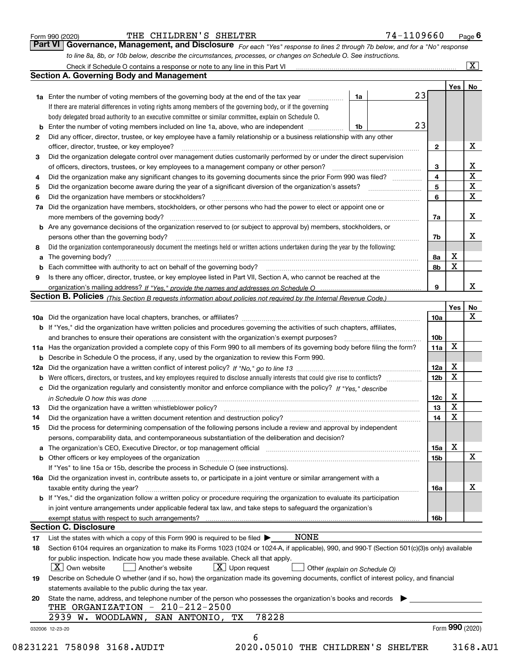|  | Form 990 (2020) |
|--|-----------------|
|  |                 |

### THE CHILDREN'S SHELTER 74-1109660

*For each "Yes" response to lines 2 through 7b below, and for a "No" response to line 8a, 8b, or 10b below, describe the circumstances, processes, or changes on Schedule O. See instructions.* Form 990 (2020) **Form 990 (2020)** THE CHILDREN'S SHELTER **Page 6**<br>**Part VI Governance, Management, and Disclosure** For each "Yes" response to lines 2 through 7b below, and for a "No" response

|     |                                                                                                                                                                                                                               |    |    |                        | Yes   No         |             |
|-----|-------------------------------------------------------------------------------------------------------------------------------------------------------------------------------------------------------------------------------|----|----|------------------------|------------------|-------------|
|     | <b>1a</b> Enter the number of voting members of the governing body at the end of the tax year <i>manumum</i>                                                                                                                  | 1a | 23 |                        |                  |             |
|     | If there are material differences in voting rights among members of the governing body, or if the governing                                                                                                                   |    |    |                        |                  |             |
|     | body delegated broad authority to an executive committee or similar committee, explain on Schedule O.                                                                                                                         |    |    |                        |                  |             |
|     | Enter the number of voting members included on line 1a, above, who are independent                                                                                                                                            | 1b | 23 |                        |                  |             |
| 2   | Did any officer, director, trustee, or key employee have a family relationship or a business relationship with any other                                                                                                      |    |    |                        |                  |             |
|     | officer, director, trustee, or key employee?                                                                                                                                                                                  |    |    | $\mathbf{2}$           |                  | Х           |
| 3   | Did the organization delegate control over management duties customarily performed by or under the direct supervision                                                                                                         |    |    |                        |                  |             |
|     |                                                                                                                                                                                                                               |    |    | 3                      |                  | х           |
| 4   | Did the organization make any significant changes to its governing documents since the prior Form 990 was filed?                                                                                                              |    |    | 4                      |                  | $\mathbf X$ |
| 5   |                                                                                                                                                                                                                               |    |    | 5                      |                  | X           |
| 6   | Did the organization have members or stockholders?                                                                                                                                                                            |    |    | 6                      |                  | $\mathbf X$ |
| 7a  | Did the organization have members, stockholders, or other persons who had the power to elect or appoint one or                                                                                                                |    |    |                        |                  |             |
|     |                                                                                                                                                                                                                               |    |    | 7a                     |                  | Х           |
|     | <b>b</b> Are any governance decisions of the organization reserved to (or subject to approval by) members, stockholders, or                                                                                                   |    |    |                        |                  |             |
|     | persons other than the governing body?                                                                                                                                                                                        |    |    | 7b                     |                  | х           |
| 8   | Did the organization contemporaneously document the meetings held or written actions undertaken during the year by the following:                                                                                             |    |    |                        |                  |             |
| a   |                                                                                                                                                                                                                               |    |    | 8а                     | х                |             |
|     |                                                                                                                                                                                                                               |    |    | 8b                     | $\mathbf X$      |             |
| 9   | Is there any officer, director, trustee, or key employee listed in Part VII, Section A, who cannot be reached at the                                                                                                          |    |    |                        |                  |             |
|     |                                                                                                                                                                                                                               |    |    | 9                      |                  | х           |
|     | Section B. Policies (This Section B requests information about policies not required by the Internal Revenue Code.)                                                                                                           |    |    |                        |                  |             |
|     |                                                                                                                                                                                                                               |    |    |                        | Yes              | <u>No</u>   |
|     |                                                                                                                                                                                                                               |    |    | 10a                    |                  | X           |
|     | b If "Yes," did the organization have written policies and procedures governing the activities of such chapters, affiliates,                                                                                                  |    |    |                        |                  |             |
|     |                                                                                                                                                                                                                               |    |    |                        |                  |             |
|     |                                                                                                                                                                                                                               |    |    | 10 <sub>b</sub><br>11a | X                |             |
|     | 11a Has the organization provided a complete copy of this Form 990 to all members of its governing body before filing the form?                                                                                               |    |    |                        |                  |             |
|     | <b>b</b> Describe in Schedule O the process, if any, used by the organization to review this Form 990.                                                                                                                        |    |    |                        | х                |             |
| 12a |                                                                                                                                                                                                                               |    |    | 12a                    | $\mathbf X$      |             |
| b   |                                                                                                                                                                                                                               |    |    | 12 <sub>b</sub>        |                  |             |
|     | c Did the organization regularly and consistently monitor and enforce compliance with the policy? If "Yes," describe                                                                                                          |    |    |                        |                  |             |
|     | in Schedule O how this was done continuous control to the control of the state of the control of the control o                                                                                                                |    |    | 12c                    | х<br>$\mathbf X$ |             |
| 13  | Did the organization have a written whistleblower policy?<br>The content of the content of the content of the content of the content of the content of the content of the c                                                   |    |    | 13                     |                  |             |
| 14  | Did the organization have a written document retention and destruction policy? manufactured and the organization have a written document retention and destruction policy?                                                    |    |    | 14                     | $\mathbf X$      |             |
| 15  | Did the process for determining compensation of the following persons include a review and approval by independent                                                                                                            |    |    |                        |                  |             |
|     | persons, comparability data, and contemporaneous substantiation of the deliberation and decision?                                                                                                                             |    |    |                        |                  |             |
|     | a The organization's CEO, Executive Director, or top management official manufactured content content of the organization's content of the content of the content of the content of the content of the content of the content |    |    | 15a                    | Х                |             |
|     | <b>b</b> Other officers or key employees of the organization                                                                                                                                                                  |    |    | <b>15b</b>             |                  | х           |
|     | If "Yes" to line 15a or 15b, describe the process in Schedule O (see instructions).                                                                                                                                           |    |    |                        |                  |             |
|     | 16a Did the organization invest in, contribute assets to, or participate in a joint venture or similar arrangement with a                                                                                                     |    |    |                        |                  |             |
|     | taxable entity during the year?                                                                                                                                                                                               |    |    | <b>16a</b>             |                  | x           |
|     | <b>b</b> If "Yes," did the organization follow a written policy or procedure requiring the organization to evaluate its participation                                                                                         |    |    |                        |                  |             |
|     | in joint venture arrangements under applicable federal tax law, and take steps to safeguard the organization's                                                                                                                |    |    |                        |                  |             |
|     | exempt status with respect to such arrangements?                                                                                                                                                                              |    |    | <b>16b</b>             |                  |             |
|     | <b>Section C. Disclosure</b>                                                                                                                                                                                                  |    |    |                        |                  |             |
| 17  | <b>NONE</b><br>List the states with which a copy of this Form 990 is required to be filed $\blacktriangleright$                                                                                                               |    |    |                        |                  |             |
| 18  | Section 6104 requires an organization to make its Forms 1023 (1024 or 1024-A, if applicable), 990, and 990-T (Section 501(c)(3)s only) available                                                                              |    |    |                        |                  |             |
|     | for public inspection. Indicate how you made these available. Check all that apply.                                                                                                                                           |    |    |                        |                  |             |
|     | $ X $ Own website<br>$X$ Upon request<br>Another's website<br>Other (explain on Schedule O)                                                                                                                                   |    |    |                        |                  |             |
| 19  | Describe on Schedule O whether (and if so, how) the organization made its governing documents, conflict of interest policy, and financial                                                                                     |    |    |                        |                  |             |
|     | statements available to the public during the tax year.                                                                                                                                                                       |    |    |                        |                  |             |
| 20  | State the name, address, and telephone number of the person who possesses the organization's books and records                                                                                                                |    |    |                        |                  |             |
|     | THE ORGANIZATION - 210-212-2500                                                                                                                                                                                               |    |    |                        |                  |             |
|     |                                                                                                                                                                                                                               |    |    |                        |                  |             |
|     | 78228<br>2939 W. WOODLAWN,<br>SAN ANTONIO,<br>TХ                                                                                                                                                                              |    |    |                        |                  |             |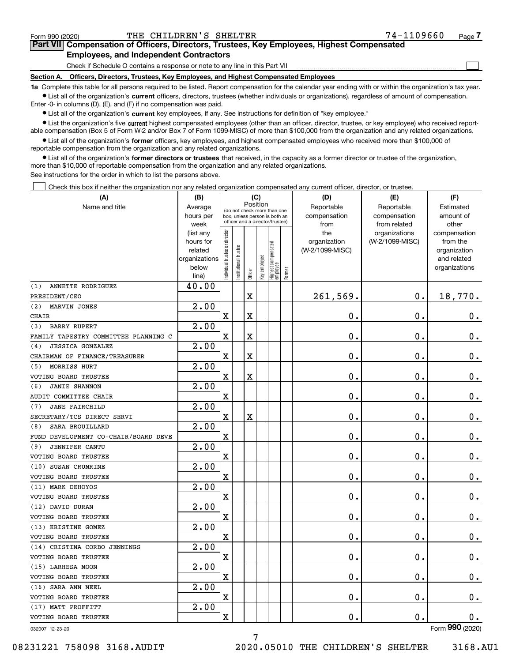$\mathcal{L}^{\text{max}}$ 

# **7Part VII Compensation of Officers, Directors, Trustees, Key Employees, Highest Compensated Employees, and Independent Contractors**

Check if Schedule O contains a response or note to any line in this Part VII

**Section A. Officers, Directors, Trustees, Key Employees, and Highest Compensated Employees**

**1a**  Complete this table for all persons required to be listed. Report compensation for the calendar year ending with or within the organization's tax year. **•** List all of the organization's current officers, directors, trustees (whether individuals or organizations), regardless of amount of compensation.

Enter -0- in columns (D), (E), and (F) if no compensation was paid.

 $\bullet$  List all of the organization's  $\,$ current key employees, if any. See instructions for definition of "key employee."

**•** List the organization's five current highest compensated employees (other than an officer, director, trustee, or key employee) who received reportable compensation (Box 5 of Form W-2 and/or Box 7 of Form 1099-MISC) of more than \$100,000 from the organization and any related organizations.

**•** List all of the organization's former officers, key employees, and highest compensated employees who received more than \$100,000 of reportable compensation from the organization and any related organizations.

**former directors or trustees**  ¥ List all of the organization's that received, in the capacity as a former director or trustee of the organization, more than \$10,000 of reportable compensation from the organization and any related organizations.

See instructions for the order in which to list the persons above.

Check this box if neither the organization nor any related organization compensated any current officer, director, or trustee.  $\mathcal{L}^{\text{max}}$ 

| (A)                                  | (B)<br>(C)             |                                         |                       |             |              |                                                                  |        | (D)                 | (E)                              | (F)                      |
|--------------------------------------|------------------------|-----------------------------------------|-----------------------|-------------|--------------|------------------------------------------------------------------|--------|---------------------|----------------------------------|--------------------------|
| Name and title                       | Average                | Position<br>(do not check more than one |                       |             |              |                                                                  |        | Reportable          | Reportable                       | Estimated                |
|                                      | hours per              |                                         |                       |             |              | box, unless person is both an<br>officer and a director/trustee) |        | compensation        | compensation                     | amount of                |
|                                      | week                   |                                         |                       |             |              |                                                                  |        | from                | from related                     | other                    |
|                                      | (list any<br>hours for |                                         |                       |             |              |                                                                  |        | the<br>organization | organizations<br>(W-2/1099-MISC) | compensation<br>from the |
|                                      | related                |                                         |                       |             |              |                                                                  |        | (W-2/1099-MISC)     |                                  | organization             |
|                                      | organizations          |                                         |                       |             |              |                                                                  |        |                     |                                  | and related              |
|                                      | below                  | ndividual trustee or director           | Institutional trustee |             | Key employee |                                                                  |        |                     |                                  | organizations            |
|                                      | line)                  |                                         |                       | Officer     |              | Highest compensated<br> employee                                 | Former |                     |                                  |                          |
| ANNETTE RODRIGUEZ<br>(1)             | 40.00                  |                                         |                       |             |              |                                                                  |        |                     |                                  |                          |
| PRESIDENT/CEO                        |                        |                                         |                       | $\mathbf X$ |              |                                                                  |        | 261,569.            | $0$ .                            | 18,770.                  |
| (2)<br>MARVIN JONES                  | $\overline{2.00}$      |                                         |                       |             |              |                                                                  |        |                     |                                  |                          |
| <b>CHAIR</b>                         |                        | X                                       |                       | $\mathbf X$ |              |                                                                  |        | $\mathbf 0$ .       | 0.                               | 0.                       |
| <b>BARRY RUPERT</b><br>(3)           | 2.00                   |                                         |                       |             |              |                                                                  |        |                     |                                  |                          |
| FAMILY TAPESTRY COMMITTEE PLANNING C |                        | X                                       |                       | $\mathbf X$ |              |                                                                  |        | 0.                  | 0.                               | 0.                       |
| <b>JESSICA GONZALEZ</b><br>(4)       | 2.00                   |                                         |                       |             |              |                                                                  |        |                     |                                  |                          |
| CHAIRMAN OF FINANCE/TREASURER        |                        | X                                       |                       | $\mathbf X$ |              |                                                                  |        | 0.                  | 0.                               | 0.                       |
| MORRISS HURT<br>(5)                  | 2.00                   |                                         |                       |             |              |                                                                  |        |                     |                                  |                          |
| VOTING BOARD TRUSTEE                 |                        | X                                       |                       | $\mathbf X$ |              |                                                                  |        | 0.                  | 0.                               | 0.                       |
| <b>JANIE SHANNON</b><br>(6)          | 2.00                   |                                         |                       |             |              |                                                                  |        |                     |                                  |                          |
| AUDIT COMMITTEE CHAIR                |                        | X                                       |                       |             |              |                                                                  |        | 0.                  | 0.                               | 0.                       |
| <b>JANE FAIRCHILD</b><br>(7)         | 2.00                   |                                         |                       |             |              |                                                                  |        |                     |                                  |                          |
| SECRETARY/TCS DIRECT SERVI           |                        | X                                       |                       | $\mathbf X$ |              |                                                                  |        | 0.                  | 0.                               | 0.                       |
| SARA BROUILLARD<br>(8)               | 2.00                   |                                         |                       |             |              |                                                                  |        |                     |                                  |                          |
| FUND DEVELOPMENT CO-CHAIR/BOARD DEVE |                        | X                                       |                       |             |              |                                                                  |        | 0.                  | 0.                               | 0.                       |
| <b>JENNIFER CANTU</b><br>(9)         | 2.00                   |                                         |                       |             |              |                                                                  |        |                     |                                  |                          |
| VOTING BOARD TRUSTEE                 |                        | X                                       |                       |             |              |                                                                  |        | 0.                  | 0.                               | 0.                       |
| (10) SUSAN CRUMRINE                  | 2.00                   |                                         |                       |             |              |                                                                  |        |                     |                                  |                          |
| VOTING BOARD TRUSTEE                 |                        | X                                       |                       |             |              |                                                                  |        | 0.                  | 0.                               | 0.                       |
| (11) MARK DEHOYOS                    | 2.00                   |                                         |                       |             |              |                                                                  |        |                     |                                  |                          |
| VOTING BOARD TRUSTEE                 |                        | X                                       |                       |             |              |                                                                  |        | 0.                  | 0.                               | 0.                       |
| (12) DAVID DURAN                     | 2.00                   |                                         |                       |             |              |                                                                  |        |                     |                                  |                          |
| <b>VOTING BOARD TRUSTEE</b>          |                        | X                                       |                       |             |              |                                                                  |        | 0.                  | 0.                               | 0.                       |
| (13) KRISTINE GOMEZ                  | 2.00                   |                                         |                       |             |              |                                                                  |        |                     |                                  |                          |
| VOTING BOARD TRUSTEE                 |                        | X                                       |                       |             |              |                                                                  |        | 0.                  | 0.                               | 0.                       |
| (14) CRISTINA CORBO JENNINGS         | 2.00                   |                                         |                       |             |              |                                                                  |        |                     |                                  |                          |
| VOTING BOARD TRUSTEE                 |                        | X                                       |                       |             |              |                                                                  |        | 0.                  | $\mathbf 0$ .                    | 0.                       |
| (15) LARHESA MOON                    | 2.00                   |                                         |                       |             |              |                                                                  |        |                     |                                  |                          |
| VOTING BOARD TRUSTEE                 |                        | X                                       |                       |             |              |                                                                  |        | 0.                  | $\mathbf 0$ .                    | 0.                       |
| (16) SARA ANN NEEL                   | 2.00                   |                                         |                       |             |              |                                                                  |        |                     |                                  |                          |
| VOTING BOARD TRUSTEE                 |                        | $\mathbf X$                             |                       |             |              |                                                                  |        | 0.                  | $\mathbf 0$ .                    | 0.                       |
| (17) MATT PROFFITT                   | 2.00                   |                                         |                       |             |              |                                                                  |        |                     |                                  |                          |
| VOTING BOARD TRUSTEE                 |                        | $\mathbf X$                             |                       |             |              |                                                                  |        | 0.                  | $\mathbf 0$ .                    | 0.                       |
| 032007 12-23-20                      |                        |                                         |                       |             |              |                                                                  |        |                     |                                  | Form 990 (2020)          |

032007 12-23-20

08231221 758098 3168.AUDIT 2020.05010 THE CHILDREN'S SHELTER 3168.AU1

7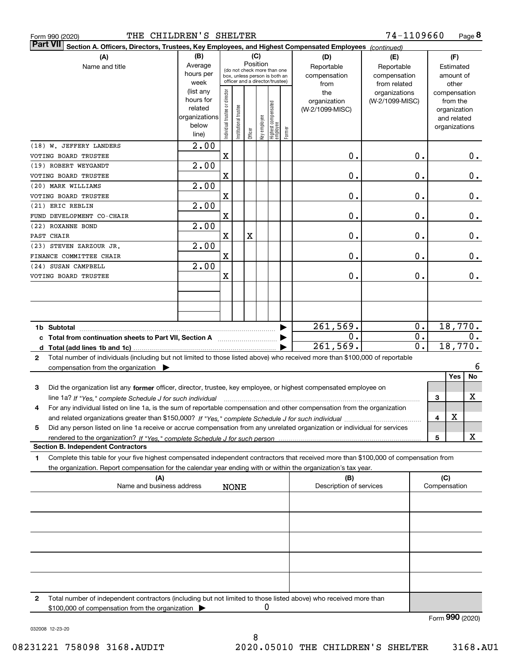| THE CHILDREN'S SHELTER<br>Form 990 (2020)                                                                                                            |                                                                      |                                |                            |         |                 |                                                                                                 |        |                                           | 74-1109660                                        |   |                                                                          | Page 8  |
|------------------------------------------------------------------------------------------------------------------------------------------------------|----------------------------------------------------------------------|--------------------------------|----------------------------|---------|-----------------|-------------------------------------------------------------------------------------------------|--------|-------------------------------------------|---------------------------------------------------|---|--------------------------------------------------------------------------|---------|
| <b>Part VII</b><br>Section A. Officers, Directors, Trustees, Key Employees, and Highest Compensated Employees (continued)                            |                                                                      |                                |                            |         |                 |                                                                                                 |        |                                           |                                                   |   |                                                                          |         |
| (A)<br>Name and title                                                                                                                                | (B)<br>Average<br>hours per<br>week                                  |                                |                            |         | (C)<br>Position | (do not check more than one<br>box, unless person is both an<br>officer and a director/trustee) |        | (D)<br>Reportable<br>compensation<br>from | (E)<br>Reportable<br>compensation<br>from related |   | (F)<br>Estimated<br>amount of<br>other                                   |         |
|                                                                                                                                                      | (list any<br>hours for<br>related<br>organizations<br>below<br>line) | Individual trustee or director | trustee<br>Institutional t | Officer | key employee    | Highest compensated<br> employee                                                                | Former | the<br>organization<br>(W-2/1099-MISC)    | organizations<br>(W-2/1099-MISC)                  |   | compensation<br>from the<br>organization<br>and related<br>organizations |         |
| (18) W. JEFFERY LANDERS                                                                                                                              | 2.00                                                                 |                                |                            |         |                 |                                                                                                 |        |                                           |                                                   |   |                                                                          |         |
| VOTING BOARD TRUSTEE                                                                                                                                 |                                                                      | X                              |                            |         |                 |                                                                                                 |        | $0$ .                                     | 0.                                                |   |                                                                          | $0$ .   |
| (19) ROBERT WEYGANDT                                                                                                                                 | 2.00                                                                 |                                |                            |         |                 |                                                                                                 |        |                                           |                                                   |   |                                                                          |         |
| VOTING BOARD TRUSTEE                                                                                                                                 | 2.00                                                                 | $\mathbf X$                    |                            |         |                 |                                                                                                 |        | 0.                                        | 0.                                                |   |                                                                          | 0.      |
| (20) MARK WILLIAMS<br>VOTING BOARD TRUSTEE                                                                                                           |                                                                      | $\mathbf X$                    |                            |         |                 |                                                                                                 |        | 0.                                        | 0.                                                |   |                                                                          | 0.      |
| (21) ERIC REBLIN                                                                                                                                     | 2.00                                                                 |                                |                            |         |                 |                                                                                                 |        |                                           |                                                   |   |                                                                          |         |
| FUND DEVELOPMENT CO-CHAIR                                                                                                                            |                                                                      | $\mathbf X$                    |                            |         |                 |                                                                                                 |        | Ο.                                        | 0.                                                |   |                                                                          | 0.      |
| (22) ROXANNE BOND                                                                                                                                    | 2.00                                                                 |                                |                            |         |                 |                                                                                                 |        |                                           |                                                   |   |                                                                          |         |
| PAST CHAIR                                                                                                                                           |                                                                      | X                              |                            | X       |                 |                                                                                                 |        | 0.                                        | 0.                                                |   |                                                                          | 0.      |
| (23) STEVEN ZARZOUR JR.                                                                                                                              | 2.00                                                                 |                                |                            |         |                 |                                                                                                 |        |                                           |                                                   |   |                                                                          |         |
| FINANCE COMMITTEE CHAIR                                                                                                                              |                                                                      | $\mathbf X$                    |                            |         |                 |                                                                                                 |        | 0.                                        | 0.                                                |   |                                                                          | 0.      |
| (24) SUSAN CAMPBELL                                                                                                                                  | 2.00                                                                 |                                |                            |         |                 |                                                                                                 |        |                                           |                                                   |   |                                                                          |         |
| VOTING BOARD TRUSTEE                                                                                                                                 |                                                                      | $\mathbf X$                    |                            |         |                 |                                                                                                 |        | 0.                                        | о.                                                |   |                                                                          | 0.      |
|                                                                                                                                                      |                                                                      |                                |                            |         |                 |                                                                                                 |        |                                           |                                                   |   |                                                                          |         |
|                                                                                                                                                      |                                                                      |                                |                            |         |                 |                                                                                                 |        |                                           |                                                   |   |                                                                          |         |
|                                                                                                                                                      |                                                                      |                                |                            |         |                 |                                                                                                 |        |                                           |                                                   |   |                                                                          |         |
| 1b Subtotal                                                                                                                                          |                                                                      |                                |                            |         |                 |                                                                                                 |        | 261,569.                                  | 0.                                                |   |                                                                          | 18,770. |
| c Total from continuation sheets to Part VII, Section A                                                                                              |                                                                      |                                |                            |         |                 |                                                                                                 |        | 0.                                        | 0.                                                |   |                                                                          | $0$ .   |
|                                                                                                                                                      |                                                                      |                                |                            |         |                 |                                                                                                 |        | $\overline{261,569}$ .                    | $\overline{0}$ .                                  |   |                                                                          | 18,770. |
| Total number of individuals (including but not limited to those listed above) who received more than \$100,000 of reportable<br>2                    |                                                                      |                                |                            |         |                 |                                                                                                 |        |                                           |                                                   |   |                                                                          |         |
| compensation from the organization $\blacktriangleright$                                                                                             |                                                                      |                                |                            |         |                 |                                                                                                 |        |                                           |                                                   |   |                                                                          | 6       |
|                                                                                                                                                      |                                                                      |                                |                            |         |                 |                                                                                                 |        |                                           |                                                   |   | Yes                                                                      | No      |
| Did the organization list any former officer, director, trustee, key employee, or highest compensated employee on<br>3                               |                                                                      |                                |                            |         |                 |                                                                                                 |        |                                           |                                                   |   |                                                                          |         |
| line 1a? If "Yes," complete Schedule J for such individual manufactured contained and the line 1a? If "Yes," complete Schedule J for such individual |                                                                      |                                |                            |         |                 |                                                                                                 |        |                                           |                                                   | 3 |                                                                          | x       |
| For any individual listed on line 1a, is the sum of reportable compensation and other compensation from the organization<br>4                        |                                                                      |                                |                            |         |                 |                                                                                                 |        |                                           |                                                   |   |                                                                          |         |
|                                                                                                                                                      |                                                                      |                                |                            |         |                 |                                                                                                 |        |                                           |                                                   | 4 | X                                                                        |         |
| Did any person listed on line 1a receive or accrue compensation from any unrelated organization or individual for services<br>5                      |                                                                      |                                |                            |         |                 |                                                                                                 |        |                                           |                                                   | 5 |                                                                          | x       |
| <b>Section B. Independent Contractors</b>                                                                                                            |                                                                      |                                |                            |         |                 |                                                                                                 |        |                                           |                                                   |   |                                                                          |         |
| Complete this table for your five highest compensated independent contractors that received more than \$100,000 of compensation from<br>1            |                                                                      |                                |                            |         |                 |                                                                                                 |        |                                           |                                                   |   |                                                                          |         |
| the organization. Report compensation for the calendar year ending with or within the organization's tax year.                                       |                                                                      |                                |                            |         |                 |                                                                                                 |        |                                           |                                                   |   |                                                                          |         |
| (A)                                                                                                                                                  |                                                                      |                                |                            |         |                 |                                                                                                 |        | (B)                                       |                                                   |   | (C)                                                                      |         |
| Name and business address                                                                                                                            |                                                                      |                                | <b>NONE</b>                |         |                 |                                                                                                 |        | Description of services                   |                                                   |   | Compensation                                                             |         |
|                                                                                                                                                      |                                                                      |                                |                            |         |                 |                                                                                                 |        |                                           |                                                   |   |                                                                          |         |
|                                                                                                                                                      |                                                                      |                                |                            |         |                 |                                                                                                 |        |                                           |                                                   |   |                                                                          |         |
|                                                                                                                                                      |                                                                      |                                |                            |         |                 |                                                                                                 |        |                                           |                                                   |   |                                                                          |         |
|                                                                                                                                                      |                                                                      |                                |                            |         |                 |                                                                                                 |        |                                           |                                                   |   |                                                                          |         |
|                                                                                                                                                      |                                                                      |                                |                            |         |                 |                                                                                                 |        |                                           |                                                   |   |                                                                          |         |
|                                                                                                                                                      |                                                                      |                                |                            |         |                 |                                                                                                 |        |                                           |                                                   |   |                                                                          |         |
|                                                                                                                                                      |                                                                      |                                |                            |         |                 |                                                                                                 |        |                                           |                                                   |   |                                                                          |         |
|                                                                                                                                                      |                                                                      |                                |                            |         |                 |                                                                                                 |        |                                           |                                                   |   |                                                                          |         |
| Total number of independent contractors (including but not limited to those listed above) who received more than<br>2                                |                                                                      |                                |                            |         |                 |                                                                                                 |        |                                           |                                                   |   |                                                                          |         |
| \$100,000 of compensation from the organization                                                                                                      |                                                                      |                                |                            |         |                 | 0                                                                                               |        |                                           |                                                   |   |                                                                          |         |

032008 12-23-20

Form (2020) **990**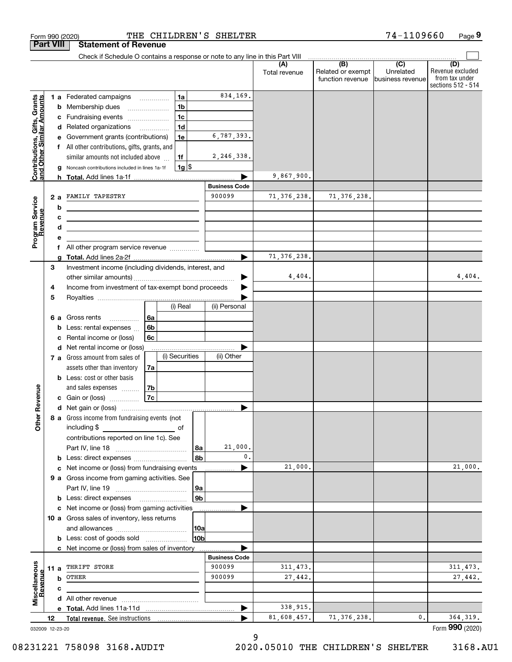|                                                           |                  | THE CHILDREN'S SHELTER<br>Form 990 (2020)                                                                                                                                                                                            |                                |                      |                                                         | 74-1109660                    | Page 9                                                          |
|-----------------------------------------------------------|------------------|--------------------------------------------------------------------------------------------------------------------------------------------------------------------------------------------------------------------------------------|--------------------------------|----------------------|---------------------------------------------------------|-------------------------------|-----------------------------------------------------------------|
|                                                           | <b>Part VIII</b> | <b>Statement of Revenue</b>                                                                                                                                                                                                          |                                |                      |                                                         |                               |                                                                 |
|                                                           |                  | Check if Schedule O contains a response or note to any line in this Part VIII                                                                                                                                                        |                                |                      | $\overbrace{ }$ (B) $\overbrace{ }$ (C) $\overbrace{ }$ |                               |                                                                 |
|                                                           |                  |                                                                                                                                                                                                                                      |                                | (A)<br>Total revenue | Related or exempt<br>function revenue                   | Unrelated<br>business revenue | (D)<br>Revenue excluded<br>from tax under<br>sections 512 - 514 |
|                                                           |                  | 1a<br>1 a Federated campaigns                                                                                                                                                                                                        | 834,169.                       |                      |                                                         |                               |                                                                 |
| Contributions, Gifts, Grants<br>and Other Similar Amounts |                  | 1 <sub>b</sub><br><b>b</b> Membership dues<br>$\ldots \ldots \ldots \ldots \ldots$                                                                                                                                                   |                                |                      |                                                         |                               |                                                                 |
|                                                           |                  | 1 <sub>c</sub><br>c Fundraising events                                                                                                                                                                                               |                                |                      |                                                         |                               |                                                                 |
|                                                           |                  | 1 <sub>d</sub><br>d Related organizations                                                                                                                                                                                            |                                |                      |                                                         |                               |                                                                 |
|                                                           | е                | 1e<br>Government grants (contributions)                                                                                                                                                                                              | 6,787,393.                     |                      |                                                         |                               |                                                                 |
|                                                           |                  | f All other contributions, gifts, grants, and                                                                                                                                                                                        |                                |                      |                                                         |                               |                                                                 |
|                                                           |                  | similar amounts not included above<br>1f                                                                                                                                                                                             | 2,246,338.                     |                      |                                                         |                               |                                                                 |
|                                                           | g                | $1g$ \$<br>Noncash contributions included in lines 1a-1f                                                                                                                                                                             |                                |                      |                                                         |                               |                                                                 |
|                                                           |                  |                                                                                                                                                                                                                                      |                                | 9,867,900.           |                                                         |                               |                                                                 |
|                                                           |                  | 2 a FAMILY TAPESTRY                                                                                                                                                                                                                  | <b>Business Code</b><br>900099 |                      | 71, 376, 238.                                           |                               |                                                                 |
| Program Service<br>Revenue                                |                  |                                                                                                                                                                                                                                      |                                | 71, 376, 238.        |                                                         |                               |                                                                 |
|                                                           | b                | the control of the control of the control of the control of the control of                                                                                                                                                           |                                |                      |                                                         |                               |                                                                 |
| evenue                                                    | c<br>d           | <u>state and the state of the state of the state of the state of the state of the state of the state of the state of the state of the state of the state of the state of the state of the state of the state of the state of the</u> |                                |                      |                                                         |                               |                                                                 |
|                                                           | е                | <u> 1989 - Johann Barn, mars ann an t-Amhain ann an t-Amhain an t-Amhain an t-Amhain an t-Amhain ann an t-Amhain </u>                                                                                                                |                                |                      |                                                         |                               |                                                                 |
|                                                           |                  | f All other program service revenue                                                                                                                                                                                                  |                                |                      |                                                         |                               |                                                                 |
|                                                           |                  |                                                                                                                                                                                                                                      |                                | 71, 376, 238.        |                                                         |                               |                                                                 |
|                                                           | 3                | Investment income (including dividends, interest, and                                                                                                                                                                                |                                |                      |                                                         |                               |                                                                 |
|                                                           |                  |                                                                                                                                                                                                                                      |                                | 4,404.               |                                                         |                               | 4,404.                                                          |
|                                                           | 4                | Income from investment of tax-exempt bond proceeds                                                                                                                                                                                   |                                |                      |                                                         |                               |                                                                 |
|                                                           | 5                |                                                                                                                                                                                                                                      |                                |                      |                                                         |                               |                                                                 |
|                                                           |                  | (i) Real                                                                                                                                                                                                                             | (ii) Personal                  |                      |                                                         |                               |                                                                 |
|                                                           |                  | 6a<br>6 a Gross rents                                                                                                                                                                                                                |                                |                      |                                                         |                               |                                                                 |
|                                                           |                  | 6 <sub>b</sub><br><b>b</b> Less: rental expenses $\ldots$                                                                                                                                                                            |                                |                      |                                                         |                               |                                                                 |
|                                                           | c                | 6c<br>Rental income or (loss)                                                                                                                                                                                                        |                                |                      |                                                         |                               |                                                                 |
|                                                           |                  | d Net rental income or (loss)<br>(i) Securities<br>7 a Gross amount from sales of                                                                                                                                                    | (ii) Other                     |                      |                                                         |                               |                                                                 |
|                                                           |                  | assets other than inventory<br>7a                                                                                                                                                                                                    |                                |                      |                                                         |                               |                                                                 |
|                                                           |                  | <b>b</b> Less: cost or other basis                                                                                                                                                                                                   |                                |                      |                                                         |                               |                                                                 |
|                                                           |                  | 7b<br>and sales expenses                                                                                                                                                                                                             |                                |                      |                                                         |                               |                                                                 |
| evenue                                                    |                  | 7c<br>c Gain or (loss)                                                                                                                                                                                                               |                                |                      |                                                         |                               |                                                                 |
|                                                           |                  | d Net gain or (loss)                                                                                                                                                                                                                 |                                |                      |                                                         |                               |                                                                 |
| Other R                                                   |                  | 8 a Gross income from fundraising events (not                                                                                                                                                                                        |                                |                      |                                                         |                               |                                                                 |
|                                                           |                  | including \$<br>and the contract of the contract of                                                                                                                                                                                  |                                |                      |                                                         |                               |                                                                 |
|                                                           |                  | contributions reported on line 1c). See                                                                                                                                                                                              |                                |                      |                                                         |                               |                                                                 |
|                                                           |                  |                                                                                                                                                                                                                                      | 21,000.<br>8а                  |                      |                                                         |                               |                                                                 |
|                                                           |                  |                                                                                                                                                                                                                                      | $\mathbf{0}$ .<br>8b           |                      |                                                         |                               |                                                                 |
|                                                           |                  | c Net income or (loss) from fundraising events                                                                                                                                                                                       |                                | 21,000.              |                                                         |                               | 21,000.                                                         |
|                                                           |                  | 9 a Gross income from gaming activities. See                                                                                                                                                                                         |                                |                      |                                                         |                               |                                                                 |
|                                                           |                  |                                                                                                                                                                                                                                      | 9а                             |                      |                                                         |                               |                                                                 |
|                                                           |                  | <b>b</b> Less: direct expenses <b>manually</b>                                                                                                                                                                                       | 9 <sub>b</sub>                 |                      |                                                         |                               |                                                                 |
|                                                           |                  | c Net income or (loss) from gaming activities                                                                                                                                                                                        | .                              |                      |                                                         |                               |                                                                 |
|                                                           |                  | 10 a Gross sales of inventory, less returns                                                                                                                                                                                          |                                |                      |                                                         |                               |                                                                 |
|                                                           |                  | <b>b</b> Less: cost of goods sold                                                                                                                                                                                                    | 10a<br>10bl                    |                      |                                                         |                               |                                                                 |
|                                                           |                  | c Net income or (loss) from sales of inventory                                                                                                                                                                                       |                                |                      |                                                         |                               |                                                                 |
|                                                           |                  |                                                                                                                                                                                                                                      | <b>Business Code</b>           |                      |                                                         |                               |                                                                 |
|                                                           |                  | 11 a THRIFT STORE                                                                                                                                                                                                                    | 900099                         | 311,473.             |                                                         |                               | 311, 473.                                                       |
| Miscellaneous                                             |                  | <b>b</b> OTHER                                                                                                                                                                                                                       | 900099                         | 27,442.              |                                                         |                               | 27,442.                                                         |
| aevenu∉                                                   | c                |                                                                                                                                                                                                                                      |                                |                      |                                                         |                               |                                                                 |
|                                                           |                  |                                                                                                                                                                                                                                      |                                |                      |                                                         |                               |                                                                 |
|                                                           |                  |                                                                                                                                                                                                                                      |                                | 338,915.             |                                                         |                               |                                                                 |
|                                                           | 12               |                                                                                                                                                                                                                                      |                                | 81,608,457.          | 71, 376, 238.                                           | 0.                            | 364, 319.                                                       |
|                                                           | 032009 12-23-20  |                                                                                                                                                                                                                                      |                                |                      |                                                         |                               | Form 990 (2020)                                                 |

9

08231221 758098 3168.AUDIT 2020.05010 THE CHILDREN'S SHELTER 3168.AU1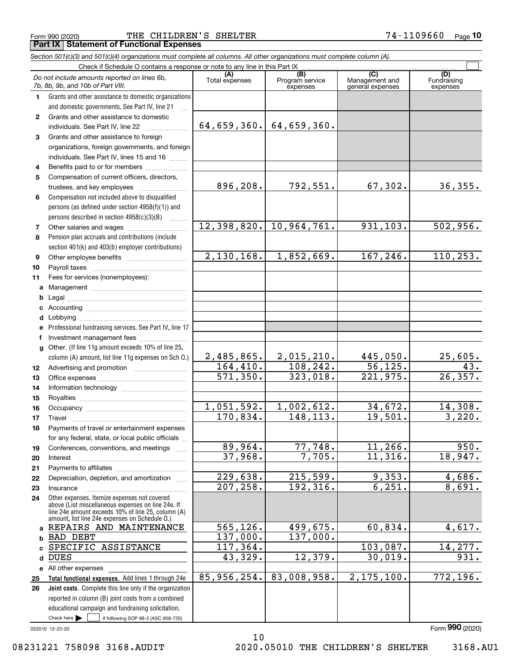Form 990 (2020) THE CHILDREN'S SHELTER 7 $4\text{--}110$ 9660  $\,$  Page **Part IX Statement of Functional Expenses**

|              | Section 501(c)(3) and 501(c)(4) organizations must complete all columns. All other organizations must complete column (A).                                                                                 |                        |                                    |                                           |                                |
|--------------|------------------------------------------------------------------------------------------------------------------------------------------------------------------------------------------------------------|------------------------|------------------------------------|-------------------------------------------|--------------------------------|
|              | Check if Schedule O contains a response or note to any line in this Part IX                                                                                                                                |                        |                                    |                                           |                                |
|              | Do not include amounts reported on lines 6b,<br>7b, 8b, 9b, and 10b of Part VIII.                                                                                                                          | (A)<br>Total expenses  | (B)<br>Program service<br>expenses | (C)<br>Management and<br>general expenses | (D)<br>Fundraising<br>expenses |
| 1            | Grants and other assistance to domestic organizations                                                                                                                                                      |                        |                                    |                                           |                                |
|              | and domestic governments. See Part IV, line 21                                                                                                                                                             |                        |                                    |                                           |                                |
| $\mathbf{2}$ | Grants and other assistance to domestic                                                                                                                                                                    |                        |                                    |                                           |                                |
|              | individuals. See Part IV, line 22                                                                                                                                                                          |                        | $64, 659, 360.$ 64, 659, 360.      |                                           |                                |
| 3            | Grants and other assistance to foreign                                                                                                                                                                     |                        |                                    |                                           |                                |
|              | organizations, foreign governments, and foreign                                                                                                                                                            |                        |                                    |                                           |                                |
|              | individuals. See Part IV, lines 15 and 16                                                                                                                                                                  |                        |                                    |                                           |                                |
| 4            | Benefits paid to or for members                                                                                                                                                                            |                        |                                    |                                           |                                |
| 5            | Compensation of current officers, directors,                                                                                                                                                               |                        |                                    |                                           |                                |
|              | trustees, and key employees                                                                                                                                                                                | 896,208.               | 792,551.                           | 67, 302.                                  | 36, 355.                       |
| 6            | Compensation not included above to disqualified                                                                                                                                                            |                        |                                    |                                           |                                |
|              | persons (as defined under section 4958(f)(1)) and                                                                                                                                                          |                        |                                    |                                           |                                |
|              | persons described in section 4958(c)(3)(B)<br>1.1.1.1.1.1.1                                                                                                                                                |                        |                                    |                                           |                                |
| 7            | Other salaries and wages                                                                                                                                                                                   | 12,398,820.            | 10,964,761.                        | 931, 103.                                 | 502,956.                       |
| 8            | Pension plan accruals and contributions (include                                                                                                                                                           |                        |                                    |                                           |                                |
|              | section 401(k) and 403(b) employer contributions)                                                                                                                                                          |                        |                                    |                                           |                                |
| 9            |                                                                                                                                                                                                            | 2,130,168.             | 1,852,669.                         | 167, 246.                                 | 110, 253.                      |
| 10           |                                                                                                                                                                                                            |                        |                                    |                                           |                                |
| 11           | Fees for services (nonemployees):                                                                                                                                                                          |                        |                                    |                                           |                                |
| a            |                                                                                                                                                                                                            |                        |                                    |                                           |                                |
| b            |                                                                                                                                                                                                            |                        |                                    |                                           |                                |
|              |                                                                                                                                                                                                            |                        |                                    |                                           |                                |
| d            | Lobbying                                                                                                                                                                                                   |                        |                                    |                                           |                                |
|              | Professional fundraising services. See Part IV, line 17                                                                                                                                                    |                        |                                    |                                           |                                |
| f            | Investment management fees                                                                                                                                                                                 |                        |                                    |                                           |                                |
| g            | Other. (If line 11g amount exceeds 10% of line 25,                                                                                                                                                         |                        |                                    |                                           |                                |
|              | column (A) amount, list line 11g expenses on Sch O.)                                                                                                                                                       | 2,485,865.             | 2,015,210.                         | 445,050.                                  | 25,605.                        |
| 12           |                                                                                                                                                                                                            | 164, 410.              | 108, 242.                          | 56, 125.                                  | 43.                            |
| 13           |                                                                                                                                                                                                            | 571,350.               | 323,018.                           | 221,975.                                  | 26, 357.                       |
| 14           |                                                                                                                                                                                                            |                        |                                    |                                           |                                |
| 15           |                                                                                                                                                                                                            |                        |                                    |                                           |                                |
| 16           |                                                                                                                                                                                                            | 1,051,592.             | 1,002,612.                         | 34,672.                                   | 14,308.                        |
| 17           |                                                                                                                                                                                                            | 170,834.               | 148, 113.                          | 19,501.                                   | 3,220.                         |
| 18           | Payments of travel or entertainment expenses                                                                                                                                                               |                        |                                    |                                           |                                |
|              | for any federal, state, or local public officials                                                                                                                                                          |                        |                                    |                                           |                                |
| 19           | Conferences, conventions, and meetings                                                                                                                                                                     | 89,964.                | 77,748.                            | 11,266.                                   | 950.                           |
| 20           | Interest                                                                                                                                                                                                   | 37,968.                | 7,705.                             | 11,316.                                   | 18,947.                        |
| 21           |                                                                                                                                                                                                            |                        |                                    |                                           |                                |
| 22           | Depreciation, depletion, and amortization                                                                                                                                                                  | 229,638.               | 215,599.                           | 9,353.                                    | 4,686.                         |
| 23           | Insurance                                                                                                                                                                                                  | $\overline{207,258}$ . | 192, 316.                          | 6, 251.                                   | 8,691.                         |
| 24           | Other expenses. Itemize expenses not covered<br>above (List miscellaneous expenses on line 24e. If<br>line 24e amount exceeds 10% of line 25, column (A)<br>amount, list line 24e expenses on Schedule O.) |                        |                                    |                                           |                                |
| a            | REPAIRS AND MAINTENANCE                                                                                                                                                                                    | 565, 126.              | 499,675.                           | 60,834.                                   | 4,617.                         |
| b            | <b>BAD DEBT</b>                                                                                                                                                                                            | 137,000.               | 137,000.                           |                                           |                                |
| C            | SPECIFIC ASSISTANCE                                                                                                                                                                                        | 117, 364.              |                                    | 103,087.                                  | 14,277.                        |
| d            | <b>DUES</b>                                                                                                                                                                                                | 43,329.                | 12,379.                            | 30,019.                                   | 931.                           |
|              | e All other expenses                                                                                                                                                                                       |                        |                                    |                                           |                                |
| 25           | Total functional expenses. Add lines 1 through 24e                                                                                                                                                         | 85, 956, 254.          | 83,008,958.                        | 2, 175, 100.                              | 772,196.                       |
| 26           | Joint costs. Complete this line only if the organization                                                                                                                                                   |                        |                                    |                                           |                                |
|              | reported in column (B) joint costs from a combined                                                                                                                                                         |                        |                                    |                                           |                                |
|              | educational campaign and fundraising solicitation.                                                                                                                                                         |                        |                                    |                                           |                                |

10

032010 12-23-20

Check here

08231221 758098 3168.AUDIT 2020.05010 THE CHILDREN'S SHELTER 3168.AU1

 $\mathcal{L}^{\text{max}}$ 

if following SOP 98-2 (ASC 958-720)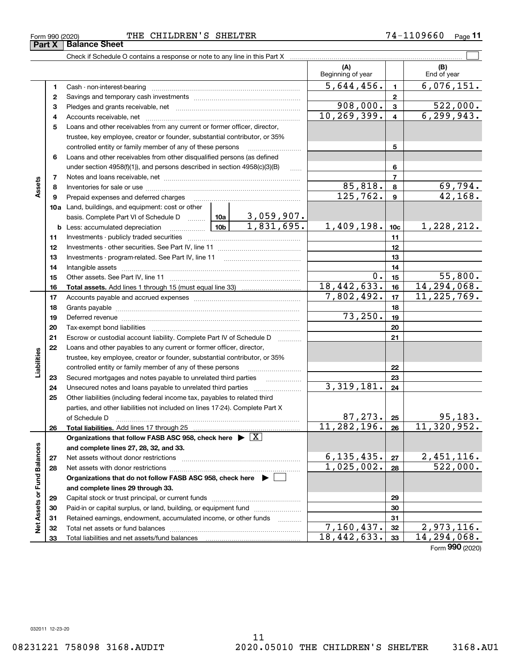**33**

Total liabilities and net assets/fund balances

Form (2020) **990**

|                             |              | Check if Schedule O contains a response or note to any line in this Part X                                                                                                                                                     |                            |                     |                                      |                 |                    |
|-----------------------------|--------------|--------------------------------------------------------------------------------------------------------------------------------------------------------------------------------------------------------------------------------|----------------------------|---------------------|--------------------------------------|-----------------|--------------------|
|                             |              |                                                                                                                                                                                                                                |                            |                     | (A)<br>Beginning of year             |                 | (B)<br>End of year |
|                             | 1            | Cash - non-interest-bearing                                                                                                                                                                                                    |                            |                     | 5,644,456.                           | $\mathbf{1}$    | 6,076,151.         |
|                             | $\mathbf{2}$ |                                                                                                                                                                                                                                |                            |                     |                                      | $\mathbf{2}$    |                    |
|                             | З            |                                                                                                                                                                                                                                |                            |                     | 908,000.                             | 3               | 522,000.           |
|                             | 4            |                                                                                                                                                                                                                                |                            | 10, 269, 399.       | $\overline{4}$                       | 6, 299, 943.    |                    |
|                             | 5            | Loans and other receivables from any current or former officer, director,                                                                                                                                                      |                            |                     |                                      |                 |                    |
|                             |              | trustee, key employee, creator or founder, substantial contributor, or 35%                                                                                                                                                     |                            |                     |                                      |                 |                    |
|                             |              | controlled entity or family member of any of these persons                                                                                                                                                                     |                            |                     |                                      | 5               |                    |
|                             | 6            | Loans and other receivables from other disqualified persons (as defined                                                                                                                                                        |                            |                     |                                      |                 |                    |
|                             |              | under section $4958(f)(1)$ , and persons described in section $4958(c)(3)(B)$                                                                                                                                                  |                            | 6                   |                                      |                 |                    |
|                             | 7            |                                                                                                                                                                                                                                |                            |                     |                                      | $\overline{7}$  |                    |
| Assets                      | 8            |                                                                                                                                                                                                                                |                            |                     | 85,818.                              | 8               | 69,794.            |
|                             | 9            | Prepaid expenses and deferred charges                                                                                                                                                                                          |                            |                     | 125,762.                             | 9               | 42,168.            |
|                             |              | <b>10a</b> Land, buildings, and equipment: cost or other                                                                                                                                                                       |                            |                     |                                      |                 |                    |
|                             |              | basis. Complete Part VI of Schedule D    10a   3,059,907.                                                                                                                                                                      |                            |                     |                                      |                 |                    |
|                             |              | <u>  10b</u><br><b>b</b> Less: accumulated depreciation                                                                                                                                                                        |                            | 1,831,695.          | 1,409,198.                           | 10 <sub>c</sub> | 1,228,212.         |
|                             | 11           |                                                                                                                                                                                                                                |                            |                     | 11                                   |                 |                    |
|                             | 12           |                                                                                                                                                                                                                                |                            | 12                  |                                      |                 |                    |
|                             | 13           |                                                                                                                                                                                                                                |                            | 13                  |                                      |                 |                    |
|                             | 14           |                                                                                                                                                                                                                                |                            |                     | 14                                   |                 |                    |
|                             | 15           |                                                                                                                                                                                                                                | 0.                         | 15                  | 55,800.                              |                 |                    |
|                             | 16           |                                                                                                                                                                                                                                |                            |                     | 18,442,633.                          | 16              | 14,294,068.        |
|                             | 17           |                                                                                                                                                                                                                                | 7,802,492.                 | 17                  | 11, 225, 769.                        |                 |                    |
|                             | 18           |                                                                                                                                                                                                                                |                            | 18                  |                                      |                 |                    |
|                             | 19           | Deferred revenue manual contracts and contracts are contracted and contract and contract are contracted and contract are contracted and contract are contracted and contract are contracted and contract are contracted and co |                            |                     | 73,250.                              | 19              |                    |
|                             | 20           |                                                                                                                                                                                                                                |                            |                     |                                      | 20              |                    |
|                             | 21           | Escrow or custodial account liability. Complete Part IV of Schedule D                                                                                                                                                          |                            | 1.1.1.1.1.1.1.1.1.1 |                                      | 21              |                    |
|                             | 22           | Loans and other payables to any current or former officer, director,                                                                                                                                                           |                            |                     |                                      |                 |                    |
| Liabilities                 |              | trustee, key employee, creator or founder, substantial contributor, or 35%                                                                                                                                                     |                            |                     |                                      |                 |                    |
|                             |              | controlled entity or family member of any of these persons                                                                                                                                                                     |                            |                     |                                      | 22              |                    |
|                             | 23           |                                                                                                                                                                                                                                |                            |                     |                                      | 23              |                    |
|                             | 24           |                                                                                                                                                                                                                                |                            |                     | 3, 319, 181.                         | 24              |                    |
|                             | 25           | Other liabilities (including federal income tax, payables to related third                                                                                                                                                     |                            |                     |                                      |                 |                    |
|                             |              | parties, and other liabilities not included on lines 17-24). Complete Part X                                                                                                                                                   |                            |                     |                                      |                 |                    |
|                             |              | of Schedule D                                                                                                                                                                                                                  |                            |                     | 87, 273.                             | 25              | 95,183.            |
|                             | 26           | Total liabilities. Add lines 17 through 25                                                                                                                                                                                     |                            |                     | 11, 282, 196.                        | 26              | 11,320,952.        |
|                             |              | Organizations that follow FASB ASC 958, check here $\blacktriangleright \boxed{X}$                                                                                                                                             |                            |                     |                                      |                 |                    |
|                             |              | and complete lines 27, 28, 32, and 33.                                                                                                                                                                                         |                            |                     |                                      |                 |                    |
|                             | 27           | Net assets without donor restrictions                                                                                                                                                                                          | 6, 135, 435.<br>1,025,002. | 27                  | 2,451,116.<br>$\overline{522}$ ,000. |                 |                    |
|                             | 28           |                                                                                                                                                                                                                                |                            |                     |                                      | 28              |                    |
|                             |              | Organizations that do not follow FASB ASC 958, check here $\blacktriangleright$ [                                                                                                                                              |                            |                     |                                      |                 |                    |
| Net Assets or Fund Balances |              | and complete lines 29 through 33.                                                                                                                                                                                              |                            |                     |                                      |                 |                    |
|                             | 29           |                                                                                                                                                                                                                                |                            |                     |                                      | 29              |                    |
|                             | 30           | Paid-in or capital surplus, or land, building, or equipment fund                                                                                                                                                               |                            |                     |                                      | 30              |                    |
|                             | 31           | Retained earnings, endowment, accumulated income, or other funds                                                                                                                                                               |                            |                     | 7,160,437.                           | 31              | 2,973,116.         |
|                             | 32           |                                                                                                                                                                                                                                |                            |                     | 18,442,633.                          | 32<br>33        | 14,294,068.        |
|                             | 33           |                                                                                                                                                                                                                                |                            |                     |                                      |                 |                    |

**Part X** | Balance Sheet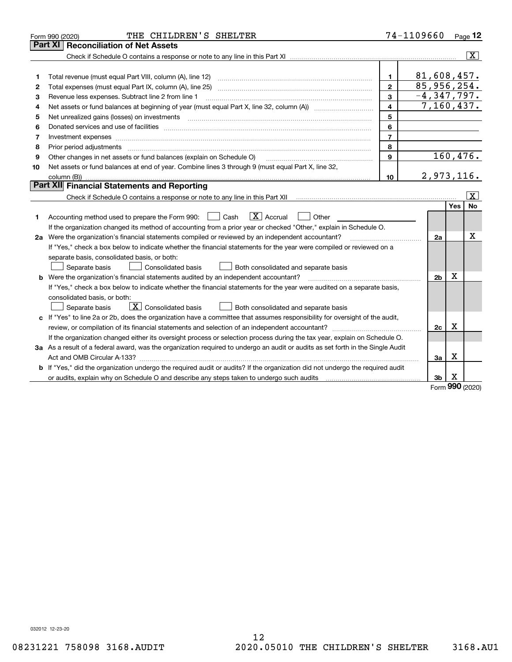|    | THE CHILDREN'S SHELTER<br>Form 990 (2020)                                                                                       |                         | 74-1109660      |     | Page $12$               |
|----|---------------------------------------------------------------------------------------------------------------------------------|-------------------------|-----------------|-----|-------------------------|
|    | Part XI<br><b>Reconciliation of Net Assets</b>                                                                                  |                         |                 |     |                         |
|    |                                                                                                                                 |                         |                 |     | $\overline{\mathbf{X}}$ |
|    |                                                                                                                                 |                         |                 |     |                         |
| 1  |                                                                                                                                 | 1.                      | 81,608,457.     |     |                         |
| 2  | Total expenses (must equal Part IX, column (A), line 25)                                                                        | $\overline{2}$          | 85,956,254.     |     |                         |
| з  | Revenue less expenses. Subtract line 2 from line 1                                                                              | 3                       | $-4, 347, 797.$ |     |                         |
| 4  |                                                                                                                                 | $\overline{\mathbf{4}}$ | 7, 160, 437.    |     |                         |
| 5  | Net unrealized gains (losses) on investments                                                                                    | 5                       |                 |     |                         |
| 6  |                                                                                                                                 | 6                       |                 |     |                         |
| 7  | Investment expenses www.communication.com/www.communication.com/www.communication.com/www.com                                   | $\overline{7}$          |                 |     |                         |
| 8  | Prior period adjustments                                                                                                        | 8                       |                 |     |                         |
| 9  | Other changes in net assets or fund balances (explain on Schedule O)                                                            | 9                       |                 |     | 160, 476.               |
| 10 | Net assets or fund balances at end of year. Combine lines 3 through 9 (must equal Part X, line 32,                              |                         |                 |     |                         |
|    |                                                                                                                                 | 10                      | 2,973,116.      |     |                         |
|    | Part XII Financial Statements and Reporting                                                                                     |                         |                 |     |                         |
|    |                                                                                                                                 |                         |                 |     | $\boxed{\text{X}}$      |
|    |                                                                                                                                 |                         |                 | Yes | No                      |
| 1. | $\boxed{\text{X}}$ Accrual<br>Accounting method used to prepare the Form 990: <u>June</u> Cash<br>Other                         |                         |                 |     |                         |
|    | If the organization changed its method of accounting from a prior year or checked "Other," explain in Schedule O.               |                         |                 |     |                         |
|    | 2a Were the organization's financial statements compiled or reviewed by an independent accountant?                              |                         | 2a              |     | X                       |
|    | If "Yes," check a box below to indicate whether the financial statements for the year were compiled or reviewed on a            |                         |                 |     |                         |
|    | separate basis, consolidated basis, or both:                                                                                    |                         |                 |     |                         |
|    | Separate basis<br>Both consolidated and separate basis<br>Consolidated basis                                                    |                         |                 |     |                         |
|    | <b>b</b> Were the organization's financial statements audited by an independent accountant?                                     |                         | 2 <sub>b</sub>  | х   |                         |
|    | If "Yes," check a box below to indicate whether the financial statements for the year were audited on a separate basis,         |                         |                 |     |                         |
|    | consolidated basis, or both:                                                                                                    |                         |                 |     |                         |
|    | $\mathbf{X}$ Consolidated basis<br>Both consolidated and separate basis<br>Separate basis                                       |                         |                 |     |                         |
|    | c If "Yes" to line 2a or 2b, does the organization have a committee that assumes responsibility for oversight of the audit,     |                         |                 |     |                         |
|    |                                                                                                                                 |                         | 2c              | х   |                         |
|    | If the organization changed either its oversight process or selection process during the tax year, explain on Schedule O.       |                         |                 |     |                         |
|    | 3a As a result of a federal award, was the organization required to undergo an audit or audits as set forth in the Single Audit |                         |                 |     |                         |
|    |                                                                                                                                 |                         | За              | X   |                         |
|    | b If "Yes," did the organization undergo the required audit or audits? If the organization did not undergo the required audit   |                         |                 |     |                         |
|    |                                                                                                                                 |                         | Зb              | х   |                         |
|    |                                                                                                                                 |                         |                 |     |                         |

Form (2020) **990**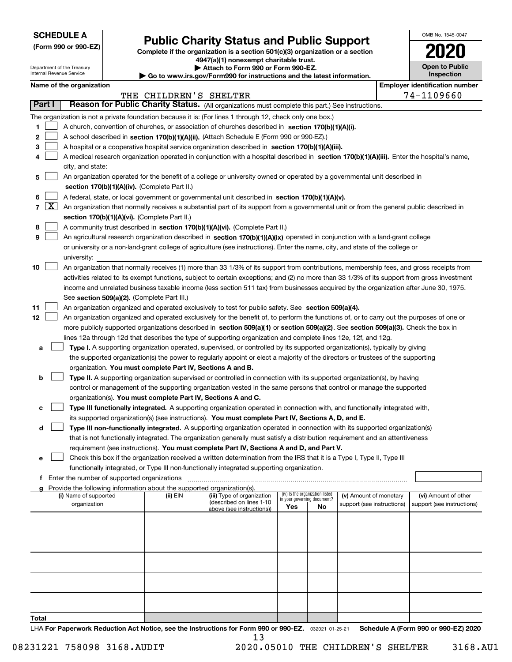| <b>SCHEDULE A</b> |
|-------------------|
|-------------------|

Department of the Treasury

**(Form 990 or 990-EZ)**

# **Public Charity Status and Public Support**

**Complete if the organization is a section 501(c)(3) organization or a section 4947(a)(1) nonexempt charitable trust.**

**| Attach to Form 990 or Form 990-EZ.** 

| OMB No. 1545-0047     |
|-----------------------|
| 2020                  |
| <b>Open to Public</b> |

|                |                     | Internal Revenue Service                    | $\blacktriangleright$ Go to www.irs.gov/Form990 for instructions and the latest information.                              | Inspection                                                                                                                                   |                             |                                 |                            |  |                                                     |
|----------------|---------------------|---------------------------------------------|---------------------------------------------------------------------------------------------------------------------------|----------------------------------------------------------------------------------------------------------------------------------------------|-----------------------------|---------------------------------|----------------------------|--|-----------------------------------------------------|
|                |                     | Name of the organization                    | THE CHILDREN'S SHELTER                                                                                                    |                                                                                                                                              |                             |                                 |                            |  | <b>Employer identification number</b><br>74-1109660 |
|                | Part I              |                                             |                                                                                                                           | Reason for Public Charity Status. (All organizations must complete this part.) See instructions.                                             |                             |                                 |                            |  |                                                     |
|                |                     |                                             |                                                                                                                           | The organization is not a private foundation because it is: (For lines 1 through 12, check only one box.)                                    |                             |                                 |                            |  |                                                     |
| 1              |                     |                                             |                                                                                                                           | A church, convention of churches, or association of churches described in section 170(b)(1)(A)(i).                                           |                             |                                 |                            |  |                                                     |
| 2              |                     |                                             |                                                                                                                           | A school described in section 170(b)(1)(A)(ii). (Attach Schedule E (Form 990 or 990-EZ).)                                                    |                             |                                 |                            |  |                                                     |
| з              |                     |                                             |                                                                                                                           | A hospital or a cooperative hospital service organization described in section 170(b)(1)(A)(iii).                                            |                             |                                 |                            |  |                                                     |
|                |                     |                                             |                                                                                                                           | A medical research organization operated in conjunction with a hospital described in section 170(b)(1)(A)(iii). Enter the hospital's name,   |                             |                                 |                            |  |                                                     |
|                |                     | city, and state:                            |                                                                                                                           |                                                                                                                                              |                             |                                 |                            |  |                                                     |
| 5              |                     |                                             |                                                                                                                           | An organization operated for the benefit of a college or university owned or operated by a governmental unit described in                    |                             |                                 |                            |  |                                                     |
|                |                     |                                             | section 170(b)(1)(A)(iv). (Complete Part II.)                                                                             |                                                                                                                                              |                             |                                 |                            |  |                                                     |
| 6              |                     |                                             |                                                                                                                           | A federal, state, or local government or governmental unit described in section 170(b)(1)(A)(v).                                             |                             |                                 |                            |  |                                                     |
| $\overline{7}$ | $\lfloor x \rfloor$ |                                             |                                                                                                                           | An organization that normally receives a substantial part of its support from a governmental unit or from the general public described in    |                             |                                 |                            |  |                                                     |
|                |                     |                                             | section 170(b)(1)(A)(vi). (Complete Part II.)                                                                             |                                                                                                                                              |                             |                                 |                            |  |                                                     |
| 8              |                     |                                             |                                                                                                                           | A community trust described in section 170(b)(1)(A)(vi). (Complete Part II.)                                                                 |                             |                                 |                            |  |                                                     |
| 9              |                     |                                             |                                                                                                                           | An agricultural research organization described in section 170(b)(1)(A)(ix) operated in conjunction with a land-grant college                |                             |                                 |                            |  |                                                     |
|                |                     |                                             |                                                                                                                           | or university or a non-land-grant college of agriculture (see instructions). Enter the name, city, and state of the college or               |                             |                                 |                            |  |                                                     |
|                |                     | university:                                 |                                                                                                                           |                                                                                                                                              |                             |                                 |                            |  |                                                     |
| 10             |                     |                                             |                                                                                                                           | An organization that normally receives (1) more than 33 1/3% of its support from contributions, membership fees, and gross receipts from     |                             |                                 |                            |  |                                                     |
|                |                     |                                             |                                                                                                                           | activities related to its exempt functions, subject to certain exceptions; and (2) no more than 33 1/3% of its support from gross investment |                             |                                 |                            |  |                                                     |
|                |                     |                                             |                                                                                                                           | income and unrelated business taxable income (less section 511 tax) from businesses acquired by the organization after June 30, 1975.        |                             |                                 |                            |  |                                                     |
|                |                     |                                             | See section 509(a)(2). (Complete Part III.)                                                                               |                                                                                                                                              |                             |                                 |                            |  |                                                     |
| 11             |                     |                                             |                                                                                                                           | An organization organized and operated exclusively to test for public safety. See section 509(a)(4).                                         |                             |                                 |                            |  |                                                     |
| 12             |                     |                                             |                                                                                                                           | An organization organized and operated exclusively for the benefit of, to perform the functions of, or to carry out the purposes of one or   |                             |                                 |                            |  |                                                     |
|                |                     |                                             |                                                                                                                           | more publicly supported organizations described in section 509(a)(1) or section 509(a)(2). See section 509(a)(3). Check the box in           |                             |                                 |                            |  |                                                     |
|                |                     |                                             |                                                                                                                           | lines 12a through 12d that describes the type of supporting organization and complete lines 12e, 12f, and 12g.                               |                             |                                 |                            |  |                                                     |
| а              |                     |                                             |                                                                                                                           | Type I. A supporting organization operated, supervised, or controlled by its supported organization(s), typically by giving                  |                             |                                 |                            |  |                                                     |
|                |                     |                                             |                                                                                                                           | the supported organization(s) the power to regularly appoint or elect a majority of the directors or trustees of the supporting              |                             |                                 |                            |  |                                                     |
|                |                     |                                             | organization. You must complete Part IV, Sections A and B.                                                                |                                                                                                                                              |                             |                                 |                            |  |                                                     |
| b              |                     |                                             |                                                                                                                           | Type II. A supporting organization supervised or controlled in connection with its supported organization(s), by having                      |                             |                                 |                            |  |                                                     |
|                |                     |                                             |                                                                                                                           | control or management of the supporting organization vested in the same persons that control or manage the supported                         |                             |                                 |                            |  |                                                     |
|                |                     |                                             | organization(s). You must complete Part IV, Sections A and C.                                                             |                                                                                                                                              |                             |                                 |                            |  |                                                     |
| с              |                     |                                             |                                                                                                                           | Type III functionally integrated. A supporting organization operated in connection with, and functionally integrated with,                   |                             |                                 |                            |  |                                                     |
|                |                     |                                             |                                                                                                                           | its supported organization(s) (see instructions). You must complete Part IV, Sections A, D, and E.                                           |                             |                                 |                            |  |                                                     |
| d              |                     |                                             | Type III non-functionally integrated. A supporting organization operated in connection with its supported organization(s) |                                                                                                                                              |                             |                                 |                            |  |                                                     |
|                |                     |                                             |                                                                                                                           | that is not functionally integrated. The organization generally must satisfy a distribution requirement and an attentiveness                 |                             |                                 |                            |  |                                                     |
|                |                     |                                             |                                                                                                                           | requirement (see instructions). You must complete Part IV, Sections A and D, and Part V.                                                     |                             |                                 |                            |  |                                                     |
| е              |                     |                                             |                                                                                                                           | Check this box if the organization received a written determination from the IRS that it is a Type I, Type II, Type III                      |                             |                                 |                            |  |                                                     |
|                |                     |                                             |                                                                                                                           | functionally integrated, or Type III non-functionally integrated supporting organization.                                                    |                             |                                 |                            |  |                                                     |
| f              |                     | Enter the number of supported organizations | Provide the following information about the supported organization(s).                                                    |                                                                                                                                              |                             |                                 |                            |  |                                                     |
|                |                     | (i) Name of supported                       | (ii) EIN                                                                                                                  | (iii) Type of organization                                                                                                                   | in your governing document? | (iv) Is the organization listed | (v) Amount of monetary     |  | (vi) Amount of other                                |
|                |                     | organization                                |                                                                                                                           | (described on lines 1-10<br>above (see instructions))                                                                                        | Yes                         | No                              | support (see instructions) |  | support (see instructions)                          |
|                |                     |                                             |                                                                                                                           |                                                                                                                                              |                             |                                 |                            |  |                                                     |
|                |                     |                                             |                                                                                                                           |                                                                                                                                              |                             |                                 |                            |  |                                                     |
|                |                     |                                             |                                                                                                                           |                                                                                                                                              |                             |                                 |                            |  |                                                     |
|                |                     |                                             |                                                                                                                           |                                                                                                                                              |                             |                                 |                            |  |                                                     |
|                |                     |                                             |                                                                                                                           |                                                                                                                                              |                             |                                 |                            |  |                                                     |
|                |                     |                                             |                                                                                                                           |                                                                                                                                              |                             |                                 |                            |  |                                                     |
|                |                     |                                             |                                                                                                                           |                                                                                                                                              |                             |                                 |                            |  |                                                     |
|                |                     |                                             |                                                                                                                           |                                                                                                                                              |                             |                                 |                            |  |                                                     |

**Total**

LHA For Paperwork Reduction Act Notice, see the Instructions for Form 990 or 990-EZ. <sub>032021</sub> o1-25-21 Schedule A (Form 990 or 990-EZ) 2020 13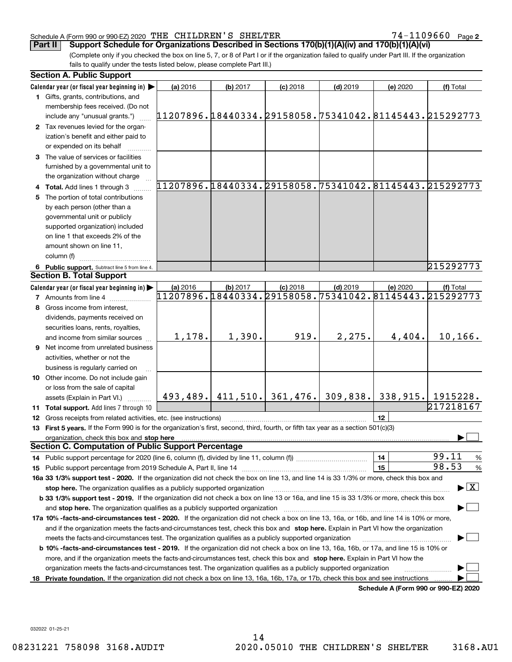74-1109660 Page 2

(Complete only if you checked the box on line 5, 7, or 8 of Part I or if the organization failed to qualify under Part III. If the organization fails to qualify under the tests listed below, please complete Part III.) **Part II Support Schedule for Organizations Described in Sections 170(b)(1)(A)(iv) and 170(b)(1)(A)(vi)**

|    | <b>Section A. Public Support</b>                                                                                                               |          |          |                                 |            |          |                                                        |
|----|------------------------------------------------------------------------------------------------------------------------------------------------|----------|----------|---------------------------------|------------|----------|--------------------------------------------------------|
|    | Calendar year (or fiscal year beginning in) $\blacktriangleright$                                                                              | (a) 2016 | (b) 2017 | $(c)$ 2018                      | $(d)$ 2019 | (e) 2020 | (f) Total                                              |
|    | 1 Gifts, grants, contributions, and                                                                                                            |          |          |                                 |            |          |                                                        |
|    | membership fees received. (Do not                                                                                                              |          |          |                                 |            |          |                                                        |
|    | include any "unusual grants.")                                                                                                                 |          |          |                                 |            |          | 11207896.18440334.29158058.75341042.81145443.215292773 |
|    | 2 Tax revenues levied for the organ-                                                                                                           |          |          |                                 |            |          |                                                        |
|    | ization's benefit and either paid to                                                                                                           |          |          |                                 |            |          |                                                        |
|    | or expended on its behalf                                                                                                                      |          |          |                                 |            |          |                                                        |
|    | 3 The value of services or facilities                                                                                                          |          |          |                                 |            |          |                                                        |
|    | furnished by a governmental unit to                                                                                                            |          |          |                                 |            |          |                                                        |
|    | the organization without charge                                                                                                                |          |          |                                 |            |          |                                                        |
|    | 4 Total. Add lines 1 through 3                                                                                                                 |          |          |                                 |            |          | 11207896.18440334.29158058.75341042.81145443.215292773 |
|    | 5 The portion of total contributions                                                                                                           |          |          |                                 |            |          |                                                        |
|    | by each person (other than a                                                                                                                   |          |          |                                 |            |          |                                                        |
|    | governmental unit or publicly                                                                                                                  |          |          |                                 |            |          |                                                        |
|    | supported organization) included                                                                                                               |          |          |                                 |            |          |                                                        |
|    | on line 1 that exceeds 2% of the                                                                                                               |          |          |                                 |            |          |                                                        |
|    | amount shown on line 11,                                                                                                                       |          |          |                                 |            |          |                                                        |
|    | column (f)                                                                                                                                     |          |          |                                 |            |          |                                                        |
|    | 6 Public support. Subtract line 5 from line 4.                                                                                                 |          |          |                                 |            |          | 215292773                                              |
|    | <b>Section B. Total Support</b>                                                                                                                |          |          |                                 |            |          |                                                        |
|    | Calendar year (or fiscal year beginning in)                                                                                                    | (a) 2016 | (b) 2017 | $(c)$ 2018                      | $(d)$ 2019 | (e) 2020 | (f) Total                                              |
|    | <b>7</b> Amounts from line 4                                                                                                                   |          |          |                                 |            |          | 11207896.18440334.29158058.75341042.81145443.215292773 |
|    | Gross income from interest,                                                                                                                    |          |          |                                 |            |          |                                                        |
|    | dividends, payments received on                                                                                                                |          |          |                                 |            |          |                                                        |
|    | securities loans, rents, royalties,                                                                                                            |          |          |                                 |            |          |                                                        |
|    | and income from similar sources                                                                                                                | 1,178.   | 1,390.   | 919.                            | 2, 275.    | 4,404.   | 10, 166.                                               |
|    | <b>9</b> Net income from unrelated business                                                                                                    |          |          |                                 |            |          |                                                        |
|    | activities, whether or not the                                                                                                                 |          |          |                                 |            |          |                                                        |
|    | business is regularly carried on                                                                                                               |          |          |                                 |            |          |                                                        |
|    | 10 Other income. Do not include gain                                                                                                           |          |          |                                 |            |          |                                                        |
|    | or loss from the sale of capital                                                                                                               |          |          |                                 |            |          |                                                        |
|    | assets (Explain in Part VI.)                                                                                                                   |          |          | $493, 489.$ 411, 510. 361, 476. |            |          | $309,838.$ 338, 915. 1915228.                          |
|    | 11 Total support. Add lines 7 through 10                                                                                                       |          |          |                                 |            |          | 217218167                                              |
|    | 12 Gross receipts from related activities, etc. (see instructions)                                                                             |          |          |                                 |            | 12       |                                                        |
|    | 13 First 5 years. If the Form 990 is for the organization's first, second, third, fourth, or fifth tax year as a section 501(c)(3)             |          |          |                                 |            |          |                                                        |
|    | organization, check this box and stop here                                                                                                     |          |          |                                 |            |          |                                                        |
|    | <b>Section C. Computation of Public Support Percentage</b>                                                                                     |          |          |                                 |            |          |                                                        |
|    |                                                                                                                                                |          |          |                                 |            | 14       | 99.11<br>$\frac{9}{6}$                                 |
|    |                                                                                                                                                |          |          |                                 |            | 15       | 98.53<br>%                                             |
|    | 16a 33 1/3% support test - 2020. If the organization did not check the box on line 13, and line 14 is 33 1/3% or more, check this box and      |          |          |                                 |            |          |                                                        |
|    | stop here. The organization qualifies as a publicly supported organization                                                                     |          |          |                                 |            |          | $\blacktriangleright$ $\boxed{\text{X}}$               |
|    | b 33 1/3% support test - 2019. If the organization did not check a box on line 13 or 16a, and line 15 is 33 1/3% or more, check this box       |          |          |                                 |            |          |                                                        |
|    | and stop here. The organization qualifies as a publicly supported organization                                                                 |          |          |                                 |            |          |                                                        |
|    | 17a 10% -facts-and-circumstances test - 2020. If the organization did not check a box on line 13, 16a, or 16b, and line 14 is 10% or more,     |          |          |                                 |            |          |                                                        |
|    | and if the organization meets the facts-and-circumstances test, check this box and stop here. Explain in Part VI how the organization          |          |          |                                 |            |          |                                                        |
|    | meets the facts-and-circumstances test. The organization qualifies as a publicly supported organization                                        |          |          |                                 |            |          |                                                        |
|    | <b>b 10% -facts-and-circumstances test - 2019.</b> If the organization did not check a box on line 13, 16a, 16b, or 17a, and line 15 is 10% or |          |          |                                 |            |          |                                                        |
|    | more, and if the organization meets the facts-and-circumstances test, check this box and stop here. Explain in Part VI how the                 |          |          |                                 |            |          |                                                        |
|    | organization meets the facts-and-circumstances test. The organization qualifies as a publicly supported organization                           |          |          |                                 |            |          |                                                        |
| 18 | Private foundation. If the organization did not check a box on line 13, 16a, 16b, 17a, or 17b, check this box and see instructions             |          |          |                                 |            |          |                                                        |
|    |                                                                                                                                                |          |          |                                 |            |          | Schedule A (Form 990 or 990-EZ) 2020                   |

**Schedule A (Form 990 or 990-EZ) 2020**

032022 01-25-21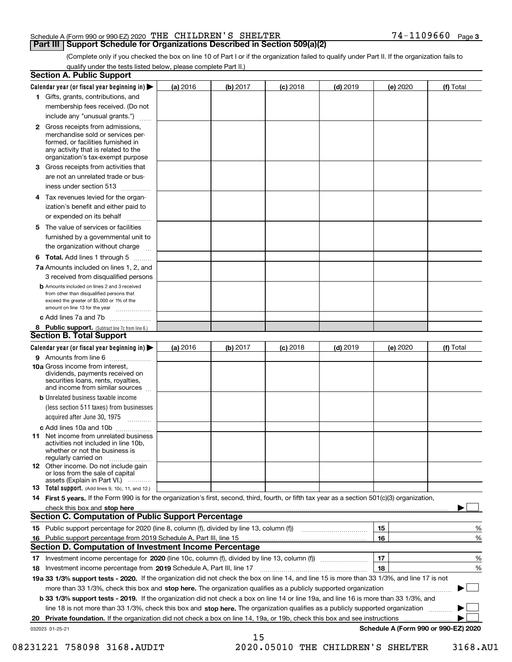### **Part III Support Schedule for Organizations Described in Section 509(a)(2)**

(Complete only if you checked the box on line 10 of Part I or if the organization failed to qualify under Part II. If the organization fails to qualify under the tests listed below, please complete Part II.)

| <b>Section A. Public Support</b>                                                                                                                                                                |          |          |            |            |          |                                      |
|-------------------------------------------------------------------------------------------------------------------------------------------------------------------------------------------------|----------|----------|------------|------------|----------|--------------------------------------|
| Calendar year (or fiscal year beginning in) $\blacktriangleright$                                                                                                                               | (a) 2016 | (b) 2017 | $(c)$ 2018 | $(d)$ 2019 | (e) 2020 | (f) Total                            |
| 1 Gifts, grants, contributions, and                                                                                                                                                             |          |          |            |            |          |                                      |
| membership fees received. (Do not                                                                                                                                                               |          |          |            |            |          |                                      |
| include any "unusual grants.")                                                                                                                                                                  |          |          |            |            |          |                                      |
| <b>2</b> Gross receipts from admissions,<br>merchandise sold or services per-<br>formed, or facilities furnished in<br>any activity that is related to the<br>organization's tax-exempt purpose |          |          |            |            |          |                                      |
| 3 Gross receipts from activities that<br>are not an unrelated trade or bus-                                                                                                                     |          |          |            |            |          |                                      |
| iness under section 513                                                                                                                                                                         |          |          |            |            |          |                                      |
| 4 Tax revenues levied for the organ-<br>ization's benefit and either paid to<br>or expended on its behalf                                                                                       |          |          |            |            |          |                                      |
| 5 The value of services or facilities<br>furnished by a governmental unit to                                                                                                                    |          |          |            |            |          |                                      |
| the organization without charge                                                                                                                                                                 |          |          |            |            |          |                                      |
| <b>6 Total.</b> Add lines 1 through 5                                                                                                                                                           |          |          |            |            |          |                                      |
| 7a Amounts included on lines 1, 2, and<br>3 received from disqualified persons                                                                                                                  |          |          |            |            |          |                                      |
| <b>b</b> Amounts included on lines 2 and 3 received<br>from other than disqualified persons that<br>exceed the greater of \$5,000 or 1% of the<br>amount on line 13 for the year                |          |          |            |            |          |                                      |
| c Add lines 7a and 7b                                                                                                                                                                           |          |          |            |            |          |                                      |
| 8 Public support. (Subtract line 7c from line 6.)                                                                                                                                               |          |          |            |            |          |                                      |
| <b>Section B. Total Support</b>                                                                                                                                                                 |          |          |            |            |          |                                      |
| Calendar year (or fiscal year beginning in)                                                                                                                                                     | (a) 2016 | (b) 2017 | $(c)$ 2018 | $(d)$ 2019 | (e) 2020 | (f) Total                            |
| 9 Amounts from line 6<br>10a Gross income from interest,<br>dividends, payments received on<br>securities loans, rents, royalties,<br>and income from similar sources                           |          |          |            |            |          |                                      |
| <b>b</b> Unrelated business taxable income<br>(less section 511 taxes) from businesses<br>acquired after June 30, 1975                                                                          |          |          |            |            |          |                                      |
| c Add lines 10a and 10b                                                                                                                                                                         |          |          |            |            |          |                                      |
| <b>11</b> Net income from unrelated business<br>activities not included in line 10b,<br>whether or not the business is<br>regularly carried on                                                  |          |          |            |            |          |                                      |
| <b>12</b> Other income. Do not include gain<br>or loss from the sale of capital<br>assets (Explain in Part VI.)                                                                                 |          |          |            |            |          |                                      |
| <b>13 Total support.</b> (Add lines 9, 10c, 11, and 12.)                                                                                                                                        |          |          |            |            |          |                                      |
| 14 First 5 years. If the Form 990 is for the organization's first, second, third, fourth, or fifth tax year as a section 501(c)(3) organization,                                                |          |          |            |            |          |                                      |
| check this box and stop here www.communications.communications.com/                                                                                                                             |          |          |            |            |          |                                      |
| <b>Section C. Computation of Public Support Percentage</b>                                                                                                                                      |          |          |            |            |          |                                      |
|                                                                                                                                                                                                 |          |          |            |            | 15       | %                                    |
| 16 Public support percentage from 2019 Schedule A, Part III, line 15                                                                                                                            |          |          |            |            | 16       | %                                    |
| <b>Section D. Computation of Investment Income Percentage</b>                                                                                                                                   |          |          |            |            |          |                                      |
| 17 Investment income percentage for 2020 (line 10c, column (f), divided by line 13, column (f))                                                                                                 |          |          |            |            | 17       | %                                    |
| 18 Investment income percentage from 2019 Schedule A, Part III, line 17                                                                                                                         |          |          |            |            | 18       | %                                    |
| 19a 33 1/3% support tests - 2020. If the organization did not check the box on line 14, and line 15 is more than 33 1/3%, and line 17 is not                                                    |          |          |            |            |          |                                      |
| more than 33 1/3%, check this box and stop here. The organization qualifies as a publicly supported organization                                                                                |          |          |            |            |          |                                      |
| b 33 1/3% support tests - 2019. If the organization did not check a box on line 14 or line 19a, and line 16 is more than 33 1/3%, and                                                           |          |          |            |            |          |                                      |
| line 18 is not more than 33 1/3%, check this box and stop here. The organization qualifies as a publicly supported organization                                                                 |          |          |            |            |          |                                      |
| 20 Private foundation. If the organization did not check a box on line 14, 19a, or 19b, check this box and see instructions                                                                     |          |          |            |            |          |                                      |
| 032023 01-25-21                                                                                                                                                                                 |          | 15       |            |            |          | Schedule A (Form 990 or 990-EZ) 2020 |

08231221 758098 3168.AUDIT 2020.05010 THE CHILDREN'S SHELTER 3168.AU1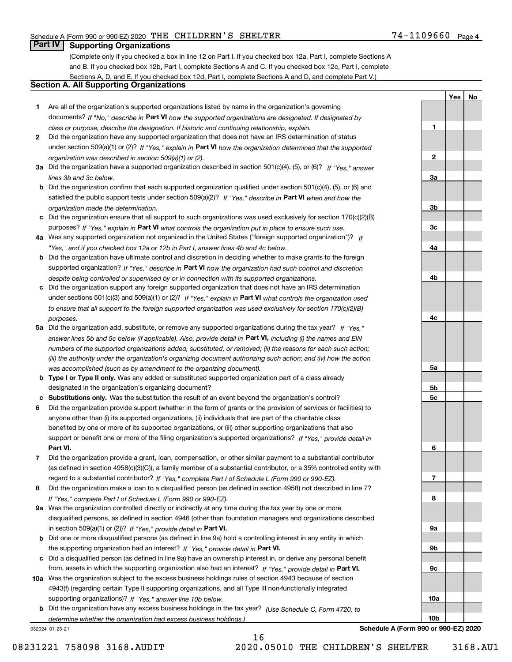**1**

**2**

**3a**

**3b**

**3c**

**4a**

**4b**

**4c**

**5a**

**5b5c**

**6**

**7**

**8**

**9a**

**9b**

**9c**

**10a**

**10b**

**YesNo**

## **Part IV Supporting Organizations**

(Complete only if you checked a box in line 12 on Part I. If you checked box 12a, Part I, complete Sections A and B. If you checked box 12b, Part I, complete Sections A and C. If you checked box 12c, Part I, complete Sections A, D, and E. If you checked box 12d, Part I, complete Sections A and D, and complete Part V.)

#### **Section A. All Supporting Organizations**

- **1** Are all of the organization's supported organizations listed by name in the organization's governing documents? If "No," describe in **Part VI** how the supported organizations are designated. If designated by *class or purpose, describe the designation. If historic and continuing relationship, explain.*
- **2** Did the organization have any supported organization that does not have an IRS determination of status under section 509(a)(1) or (2)? If "Yes," explain in Part VI how the organization determined that the supported *organization was described in section 509(a)(1) or (2).*
- **3a** Did the organization have a supported organization described in section 501(c)(4), (5), or (6)? If "Yes," answer *lines 3b and 3c below.*
- **b** Did the organization confirm that each supported organization qualified under section 501(c)(4), (5), or (6) and satisfied the public support tests under section 509(a)(2)? If "Yes," describe in **Part VI** when and how the *organization made the determination.*
- **c**Did the organization ensure that all support to such organizations was used exclusively for section 170(c)(2)(B) purposes? If "Yes," explain in **Part VI** what controls the organization put in place to ensure such use.
- **4a***If* Was any supported organization not organized in the United States ("foreign supported organization")? *"Yes," and if you checked box 12a or 12b in Part I, answer lines 4b and 4c below.*
- **b** Did the organization have ultimate control and discretion in deciding whether to make grants to the foreign supported organization? If "Yes," describe in **Part VI** how the organization had such control and discretion *despite being controlled or supervised by or in connection with its supported organizations.*
- **c** Did the organization support any foreign supported organization that does not have an IRS determination under sections 501(c)(3) and 509(a)(1) or (2)? If "Yes," explain in **Part VI** what controls the organization used *to ensure that all support to the foreign supported organization was used exclusively for section 170(c)(2)(B) purposes.*
- **5a** Did the organization add, substitute, or remove any supported organizations during the tax year? If "Yes," answer lines 5b and 5c below (if applicable). Also, provide detail in **Part VI,** including (i) the names and EIN *numbers of the supported organizations added, substituted, or removed; (ii) the reasons for each such action; (iii) the authority under the organization's organizing document authorizing such action; and (iv) how the action was accomplished (such as by amendment to the organizing document).*
- **b** Type I or Type II only. Was any added or substituted supported organization part of a class already designated in the organization's organizing document?
- **cSubstitutions only.**  Was the substitution the result of an event beyond the organization's control?
- **6** Did the organization provide support (whether in the form of grants or the provision of services or facilities) to **Part VI.** *If "Yes," provide detail in* support or benefit one or more of the filing organization's supported organizations? anyone other than (i) its supported organizations, (ii) individuals that are part of the charitable class benefited by one or more of its supported organizations, or (iii) other supporting organizations that also
- **7**Did the organization provide a grant, loan, compensation, or other similar payment to a substantial contributor *If "Yes," complete Part I of Schedule L (Form 990 or 990-EZ).* regard to a substantial contributor? (as defined in section 4958(c)(3)(C)), a family member of a substantial contributor, or a 35% controlled entity with
- **8** Did the organization make a loan to a disqualified person (as defined in section 4958) not described in line 7? *If "Yes," complete Part I of Schedule L (Form 990 or 990-EZ).*
- **9a** Was the organization controlled directly or indirectly at any time during the tax year by one or more in section 509(a)(1) or (2))? If "Yes," *provide detail in* <code>Part VI.</code> disqualified persons, as defined in section 4946 (other than foundation managers and organizations described
- **b** Did one or more disqualified persons (as defined in line 9a) hold a controlling interest in any entity in which the supporting organization had an interest? If "Yes," provide detail in P**art VI**.
- **c**Did a disqualified person (as defined in line 9a) have an ownership interest in, or derive any personal benefit from, assets in which the supporting organization also had an interest? If "Yes," provide detail in P**art VI.**
- **10a** Was the organization subject to the excess business holdings rules of section 4943 because of section supporting organizations)? If "Yes," answer line 10b below. 4943(f) (regarding certain Type II supporting organizations, and all Type III non-functionally integrated
- **b** Did the organization have any excess business holdings in the tax year? (Use Schedule C, Form 4720, to *determine whether the organization had excess business holdings.)*

16

032024 01-25-21

**Schedule A (Form 990 or 990-EZ) 2020**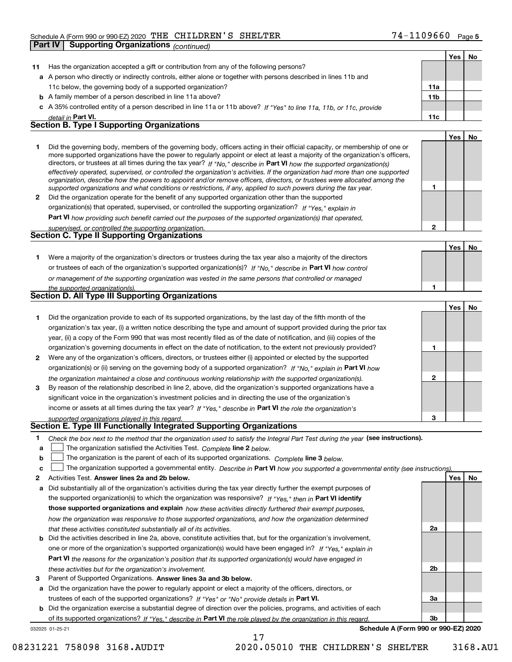|    | <b>Supporting Organizations (continued)</b><br>Part IV                                                                                                                                                                                                   |                 |     |    |
|----|----------------------------------------------------------------------------------------------------------------------------------------------------------------------------------------------------------------------------------------------------------|-----------------|-----|----|
|    |                                                                                                                                                                                                                                                          |                 | Yes | No |
| 11 | Has the organization accepted a gift or contribution from any of the following persons?                                                                                                                                                                  |                 |     |    |
|    | a A person who directly or indirectly controls, either alone or together with persons described in lines 11b and                                                                                                                                         |                 |     |    |
|    | 11c below, the governing body of a supported organization?                                                                                                                                                                                               | 11a             |     |    |
|    | <b>b</b> A family member of a person described in line 11a above?                                                                                                                                                                                        | 11 <sub>b</sub> |     |    |
|    | c A 35% controlled entity of a person described in line 11a or 11b above? If "Yes" to line 11a, 11b, or 11c, provide                                                                                                                                     |                 |     |    |
|    | detail in <b>Part VI.</b>                                                                                                                                                                                                                                | 11c             |     |    |
|    | <b>Section B. Type I Supporting Organizations</b>                                                                                                                                                                                                        |                 |     |    |
|    |                                                                                                                                                                                                                                                          |                 | Yes | No |
| 1  | Did the governing body, members of the governing body, officers acting in their official capacity, or membership of one or                                                                                                                               |                 |     |    |
|    | more supported organizations have the power to regularly appoint or elect at least a majority of the organization's officers,<br>directors, or trustees at all times during the tax year? If "No," describe in Part VI how the supported organization(s) |                 |     |    |
|    | effectively operated, supervised, or controlled the organization's activities. If the organization had more than one supported                                                                                                                           |                 |     |    |
|    | organization, describe how the powers to appoint and/or remove officers, directors, or trustees were allocated among the                                                                                                                                 |                 |     |    |
|    | supported organizations and what conditions or restrictions, if any, applied to such powers during the tax year.                                                                                                                                         | 1               |     |    |
| 2  | Did the organization operate for the benefit of any supported organization other than the supported                                                                                                                                                      |                 |     |    |
|    | organization(s) that operated, supervised, or controlled the supporting organization? If "Yes," explain in                                                                                                                                               |                 |     |    |
|    | <b>Part VI</b> how providing such benefit carried out the purposes of the supported organization(s) that operated,                                                                                                                                       |                 |     |    |
|    | supervised, or controlled the supporting organization.<br><b>Section C. Type II Supporting Organizations</b>                                                                                                                                             | $\overline{2}$  |     |    |
|    |                                                                                                                                                                                                                                                          |                 |     |    |
|    |                                                                                                                                                                                                                                                          |                 | Yes | No |
| 1. | Were a majority of the organization's directors or trustees during the tax year also a majority of the directors                                                                                                                                         |                 |     |    |
|    | or trustees of each of the organization's supported organization(s)? If "No." describe in Part VI how control                                                                                                                                            |                 |     |    |
|    | or management of the supporting organization was vested in the same persons that controlled or managed                                                                                                                                                   |                 |     |    |
|    | the supported organization(s).<br>Section D. All Type III Supporting Organizations                                                                                                                                                                       | 1               |     |    |
|    |                                                                                                                                                                                                                                                          |                 | Yes | No |
| 1  | Did the organization provide to each of its supported organizations, by the last day of the fifth month of the                                                                                                                                           |                 |     |    |
|    | organization's tax year, (i) a written notice describing the type and amount of support provided during the prior tax                                                                                                                                    |                 |     |    |
|    | year, (ii) a copy of the Form 990 that was most recently filed as of the date of notification, and (iii) copies of the                                                                                                                                   |                 |     |    |
|    | organization's governing documents in effect on the date of notification, to the extent not previously provided?                                                                                                                                         | 1               |     |    |
| 2  | Were any of the organization's officers, directors, or trustees either (i) appointed or elected by the supported                                                                                                                                         |                 |     |    |
|    | organization(s) or (ii) serving on the governing body of a supported organization? If "No," explain in Part VI how                                                                                                                                       |                 |     |    |
|    | the organization maintained a close and continuous working relationship with the supported organization(s).                                                                                                                                              | 2               |     |    |
| 3  | By reason of the relationship described in line 2, above, did the organization's supported organizations have a                                                                                                                                          |                 |     |    |
|    | significant voice in the organization's investment policies and in directing the use of the organization's                                                                                                                                               |                 |     |    |
|    | income or assets at all times during the tax year? If "Yes," describe in Part VI the role the organization's                                                                                                                                             |                 |     |    |
|    | supported organizations played in this regard.                                                                                                                                                                                                           | 3               |     |    |
|    | Section E. Type III Functionally Integrated Supporting Organizations                                                                                                                                                                                     |                 |     |    |
| 1  | Check the box next to the method that the organization used to satisfy the Integral Part Test during the year (see instructions).                                                                                                                        |                 |     |    |
| а  | The organization satisfied the Activities Test. Complete line 2 below.                                                                                                                                                                                   |                 |     |    |
| b  | The organization is the parent of each of its supported organizations. Complete line 3 below.                                                                                                                                                            |                 |     |    |
| c  | The organization supported a governmental entity. Describe in Part VI how you supported a governmental entity (see instructions).                                                                                                                        |                 |     |    |
| 2  | Activities Test. Answer lines 2a and 2b below.                                                                                                                                                                                                           |                 | Yes | No |
| a  | Did substantially all of the organization's activities during the tax year directly further the exempt purposes of                                                                                                                                       |                 |     |    |
|    | the supported organization(s) to which the organization was responsive? If "Yes." then in Part VI identify                                                                                                                                               |                 |     |    |

|  |                                                                        |  | those supported organizations and explain how these activities directly furthered their exempt purposes,                     |  |
|--|------------------------------------------------------------------------|--|------------------------------------------------------------------------------------------------------------------------------|--|
|  |                                                                        |  | how the organization was responsive to those supported organizations, and how the organization determined                    |  |
|  | that these activities constituted substantially all of its activities. |  |                                                                                                                              |  |
|  |                                                                        |  | <b>b</b> Did the activities described in line 2a, above, constitute activities that, but for the organization's involvement, |  |

## **Part VI**  *the reasons for the organization's position that its supported organization(s) would have engaged in* one or more of the organization's supported organization(s) would have been engaged in? If "Yes," e*xplain in these activities but for the organization's involvement.*

**3** Parent of Supported Organizations. Answer lines 3a and 3b below.

**a** Did the organization have the power to regularly appoint or elect a majority of the officers, directors, or trustees of each of the supported organizations? If "Yes" or "No" provide details in P**art VI.** 

**b** Did the organization exercise a substantial degree of direction over the policies, programs, and activities of each of its supported organizations? If "Yes," describe in Part VI the role played by the organization in this regard.

17

032025 01-25-21

**Schedule A (Form 990 or 990-EZ) 2020**

**2a**

**2b**

**3a**

**3b**

08231221 758098 3168.AUDIT 2020.05010 THE CHILDREN'S SHELTER 3168.AU1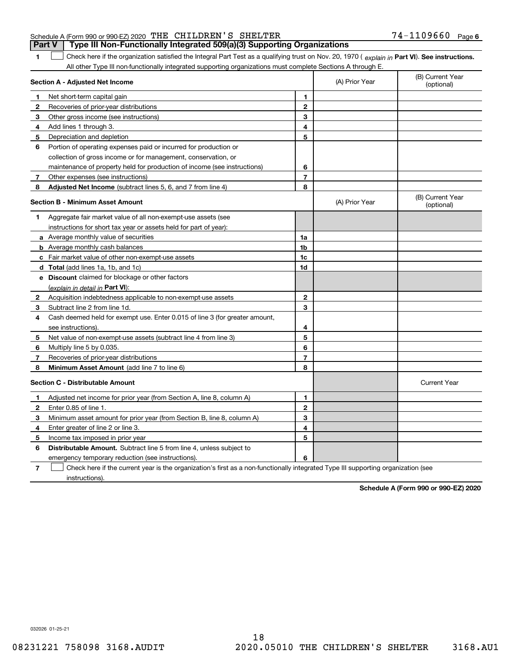#### Schedule A (Form 990 or 990-EZ) 2020 Page THE CHILDREN'S SHELTER 74-1109660 **Part V Type III Non-Functionally Integrated 509(a)(3) Supporting Organizations**

**1**

1 Check here if the organization satisfied the Integral Part Test as a qualifying trust on Nov. 20, 1970 (explain in Part VI). See instructions. All other Type III non-functionally integrated supporting organizations must complete Sections A through E.

|              | Section A - Adjusted Net Income                                                                                                   |                | (A) Prior Year | (B) Current Year<br>(optional) |
|--------------|-----------------------------------------------------------------------------------------------------------------------------------|----------------|----------------|--------------------------------|
| 1            | Net short-term capital gain                                                                                                       | 1              |                |                                |
| 2            | Recoveries of prior-year distributions                                                                                            | $\overline{2}$ |                |                                |
| 3            | Other gross income (see instructions)                                                                                             | 3              |                |                                |
| 4            | Add lines 1 through 3.                                                                                                            | 4              |                |                                |
| 5            | Depreciation and depletion                                                                                                        | 5              |                |                                |
| 6            | Portion of operating expenses paid or incurred for production or                                                                  |                |                |                                |
|              | collection of gross income or for management, conservation, or                                                                    |                |                |                                |
|              | maintenance of property held for production of income (see instructions)                                                          | 6              |                |                                |
| 7            | Other expenses (see instructions)                                                                                                 | $\overline{7}$ |                |                                |
| 8            | Adjusted Net Income (subtract lines 5, 6, and 7 from line 4)                                                                      | 8              |                |                                |
|              | <b>Section B - Minimum Asset Amount</b>                                                                                           |                | (A) Prior Year | (B) Current Year<br>(optional) |
| 1            | Aggregate fair market value of all non-exempt-use assets (see                                                                     |                |                |                                |
|              | instructions for short tax year or assets held for part of year):                                                                 |                |                |                                |
|              | a Average monthly value of securities                                                                                             | 1a             |                |                                |
|              | <b>b</b> Average monthly cash balances                                                                                            | 1 <sub>b</sub> |                |                                |
|              | c Fair market value of other non-exempt-use assets                                                                                | 1c             |                |                                |
|              | d Total (add lines 1a, 1b, and 1c)                                                                                                | 1d             |                |                                |
|              | e Discount claimed for blockage or other factors                                                                                  |                |                |                                |
|              | (explain in detail in Part VI):                                                                                                   |                |                |                                |
| $\mathbf{2}$ | Acquisition indebtedness applicable to non-exempt-use assets                                                                      | 2              |                |                                |
| 3            | Subtract line 2 from line 1d.                                                                                                     | 3              |                |                                |
| 4            | Cash deemed held for exempt use. Enter 0.015 of line 3 (for greater amount,                                                       |                |                |                                |
|              | see instructions).                                                                                                                | 4              |                |                                |
| 5            | Net value of non-exempt-use assets (subtract line 4 from line 3)                                                                  | 5              |                |                                |
| 6            | Multiply line 5 by 0.035.                                                                                                         | 6              |                |                                |
| 7            | Recoveries of prior-year distributions                                                                                            | $\overline{7}$ |                |                                |
| 8            | Minimum Asset Amount (add line 7 to line 6)                                                                                       | 8              |                |                                |
|              | <b>Section C - Distributable Amount</b>                                                                                           |                |                | <b>Current Year</b>            |
| 1            | Adjusted net income for prior year (from Section A, line 8, column A)                                                             | 1              |                |                                |
| 2            | Enter 0.85 of line 1.                                                                                                             | $\overline{2}$ |                |                                |
| з            | Minimum asset amount for prior year (from Section B, line 8, column A)                                                            | 3              |                |                                |
| 4            | Enter greater of line 2 or line 3.                                                                                                | 4              |                |                                |
| 5            | Income tax imposed in prior year                                                                                                  | 5              |                |                                |
| 6            | <b>Distributable Amount.</b> Subtract line 5 from line 4, unless subject to                                                       |                |                |                                |
|              | emergency temporary reduction (see instructions).                                                                                 | 6              |                |                                |
| 7            | Check here if the current year is the organization's first as a non-functionally integrated Type III supporting organization (see |                |                |                                |

instructions).

**Schedule A (Form 990 or 990-EZ) 2020**

032026 01-25-21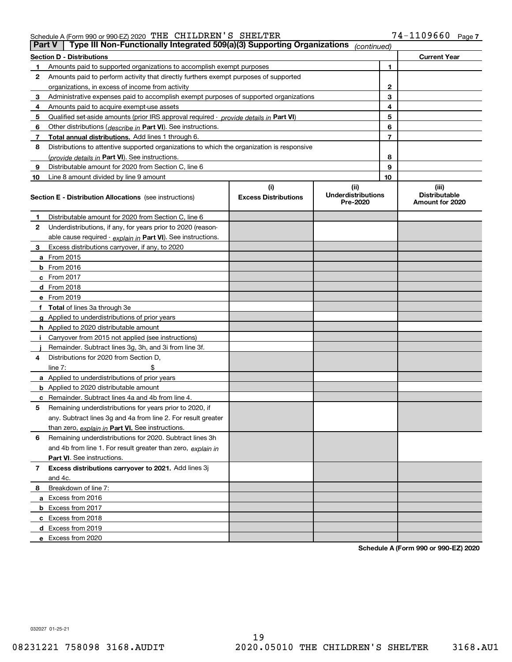| Part V | Type III Non-Functionally Integrated 509(a)(3) Supporting Organizations                    |                                    | (continued)                                   |                                                  |  |  |  |  |  |  |  |
|--------|--------------------------------------------------------------------------------------------|------------------------------------|-----------------------------------------------|--------------------------------------------------|--|--|--|--|--|--|--|
|        | <b>Section D - Distributions</b><br><b>Current Year</b>                                    |                                    |                                               |                                                  |  |  |  |  |  |  |  |
|        | Amounts paid to supported organizations to accomplish exempt purposes                      | 1                                  |                                               |                                                  |  |  |  |  |  |  |  |
| 2      | Amounts paid to perform activity that directly furthers exempt purposes of supported       |                                    |                                               |                                                  |  |  |  |  |  |  |  |
|        | organizations, in excess of income from activity                                           | 2                                  |                                               |                                                  |  |  |  |  |  |  |  |
| 3      | Administrative expenses paid to accomplish exempt purposes of supported organizations      |                                    | 3                                             |                                                  |  |  |  |  |  |  |  |
| 4      | Amounts paid to acquire exempt-use assets                                                  |                                    | 4                                             |                                                  |  |  |  |  |  |  |  |
| 5      | Qualified set aside amounts (prior IRS approval required - provide details in Part VI)     |                                    | 5                                             |                                                  |  |  |  |  |  |  |  |
| 6      | Other distributions ( <i>describe in</i> Part VI). See instructions.                       |                                    | 6                                             |                                                  |  |  |  |  |  |  |  |
| 7      | Total annual distributions. Add lines 1 through 6.                                         |                                    | 7                                             |                                                  |  |  |  |  |  |  |  |
| 8      | Distributions to attentive supported organizations to which the organization is responsive |                                    |                                               |                                                  |  |  |  |  |  |  |  |
|        | (provide details in Part VI). See instructions.                                            |                                    | 8                                             |                                                  |  |  |  |  |  |  |  |
| 9      | Distributable amount for 2020 from Section C, line 6                                       |                                    | 9                                             |                                                  |  |  |  |  |  |  |  |
| 10     | Line 8 amount divided by line 9 amount                                                     |                                    | 10                                            |                                                  |  |  |  |  |  |  |  |
|        | <b>Section E - Distribution Allocations</b> (see instructions)                             | (i)<br><b>Excess Distributions</b> | (ii)<br><b>Underdistributions</b><br>Pre-2020 | (iii)<br><b>Distributable</b><br>Amount for 2020 |  |  |  |  |  |  |  |
| 1      | Distributable amount for 2020 from Section C, line 6                                       |                                    |                                               |                                                  |  |  |  |  |  |  |  |
| 2      | Underdistributions, if any, for years prior to 2020 (reason-                               |                                    |                                               |                                                  |  |  |  |  |  |  |  |
|        | able cause required - explain in Part VI). See instructions.                               |                                    |                                               |                                                  |  |  |  |  |  |  |  |
| 3      | Excess distributions carryover, if any, to 2020                                            |                                    |                                               |                                                  |  |  |  |  |  |  |  |
|        | a From 2015                                                                                |                                    |                                               |                                                  |  |  |  |  |  |  |  |
|        | $b$ From 2016                                                                              |                                    |                                               |                                                  |  |  |  |  |  |  |  |
|        | $c$ From 2017                                                                              |                                    |                                               |                                                  |  |  |  |  |  |  |  |
|        | <b>d</b> From 2018                                                                         |                                    |                                               |                                                  |  |  |  |  |  |  |  |
|        | e From 2019                                                                                |                                    |                                               |                                                  |  |  |  |  |  |  |  |
|        | f Total of lines 3a through 3e                                                             |                                    |                                               |                                                  |  |  |  |  |  |  |  |
|        | g Applied to underdistributions of prior years                                             |                                    |                                               |                                                  |  |  |  |  |  |  |  |
|        | <b>h</b> Applied to 2020 distributable amount                                              |                                    |                                               |                                                  |  |  |  |  |  |  |  |
|        | Carryover from 2015 not applied (see instructions)                                         |                                    |                                               |                                                  |  |  |  |  |  |  |  |
|        | Remainder. Subtract lines 3g, 3h, and 3i from line 3f.                                     |                                    |                                               |                                                  |  |  |  |  |  |  |  |
| 4      | Distributions for 2020 from Section D.                                                     |                                    |                                               |                                                  |  |  |  |  |  |  |  |
|        | line $7:$                                                                                  |                                    |                                               |                                                  |  |  |  |  |  |  |  |
|        | a Applied to underdistributions of prior years                                             |                                    |                                               |                                                  |  |  |  |  |  |  |  |
|        | <b>b</b> Applied to 2020 distributable amount                                              |                                    |                                               |                                                  |  |  |  |  |  |  |  |
|        | <b>c</b> Remainder. Subtract lines 4a and 4b from line 4.                                  |                                    |                                               |                                                  |  |  |  |  |  |  |  |
| 5      | Remaining underdistributions for years prior to 2020, if                                   |                                    |                                               |                                                  |  |  |  |  |  |  |  |
|        | any. Subtract lines 3g and 4a from line 2. For result greater                              |                                    |                                               |                                                  |  |  |  |  |  |  |  |
|        | than zero, explain in Part VI. See instructions.                                           |                                    |                                               |                                                  |  |  |  |  |  |  |  |
| 6      | Remaining underdistributions for 2020. Subtract lines 3h                                   |                                    |                                               |                                                  |  |  |  |  |  |  |  |
|        | and 4b from line 1. For result greater than zero, explain in                               |                                    |                                               |                                                  |  |  |  |  |  |  |  |
|        | Part VI. See instructions.                                                                 |                                    |                                               |                                                  |  |  |  |  |  |  |  |
| 7      | Excess distributions carryover to 2021. Add lines 3j                                       |                                    |                                               |                                                  |  |  |  |  |  |  |  |
|        | and 4c.                                                                                    |                                    |                                               |                                                  |  |  |  |  |  |  |  |
| 8      | Breakdown of line 7:                                                                       |                                    |                                               |                                                  |  |  |  |  |  |  |  |
|        | a Excess from 2016                                                                         |                                    |                                               |                                                  |  |  |  |  |  |  |  |
|        | <b>b</b> Excess from 2017                                                                  |                                    |                                               |                                                  |  |  |  |  |  |  |  |
|        | c Excess from 2018                                                                         |                                    |                                               |                                                  |  |  |  |  |  |  |  |
|        | d Excess from 2019                                                                         |                                    |                                               |                                                  |  |  |  |  |  |  |  |
|        | e Excess from 2020                                                                         |                                    |                                               |                                                  |  |  |  |  |  |  |  |

**Schedule A (Form 990 or 990-EZ) 2020**

032027 01-25-21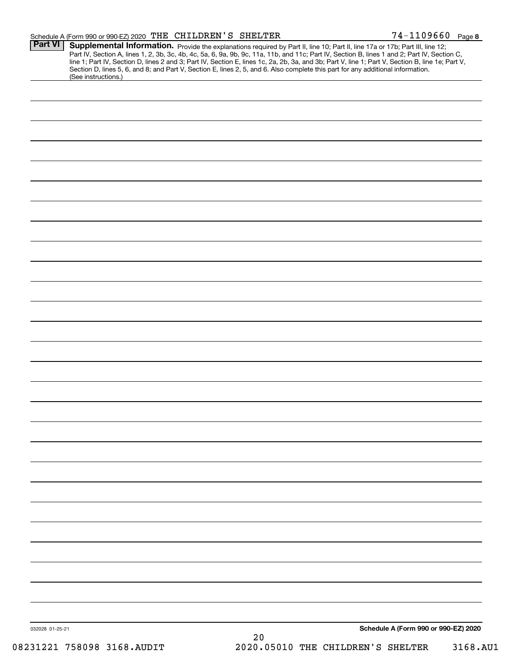| Part VI         | Supplemental Information. Provide the explanations required by Part II, line 10; Part II, line 17a or 17b; Part III, line 12;<br>Part IV, Section A, lines 1, 2, 3b, 3c, 4b, 4c, 5a, 6, 9a, 9b, 9c, 11a, 11b, and 11c; Part IV, Section B, lines 1 and 2; Part IV, Section C,<br>line 1; Part IV, Section D, lines 2 and 3; Part IV, Section E, lines 1c, 2a, 2b, 3a, and 3b; Part V, line 1; Part V, Section B, line 1e; Part V,<br>Section D, lines 5, 6, and 8; and Part V, Section E, lines 2, 5, and 6. Also complete this part for any additional information. |    |                                      |
|-----------------|----------------------------------------------------------------------------------------------------------------------------------------------------------------------------------------------------------------------------------------------------------------------------------------------------------------------------------------------------------------------------------------------------------------------------------------------------------------------------------------------------------------------------------------------------------------------|----|--------------------------------------|
|                 | (See instructions.)                                                                                                                                                                                                                                                                                                                                                                                                                                                                                                                                                  |    |                                      |
|                 |                                                                                                                                                                                                                                                                                                                                                                                                                                                                                                                                                                      |    |                                      |
|                 |                                                                                                                                                                                                                                                                                                                                                                                                                                                                                                                                                                      |    |                                      |
|                 |                                                                                                                                                                                                                                                                                                                                                                                                                                                                                                                                                                      |    |                                      |
|                 |                                                                                                                                                                                                                                                                                                                                                                                                                                                                                                                                                                      |    |                                      |
|                 |                                                                                                                                                                                                                                                                                                                                                                                                                                                                                                                                                                      |    |                                      |
|                 |                                                                                                                                                                                                                                                                                                                                                                                                                                                                                                                                                                      |    |                                      |
|                 |                                                                                                                                                                                                                                                                                                                                                                                                                                                                                                                                                                      |    |                                      |
|                 |                                                                                                                                                                                                                                                                                                                                                                                                                                                                                                                                                                      |    |                                      |
|                 |                                                                                                                                                                                                                                                                                                                                                                                                                                                                                                                                                                      |    |                                      |
|                 |                                                                                                                                                                                                                                                                                                                                                                                                                                                                                                                                                                      |    |                                      |
|                 |                                                                                                                                                                                                                                                                                                                                                                                                                                                                                                                                                                      |    |                                      |
|                 |                                                                                                                                                                                                                                                                                                                                                                                                                                                                                                                                                                      |    |                                      |
|                 |                                                                                                                                                                                                                                                                                                                                                                                                                                                                                                                                                                      |    |                                      |
|                 |                                                                                                                                                                                                                                                                                                                                                                                                                                                                                                                                                                      |    |                                      |
|                 |                                                                                                                                                                                                                                                                                                                                                                                                                                                                                                                                                                      |    |                                      |
|                 |                                                                                                                                                                                                                                                                                                                                                                                                                                                                                                                                                                      |    |                                      |
|                 |                                                                                                                                                                                                                                                                                                                                                                                                                                                                                                                                                                      |    |                                      |
|                 |                                                                                                                                                                                                                                                                                                                                                                                                                                                                                                                                                                      |    |                                      |
|                 |                                                                                                                                                                                                                                                                                                                                                                                                                                                                                                                                                                      |    |                                      |
|                 |                                                                                                                                                                                                                                                                                                                                                                                                                                                                                                                                                                      |    |                                      |
|                 |                                                                                                                                                                                                                                                                                                                                                                                                                                                                                                                                                                      |    |                                      |
|                 |                                                                                                                                                                                                                                                                                                                                                                                                                                                                                                                                                                      |    |                                      |
|                 |                                                                                                                                                                                                                                                                                                                                                                                                                                                                                                                                                                      |    |                                      |
|                 |                                                                                                                                                                                                                                                                                                                                                                                                                                                                                                                                                                      |    |                                      |
|                 |                                                                                                                                                                                                                                                                                                                                                                                                                                                                                                                                                                      |    |                                      |
|                 |                                                                                                                                                                                                                                                                                                                                                                                                                                                                                                                                                                      |    |                                      |
|                 |                                                                                                                                                                                                                                                                                                                                                                                                                                                                                                                                                                      |    |                                      |
|                 |                                                                                                                                                                                                                                                                                                                                                                                                                                                                                                                                                                      |    |                                      |
|                 |                                                                                                                                                                                                                                                                                                                                                                                                                                                                                                                                                                      |    |                                      |
|                 |                                                                                                                                                                                                                                                                                                                                                                                                                                                                                                                                                                      |    |                                      |
|                 |                                                                                                                                                                                                                                                                                                                                                                                                                                                                                                                                                                      |    |                                      |
|                 |                                                                                                                                                                                                                                                                                                                                                                                                                                                                                                                                                                      |    |                                      |
|                 |                                                                                                                                                                                                                                                                                                                                                                                                                                                                                                                                                                      |    |                                      |
| 032028 01-25-21 |                                                                                                                                                                                                                                                                                                                                                                                                                                                                                                                                                                      |    | Schedule A (Form 990 or 990-EZ) 2020 |
|                 |                                                                                                                                                                                                                                                                                                                                                                                                                                                                                                                                                                      | 20 |                                      |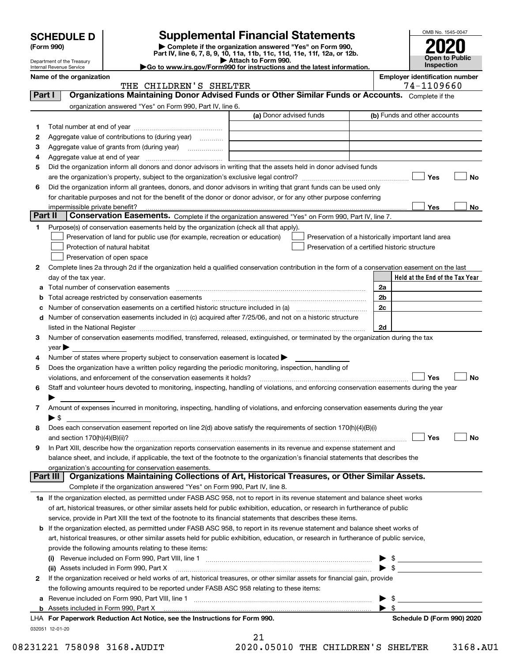|         |                                                        |                                                                                                        | <b>Supplemental Financial Statements</b>                                                                                                       |                | OMB No. 1545-0047                     |
|---------|--------------------------------------------------------|--------------------------------------------------------------------------------------------------------|------------------------------------------------------------------------------------------------------------------------------------------------|----------------|---------------------------------------|
|         | <b>SCHEDULE D</b><br>(Form 990)                        |                                                                                                        | Complete if the organization answered "Yes" on Form 990,<br>Part IV, line 6, 7, 8, 9, 10, 11a, 11b, 11c, 11d, 11e, 11f, 12a, or 12b.           |                |                                       |
|         | Department of the Treasury<br>Internal Revenue Service |                                                                                                        | Attach to Form 990.<br>Go to www.irs.gov/Form990 for instructions and the latest information.                                                  |                | <b>Open to Public</b><br>Inspection   |
|         | Name of the organization                               |                                                                                                        |                                                                                                                                                |                | <b>Employer identification number</b> |
|         |                                                        | THE CHILDREN'S SHELTER                                                                                 |                                                                                                                                                |                | 74-1109660                            |
| Part I  |                                                        |                                                                                                        | Organizations Maintaining Donor Advised Funds or Other Similar Funds or Accounts. Complete if the                                              |                |                                       |
|         |                                                        | organization answered "Yes" on Form 990, Part IV, line 6.                                              |                                                                                                                                                |                |                                       |
|         |                                                        |                                                                                                        | (a) Donor advised funds                                                                                                                        |                | (b) Funds and other accounts          |
| 1       |                                                        |                                                                                                        |                                                                                                                                                |                |                                       |
| 2       |                                                        | Aggregate value of contributions to (during year)                                                      |                                                                                                                                                |                |                                       |
| З       |                                                        |                                                                                                        |                                                                                                                                                |                |                                       |
| 4<br>5  |                                                        |                                                                                                        | Did the organization inform all donors and donor advisors in writing that the assets held in donor advised funds                               |                |                                       |
|         |                                                        |                                                                                                        |                                                                                                                                                |                | Yes<br>No                             |
| 6       |                                                        |                                                                                                        | Did the organization inform all grantees, donors, and donor advisors in writing that grant funds can be used only                              |                |                                       |
|         |                                                        |                                                                                                        | for charitable purposes and not for the benefit of the donor or donor advisor, or for any other purpose conferring                             |                |                                       |
|         | impermissible private benefit?                         |                                                                                                        |                                                                                                                                                |                | Yes<br>No                             |
| Part II |                                                        |                                                                                                        | Conservation Easements. Complete if the organization answered "Yes" on Form 990, Part IV, line 7.                                              |                |                                       |
| 1       |                                                        | Purpose(s) of conservation easements held by the organization (check all that apply).                  |                                                                                                                                                |                |                                       |
|         |                                                        | Preservation of land for public use (for example, recreation or education)                             | Preservation of a historically important land area                                                                                             |                |                                       |
|         |                                                        | Protection of natural habitat                                                                          | Preservation of a certified historic structure                                                                                                 |                |                                       |
|         |                                                        | Preservation of open space                                                                             |                                                                                                                                                |                |                                       |
| 2       |                                                        |                                                                                                        | Complete lines 2a through 2d if the organization held a qualified conservation contribution in the form of a conservation easement on the last |                |                                       |
|         | day of the tax year.                                   |                                                                                                        |                                                                                                                                                |                | Held at the End of the Tax Year       |
| а       |                                                        |                                                                                                        |                                                                                                                                                | 2a             |                                       |
| b       |                                                        | Total acreage restricted by conservation easements                                                     |                                                                                                                                                | 2 <sub>b</sub> |                                       |
| с       |                                                        |                                                                                                        |                                                                                                                                                | 2c             |                                       |
|         |                                                        |                                                                                                        | d Number of conservation easements included in (c) acquired after 7/25/06, and not on a historic structure                                     |                |                                       |
|         |                                                        |                                                                                                        |                                                                                                                                                | 2d             |                                       |
| 3       | year                                                   |                                                                                                        | Number of conservation easements modified, transferred, released, extinguished, or terminated by the organization during the tax               |                |                                       |
| 4       |                                                        | Number of states where property subject to conservation easement is located $\blacktriangleright$      |                                                                                                                                                |                |                                       |
| 5       |                                                        | Does the organization have a written policy regarding the periodic monitoring, inspection, handling of |                                                                                                                                                |                |                                       |
|         |                                                        | violations, and enforcement of the conservation easements it holds?                                    |                                                                                                                                                |                | Yes<br><b>No</b>                      |
| 6       |                                                        |                                                                                                        | Staff and volunteer hours devoted to monitoring, inspecting, handling of violations, and enforcing conservation easements during the year      |                |                                       |
|         |                                                        |                                                                                                        |                                                                                                                                                |                |                                       |
| 7       |                                                        |                                                                                                        | Amount of expenses incurred in monitoring, inspecting, handling of violations, and enforcing conservation easements during the year            |                |                                       |
|         | $\blacktriangleright$ \$                               |                                                                                                        |                                                                                                                                                |                |                                       |
| 8       |                                                        |                                                                                                        | Does each conservation easement reported on line 2(d) above satisfy the requirements of section 170(h)(4)(B)(i)                                |                |                                       |
|         |                                                        |                                                                                                        |                                                                                                                                                |                | Yes<br>No                             |
| 9       |                                                        |                                                                                                        | In Part XIII, describe how the organization reports conservation easements in its revenue and expense statement and                            |                |                                       |
|         |                                                        |                                                                                                        | balance sheet, and include, if applicable, the text of the footnote to the organization's financial statements that describes the              |                |                                       |
|         | Part III                                               | organization's accounting for conservation easements.                                                  | Organizations Maintaining Collections of Art, Historical Treasures, or Other Similar Assets.                                                   |                |                                       |
|         |                                                        | Complete if the organization answered "Yes" on Form 990, Part IV, line 8.                              |                                                                                                                                                |                |                                       |
|         |                                                        |                                                                                                        | 1a If the organization elected, as permitted under FASB ASC 958, not to report in its revenue statement and balance sheet works                |                |                                       |
|         |                                                        |                                                                                                        | of art, historical treasures, or other similar assets held for public exhibition, education, or research in furtherance of public              |                |                                       |
|         |                                                        |                                                                                                        | service, provide in Part XIII the text of the footnote to its financial statements that describes these items.                                 |                |                                       |
|         |                                                        |                                                                                                        | <b>b</b> If the organization elected, as permitted under FASB ASC 958, to report in its revenue statement and balance sheet works of           |                |                                       |
|         |                                                        |                                                                                                        | art, historical treasures, or other similar assets held for public exhibition, education, or research in furtherance of public service,        |                |                                       |
|         |                                                        | provide the following amounts relating to these items:                                                 |                                                                                                                                                |                |                                       |
|         |                                                        |                                                                                                        |                                                                                                                                                |                | $\frac{1}{2}$                         |
|         |                                                        |                                                                                                        |                                                                                                                                                |                |                                       |

| the following amounts required to be reported under FASB ASC 958 relating to these items: |
|-------------------------------------------------------------------------------------------|
| a Revenue included on Form 990. Part VIII. line 1                                         |
|                                                                                           |
| LHA For Paperwork Reduction Act Notice, see the Instructions for Form 990.                |
| 032051 12-01-20                                                                           |

**2**If the organization received or held works of art, historical treasures, or other similar assets for financial gain, provide

21

**Schedule D (Form 990) 2020** 

08231221 758098 3168.AUDIT 2020.05010 THE CHILDREN'S SHELTER 3168.AU1

 $\blacktriangleright$  \$

 $\blacktriangleright$  \$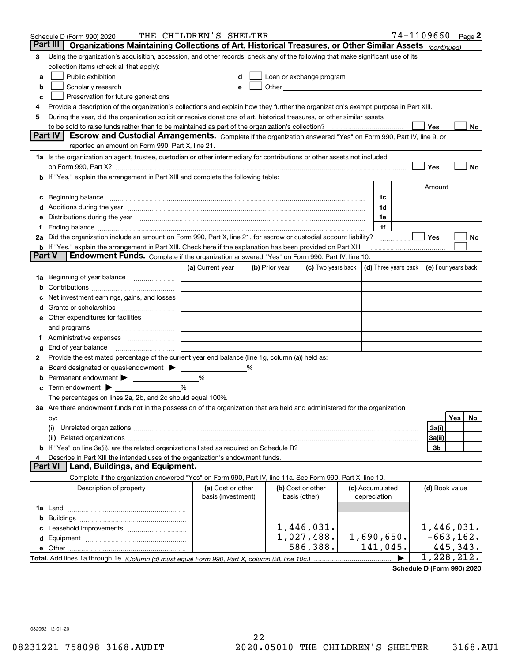|        | Schedule D (Form 990) 2020                                                                                                                                                                                                     | THE CHILDREN'S SHELTER                  |   |                |                                                                                                                                                                                                                                |                                 | 74-1109660 Page 2    |                          |           |    |
|--------|--------------------------------------------------------------------------------------------------------------------------------------------------------------------------------------------------------------------------------|-----------------------------------------|---|----------------|--------------------------------------------------------------------------------------------------------------------------------------------------------------------------------------------------------------------------------|---------------------------------|----------------------|--------------------------|-----------|----|
|        | Part III<br>Organizations Maintaining Collections of Art, Historical Treasures, or Other Similar Assets (continued)                                                                                                            |                                         |   |                |                                                                                                                                                                                                                                |                                 |                      |                          |           |    |
| 3      | Using the organization's acquisition, accession, and other records, check any of the following that make significant use of its                                                                                                |                                         |   |                |                                                                                                                                                                                                                                |                                 |                      |                          |           |    |
|        | collection items (check all that apply):                                                                                                                                                                                       |                                         |   |                |                                                                                                                                                                                                                                |                                 |                      |                          |           |    |
| a      | Public exhibition                                                                                                                                                                                                              |                                         |   |                | Loan or exchange program                                                                                                                                                                                                       |                                 |                      |                          |           |    |
| b      | Scholarly research                                                                                                                                                                                                             | е                                       |   |                | Other and the control of the control of the control of the control of the control of the control of the control of the control of the control of the control of the control of the control of the control of the control of th |                                 |                      |                          |           |    |
| c      | Preservation for future generations                                                                                                                                                                                            |                                         |   |                |                                                                                                                                                                                                                                |                                 |                      |                          |           |    |
| 4      | Provide a description of the organization's collections and explain how they further the organization's exempt purpose in Part XIII.                                                                                           |                                         |   |                |                                                                                                                                                                                                                                |                                 |                      |                          |           |    |
| 5      | During the year, did the organization solicit or receive donations of art, historical treasures, or other similar assets                                                                                                       |                                         |   |                |                                                                                                                                                                                                                                |                                 |                      |                          |           |    |
|        | to be sold to raise funds rather than to be maintained as part of the organization's collection?                                                                                                                               |                                         |   |                |                                                                                                                                                                                                                                |                                 |                      | Yes                      |           | No |
|        | <b>Part IV</b><br>Escrow and Custodial Arrangements. Complete if the organization answered "Yes" on Form 990, Part IV, line 9, or                                                                                              |                                         |   |                |                                                                                                                                                                                                                                |                                 |                      |                          |           |    |
|        | reported an amount on Form 990, Part X, line 21.                                                                                                                                                                               |                                         |   |                |                                                                                                                                                                                                                                |                                 |                      |                          |           |    |
|        | 1a Is the organization an agent, trustee, custodian or other intermediary for contributions or other assets not included                                                                                                       |                                         |   |                |                                                                                                                                                                                                                                |                                 |                      |                          |           |    |
|        |                                                                                                                                                                                                                                |                                         |   |                |                                                                                                                                                                                                                                |                                 |                      | Yes                      |           | No |
|        | b If "Yes," explain the arrangement in Part XIII and complete the following table:                                                                                                                                             |                                         |   |                |                                                                                                                                                                                                                                |                                 |                      |                          |           |    |
|        |                                                                                                                                                                                                                                |                                         |   |                |                                                                                                                                                                                                                                |                                 |                      | Amount                   |           |    |
|        | Beginning balance                                                                                                                                                                                                              |                                         |   |                |                                                                                                                                                                                                                                | 1c                              |                      |                          |           |    |
|        | Additions during the year manufactured and an annual contract of the year manufactured and a set of the year manufactured and a set of the year manufactured and a set of the year manufactured and a set of the year manufact |                                         |   |                |                                                                                                                                                                                                                                | 1d                              |                      |                          |           |    |
|        | Distributions during the year manufactured and continuum and contained and the year manufactured and contained                                                                                                                 |                                         |   |                |                                                                                                                                                                                                                                | 1e                              |                      |                          |           |    |
|        | 2a Did the organization include an amount on Form 990, Part X, line 21, for escrow or custodial account liability?                                                                                                             |                                         |   |                |                                                                                                                                                                                                                                | 1f                              |                      | Yes                      |           |    |
|        | <b>b</b> If "Yes," explain the arrangement in Part XIII. Check here if the explanation has been provided on Part XIII                                                                                                          |                                         |   |                |                                                                                                                                                                                                                                |                                 |                      |                          |           | No |
| Part V | Endowment Funds. Complete if the organization answered "Yes" on Form 990, Part IV, line 10.                                                                                                                                    |                                         |   |                |                                                                                                                                                                                                                                |                                 |                      |                          |           |    |
|        |                                                                                                                                                                                                                                | (a) Current year                        |   | (b) Prior year | (c) Two years back                                                                                                                                                                                                             |                                 | (d) Three years back | (e) Four years back      |           |    |
| 1a     | Beginning of year balance                                                                                                                                                                                                      |                                         |   |                |                                                                                                                                                                                                                                |                                 |                      |                          |           |    |
|        |                                                                                                                                                                                                                                |                                         |   |                |                                                                                                                                                                                                                                |                                 |                      |                          |           |    |
|        | Net investment earnings, gains, and losses                                                                                                                                                                                     |                                         |   |                |                                                                                                                                                                                                                                |                                 |                      |                          |           |    |
|        |                                                                                                                                                                                                                                |                                         |   |                |                                                                                                                                                                                                                                |                                 |                      |                          |           |    |
| е      | Other expenditures for facilities                                                                                                                                                                                              |                                         |   |                |                                                                                                                                                                                                                                |                                 |                      |                          |           |    |
|        | and programs                                                                                                                                                                                                                   |                                         |   |                |                                                                                                                                                                                                                                |                                 |                      |                          |           |    |
|        |                                                                                                                                                                                                                                |                                         |   |                |                                                                                                                                                                                                                                |                                 |                      |                          |           |    |
| g      | End of year balance                                                                                                                                                                                                            |                                         |   |                |                                                                                                                                                                                                                                |                                 |                      |                          |           |    |
| 2      | Provide the estimated percentage of the current year end balance (line 1g, column (a)) held as:                                                                                                                                |                                         |   |                |                                                                                                                                                                                                                                |                                 |                      |                          |           |    |
|        | Board designated or quasi-endowment                                                                                                                                                                                            |                                         | % |                |                                                                                                                                                                                                                                |                                 |                      |                          |           |    |
|        | Permanent endowment                                                                                                                                                                                                            | %                                       |   |                |                                                                                                                                                                                                                                |                                 |                      |                          |           |    |
| с      | Term endowment >                                                                                                                                                                                                               | %                                       |   |                |                                                                                                                                                                                                                                |                                 |                      |                          |           |    |
|        | The percentages on lines 2a, 2b, and 2c should equal 100%.                                                                                                                                                                     |                                         |   |                |                                                                                                                                                                                                                                |                                 |                      |                          |           |    |
|        | 3a Are there endowment funds not in the possession of the organization that are held and administered for the organization                                                                                                     |                                         |   |                |                                                                                                                                                                                                                                |                                 |                      |                          |           |    |
|        | by:                                                                                                                                                                                                                            |                                         |   |                |                                                                                                                                                                                                                                |                                 |                      |                          | Yes       | No |
|        | (i)                                                                                                                                                                                                                            |                                         |   |                |                                                                                                                                                                                                                                |                                 |                      | 3a(i)                    |           |    |
|        |                                                                                                                                                                                                                                |                                         |   |                |                                                                                                                                                                                                                                |                                 |                      | 3a(ii)                   |           |    |
|        |                                                                                                                                                                                                                                |                                         |   |                |                                                                                                                                                                                                                                |                                 |                      | 3b                       |           |    |
|        | Describe in Part XIII the intended uses of the organization's endowment funds.                                                                                                                                                 |                                         |   |                |                                                                                                                                                                                                                                |                                 |                      |                          |           |    |
|        | Land, Buildings, and Equipment.<br>Part VI                                                                                                                                                                                     |                                         |   |                |                                                                                                                                                                                                                                |                                 |                      |                          |           |    |
|        | Complete if the organization answered "Yes" on Form 990, Part IV, line 11a. See Form 990, Part X, line 10.                                                                                                                     |                                         |   |                |                                                                                                                                                                                                                                |                                 |                      |                          |           |    |
|        | Description of property                                                                                                                                                                                                        | (a) Cost or other<br>basis (investment) |   |                | (b) Cost or other<br>basis (other)                                                                                                                                                                                             | (c) Accumulated<br>depreciation |                      | (d) Book value           |           |    |
|        |                                                                                                                                                                                                                                |                                         |   |                |                                                                                                                                                                                                                                |                                 |                      |                          |           |    |
| b      |                                                                                                                                                                                                                                |                                         |   |                |                                                                                                                                                                                                                                |                                 |                      |                          |           |    |
|        |                                                                                                                                                                                                                                |                                         |   |                | 1,446,031.                                                                                                                                                                                                                     |                                 |                      | $\overline{1,}$ 446,031. |           |    |
| d      |                                                                                                                                                                                                                                |                                         |   |                | 1,027,488.                                                                                                                                                                                                                     | 1,690,650.                      |                      | $-663, 162.$             |           |    |
|        | e Other                                                                                                                                                                                                                        |                                         |   |                | 586,388.                                                                                                                                                                                                                       | 141,045.                        |                      |                          | 445, 343. |    |
|        |                                                                                                                                                                                                                                |                                         |   |                |                                                                                                                                                                                                                                |                                 |                      | 1,228,212.               |           |    |

**Schedule D (Form 990) 2020**

032052 12-01-20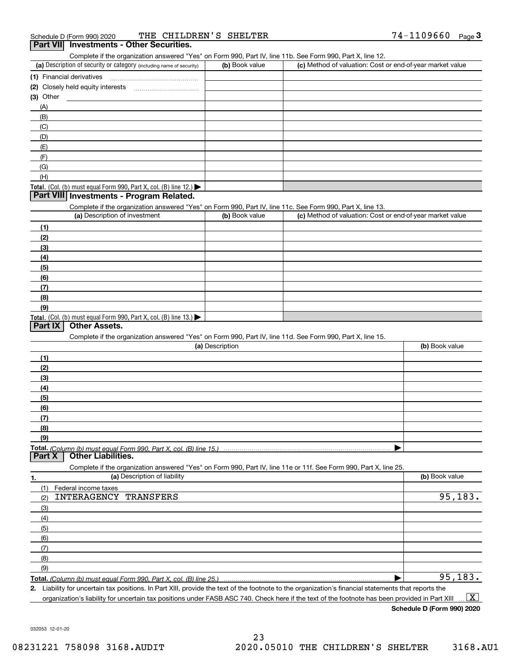Complete if the organization answered "Yes" on Form 990, Part IV, line 11b. See Form 990, Part X, line 12.

| (a) Description of security or category (including name of security)                          | (b) Book value | (c) Method of valuation: Cost or end-of-year market value |
|-----------------------------------------------------------------------------------------------|----------------|-----------------------------------------------------------|
| (1) Financial derivatives                                                                     |                |                                                           |
| (2) Closely held equity interests                                                             |                |                                                           |
| $(3)$ Other                                                                                   |                |                                                           |
| (A)                                                                                           |                |                                                           |
| (B)                                                                                           |                |                                                           |
| (C)                                                                                           |                |                                                           |
| (D)                                                                                           |                |                                                           |
| (E)                                                                                           |                |                                                           |
| (F)                                                                                           |                |                                                           |
| (G)                                                                                           |                |                                                           |
| (H)                                                                                           |                |                                                           |
| <b>Total.</b> (Col. (b) must equal Form 990, Part X, col. (B) line 12.) $\blacktriangleright$ |                |                                                           |

#### **Part VIII Investments - Program Related.**

Complete if the organization answered "Yes" on Form 990, Part IV, line 11c. See Form 990, Part X, line 13.

| (a) Description of investment                                       | (b) Book value | (c) Method of valuation: Cost or end-of-year market value |
|---------------------------------------------------------------------|----------------|-----------------------------------------------------------|
| (1)                                                                 |                |                                                           |
| (2)                                                                 |                |                                                           |
| $\frac{1}{2}$                                                       |                |                                                           |
| (4)                                                                 |                |                                                           |
| (5)                                                                 |                |                                                           |
| (6)                                                                 |                |                                                           |
| (7)                                                                 |                |                                                           |
| (8)                                                                 |                |                                                           |
| (9)                                                                 |                |                                                           |
| Total. (Col. (b) must equal Form 990, Part X, col. (B) line $13.$ ) |                |                                                           |

#### **Part IX Other Assets.**

Complete if the organization answered "Yes" on Form 990, Part IV, line 11d. See Form 990, Part X, line 15.

| (a) Description                                                                                                                       | (b) Book value |
|---------------------------------------------------------------------------------------------------------------------------------------|----------------|
|                                                                                                                                       |                |
| (2)                                                                                                                                   |                |
| (3)                                                                                                                                   |                |
| (4)                                                                                                                                   |                |
| (5)                                                                                                                                   |                |
| (6)                                                                                                                                   |                |
|                                                                                                                                       |                |
| (8)                                                                                                                                   |                |
| (9)                                                                                                                                   |                |
|                                                                                                                                       |                |
| Total. (Column (b) must equal Form 990, Part X, col. (B) line 15.) ………………………………………………………………………………………<br>  Part X   Other Liabilities. |                |

**1. (a)** Description of liability **Book value** Book value Book value Book value Book value **Total.**  *(Column (b) must equal Form 990, Part X, col. (B) line 25.)* Complete if the organization answered "Yes" on Form 990, Part IV, line 11e or 11f. See Form 990, Part X, line 25. (1)(2)(3)(4)(5) (6)(7)(8)(9)Federal income taxes  $\blacktriangleright$ INTERAGENCY TRANSFERS 95,183. 95,183.

**2.**Liability for uncertain tax positions. In Part XIII, provide the text of the footnote to the organization's financial statements that reports the

organization's liability for uncertain tax positions under FASB ASC 740. Check here if the text of the footnote has been provided in Part XIII  $\boxed{\text{X}}$ 

**Schedule D (Form 990) 2020**

032053 12-01-20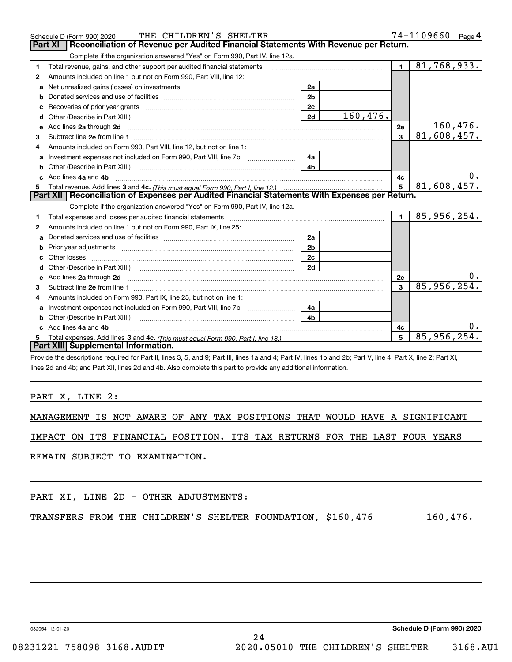|   | THE CHILDREN'S SHELTER<br>Schedule D (Form 990) 2020                                                                                                                                                                                |                |          |                | 74-1109660<br>Page $4$ |
|---|-------------------------------------------------------------------------------------------------------------------------------------------------------------------------------------------------------------------------------------|----------------|----------|----------------|------------------------|
|   | Reconciliation of Revenue per Audited Financial Statements With Revenue per Return.<br><b>Part XI</b>                                                                                                                               |                |          |                |                        |
|   | Complete if the organization answered "Yes" on Form 990, Part IV, line 12a.                                                                                                                                                         |                |          |                |                        |
| 1 | Total revenue, gains, and other support per audited financial statements                                                                                                                                                            |                |          | $\blacksquare$ | 81,768,933.            |
| 2 | Amounts included on line 1 but not on Form 990, Part VIII, line 12:                                                                                                                                                                 |                |          |                |                        |
| a |                                                                                                                                                                                                                                     | 2a             |          |                |                        |
| b |                                                                                                                                                                                                                                     | 2 <sub>b</sub> |          |                |                        |
| с |                                                                                                                                                                                                                                     | 2c             |          |                |                        |
| d |                                                                                                                                                                                                                                     | 2d             | 160,476. |                |                        |
|   | e Add lines 2a through 2d                                                                                                                                                                                                           |                |          | 2e             | 160,476.               |
| 3 |                                                                                                                                                                                                                                     |                |          | $\overline{3}$ | 81,608,457.            |
| 4 | Amounts included on Form 990, Part VIII, line 12, but not on line 1:                                                                                                                                                                |                |          |                |                        |
| a |                                                                                                                                                                                                                                     | 4a             |          |                |                        |
| b | Other (Describe in Part XIII.) <b>Construction Contract Construction</b> Chemistry Chemistry Chemistry Chemistry Chemistry                                                                                                          | 4b             |          |                |                        |
|   | Add lines 4a and 4b                                                                                                                                                                                                                 |                |          | 4с             | 0.                     |
| 5 |                                                                                                                                                                                                                                     |                |          |                | 81,608,457.            |
|   | Part XII   Reconciliation of Expenses per Audited Financial Statements With Expenses per Return.                                                                                                                                    |                |          |                |                        |
|   | Complete if the organization answered "Yes" on Form 990, Part IV, line 12a.                                                                                                                                                         |                |          |                |                        |
| 1 | Total expenses and losses per audited financial statements [11] [11] Total expenses and losses per audited financial statements [11] [11] Total expenses and losses per audited financial statements                                |                |          | $\blacksquare$ | 85,956,254.            |
| 2 | Amounts included on line 1 but not on Form 990, Part IX, line 25:                                                                                                                                                                   |                |          |                |                        |
| a |                                                                                                                                                                                                                                     | 2a             |          |                |                        |
|   |                                                                                                                                                                                                                                     | 2 <sub>b</sub> |          |                |                        |
| c |                                                                                                                                                                                                                                     | 2c             |          |                |                        |
| d |                                                                                                                                                                                                                                     | 2d             |          |                |                        |
| е | Add lines 2a through 2d <b>contained a contained a contained a contained a</b> contained a contact the state of the state of the state of the state of the state of the state of the state of the state of the state of the state o |                |          | 2e             |                        |
| 3 |                                                                                                                                                                                                                                     |                |          | 3              | 85,956,254.            |
| 4 | Amounts included on Form 990, Part IX, line 25, but not on line 1:                                                                                                                                                                  |                |          |                |                        |
| a |                                                                                                                                                                                                                                     | 4a             |          |                |                        |
|   | Other (Describe in Part XIII.) <b>Construction Contract Construction</b>                                                                                                                                                            | 4 <sub>b</sub> |          |                |                        |
|   | c Add lines 4a and 4b                                                                                                                                                                                                               |                |          | 4c             |                        |
| 5 |                                                                                                                                                                                                                                     |                |          | 5              | 85,956,254.            |
|   | Part XIII Supplemental Information.                                                                                                                                                                                                 |                |          |                |                        |
|   | Provide the descriptions required for Part II, lines 3, 5, and 9: Part III, lines 1a and 4: Part IV, lines 1b and 2b: Part V, line 4: Part X, line 2: Part XI.                                                                      |                |          |                |                        |

 $\mathsf{s}$  3, 5, and 9; Part III, lines 1a and 4; Part IV, li $\mathsf{a}$ lines 2d and 4b; and Part XII, lines 2d and 4b. Also complete this part to provide any additional information.

#### PART X, LINE 2:

|  |  |  |  |  |  |  |  |  |  |  |  | MANAGEMENT IS NOT AWARE OF ANY TAX POSITIONS THAT WOULD HAVE A SIGNIFICANT |
|--|--|--|--|--|--|--|--|--|--|--|--|----------------------------------------------------------------------------|
|--|--|--|--|--|--|--|--|--|--|--|--|----------------------------------------------------------------------------|

IMPACT ON ITS FINANCIAL POSITION. ITS TAX RETURNS FOR THE LAST FOUR YEARS

24

REMAIN SUBJECT TO EXAMINATION.

TRANSFERS FROM THE CHILDREN'S SHELTER FOUNDATION, \$160,476 160,476.

032054 12-01-20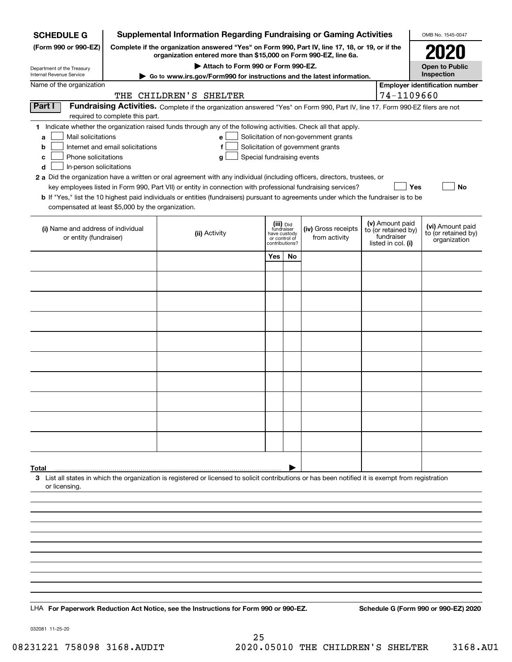| <b>SCHEDULE G</b>                                                                                                                                                 | <b>Supplemental Information Regarding Fundraising or Gaming Activities</b>                                                                                          | OMB No. 1545-0047                                                                                                                                  |                                                                            |    |                                       |  |                                                                            |                                                         |  |  |  |
|-------------------------------------------------------------------------------------------------------------------------------------------------------------------|---------------------------------------------------------------------------------------------------------------------------------------------------------------------|----------------------------------------------------------------------------------------------------------------------------------------------------|----------------------------------------------------------------------------|----|---------------------------------------|--|----------------------------------------------------------------------------|---------------------------------------------------------|--|--|--|
| (Form 990 or 990-EZ)                                                                                                                                              | Complete if the organization answered "Yes" on Form 990, Part IV, line 17, 18, or 19, or if the<br>organization entered more than \$15,000 on Form 990-EZ, line 6a. |                                                                                                                                                    |                                                                            |    |                                       |  |                                                                            |                                                         |  |  |  |
|                                                                                                                                                                   |                                                                                                                                                                     |                                                                                                                                                    | <b>Open to Public</b>                                                      |    |                                       |  |                                                                            |                                                         |  |  |  |
| Department of the Treasury<br>Internal Revenue Service                                                                                                            | Go to www.irs.gov/Form990 for instructions and the latest information.                                                                                              |                                                                                                                                                    | Inspection                                                                 |    |                                       |  |                                                                            |                                                         |  |  |  |
| Name of the organization                                                                                                                                          | 74-1109660                                                                                                                                                          | <b>Employer identification number</b>                                                                                                              |                                                                            |    |                                       |  |                                                                            |                                                         |  |  |  |
| THE CHILDREN'S SHELTER<br>Part I<br>Fundraising Activities. Complete if the organization answered "Yes" on Form 990, Part IV, line 17. Form 990-EZ filers are not |                                                                                                                                                                     |                                                                                                                                                    |                                                                            |    |                                       |  |                                                                            |                                                         |  |  |  |
|                                                                                                                                                                   | required to complete this part.                                                                                                                                     |                                                                                                                                                    |                                                                            |    |                                       |  |                                                                            |                                                         |  |  |  |
| Mail solicitations<br>a                                                                                                                                           |                                                                                                                                                                     | 1 Indicate whether the organization raised funds through any of the following activities. Check all that apply.<br>e l                             |                                                                            |    | Solicitation of non-government grants |  |                                                                            |                                                         |  |  |  |
| Solicitation of government grants<br>Internet and email solicitations<br>b<br>f                                                                                   |                                                                                                                                                                     |                                                                                                                                                    |                                                                            |    |                                       |  |                                                                            |                                                         |  |  |  |
| Phone solicitations<br>Special fundraising events<br>с<br>g<br>In-person solicitations                                                                            |                                                                                                                                                                     |                                                                                                                                                    |                                                                            |    |                                       |  |                                                                            |                                                         |  |  |  |
| d                                                                                                                                                                 |                                                                                                                                                                     | 2 a Did the organization have a written or oral agreement with any individual (including officers, directors, trustees, or                         |                                                                            |    |                                       |  |                                                                            |                                                         |  |  |  |
|                                                                                                                                                                   |                                                                                                                                                                     | key employees listed in Form 990, Part VII) or entity in connection with professional fundraising services?                                        |                                                                            |    |                                       |  | <b>Yes</b>                                                                 | No                                                      |  |  |  |
| compensated at least \$5,000 by the organization.                                                                                                                 |                                                                                                                                                                     | <b>b</b> If "Yes," list the 10 highest paid individuals or entities (fundraisers) pursuant to agreements under which the fundraiser is to be       |                                                                            |    |                                       |  |                                                                            |                                                         |  |  |  |
|                                                                                                                                                                   |                                                                                                                                                                     |                                                                                                                                                    |                                                                            |    |                                       |  |                                                                            |                                                         |  |  |  |
| (i) Name and address of individual<br>or entity (fundraiser)                                                                                                      |                                                                                                                                                                     | (ii) Activity                                                                                                                                      | (iii) Did<br>fundraiser<br>have custody<br>or control of<br>contributions? |    | (iv) Gross receipts<br>from activity  |  | (v) Amount paid<br>to (or retained by)<br>fundraiser<br>listed in col. (i) | (vi) Amount paid<br>to (or retained by)<br>organization |  |  |  |
|                                                                                                                                                                   |                                                                                                                                                                     |                                                                                                                                                    | Yes                                                                        | No |                                       |  |                                                                            |                                                         |  |  |  |
|                                                                                                                                                                   |                                                                                                                                                                     |                                                                                                                                                    |                                                                            |    |                                       |  |                                                                            |                                                         |  |  |  |
|                                                                                                                                                                   |                                                                                                                                                                     |                                                                                                                                                    |                                                                            |    |                                       |  |                                                                            |                                                         |  |  |  |
|                                                                                                                                                                   |                                                                                                                                                                     |                                                                                                                                                    |                                                                            |    |                                       |  |                                                                            |                                                         |  |  |  |
|                                                                                                                                                                   |                                                                                                                                                                     |                                                                                                                                                    |                                                                            |    |                                       |  |                                                                            |                                                         |  |  |  |
|                                                                                                                                                                   |                                                                                                                                                                     |                                                                                                                                                    |                                                                            |    |                                       |  |                                                                            |                                                         |  |  |  |
|                                                                                                                                                                   |                                                                                                                                                                     |                                                                                                                                                    |                                                                            |    |                                       |  |                                                                            |                                                         |  |  |  |
|                                                                                                                                                                   |                                                                                                                                                                     |                                                                                                                                                    |                                                                            |    |                                       |  |                                                                            |                                                         |  |  |  |
|                                                                                                                                                                   |                                                                                                                                                                     |                                                                                                                                                    |                                                                            |    |                                       |  |                                                                            |                                                         |  |  |  |
|                                                                                                                                                                   |                                                                                                                                                                     |                                                                                                                                                    |                                                                            |    |                                       |  |                                                                            |                                                         |  |  |  |
|                                                                                                                                                                   |                                                                                                                                                                     |                                                                                                                                                    |                                                                            |    |                                       |  |                                                                            |                                                         |  |  |  |
|                                                                                                                                                                   |                                                                                                                                                                     |                                                                                                                                                    |                                                                            |    |                                       |  |                                                                            |                                                         |  |  |  |
|                                                                                                                                                                   |                                                                                                                                                                     |                                                                                                                                                    |                                                                            |    |                                       |  |                                                                            |                                                         |  |  |  |
|                                                                                                                                                                   |                                                                                                                                                                     |                                                                                                                                                    |                                                                            |    |                                       |  |                                                                            |                                                         |  |  |  |
|                                                                                                                                                                   |                                                                                                                                                                     |                                                                                                                                                    |                                                                            |    |                                       |  |                                                                            |                                                         |  |  |  |
| Total<br>or licensing.                                                                                                                                            |                                                                                                                                                                     | 3 List all states in which the organization is registered or licensed to solicit contributions or has been notified it is exempt from registration |                                                                            |    |                                       |  |                                                                            |                                                         |  |  |  |
|                                                                                                                                                                   |                                                                                                                                                                     |                                                                                                                                                    |                                                                            |    |                                       |  |                                                                            |                                                         |  |  |  |
|                                                                                                                                                                   |                                                                                                                                                                     |                                                                                                                                                    |                                                                            |    |                                       |  |                                                                            |                                                         |  |  |  |
|                                                                                                                                                                   |                                                                                                                                                                     |                                                                                                                                                    |                                                                            |    |                                       |  |                                                                            |                                                         |  |  |  |
|                                                                                                                                                                   |                                                                                                                                                                     |                                                                                                                                                    |                                                                            |    |                                       |  |                                                                            |                                                         |  |  |  |
|                                                                                                                                                                   |                                                                                                                                                                     |                                                                                                                                                    |                                                                            |    |                                       |  |                                                                            |                                                         |  |  |  |
|                                                                                                                                                                   |                                                                                                                                                                     |                                                                                                                                                    |                                                                            |    |                                       |  |                                                                            |                                                         |  |  |  |
|                                                                                                                                                                   |                                                                                                                                                                     |                                                                                                                                                    |                                                                            |    |                                       |  |                                                                            |                                                         |  |  |  |
|                                                                                                                                                                   |                                                                                                                                                                     |                                                                                                                                                    |                                                                            |    |                                       |  |                                                                            |                                                         |  |  |  |
|                                                                                                                                                                   |                                                                                                                                                                     | LHA For Paperwork Reduction Act Notice, see the Instructions for Form 990 or 990-EZ.                                                               |                                                                            |    |                                       |  |                                                                            | Schedule G (Form 990 or 990-EZ) 2020                    |  |  |  |

032081 11-25-20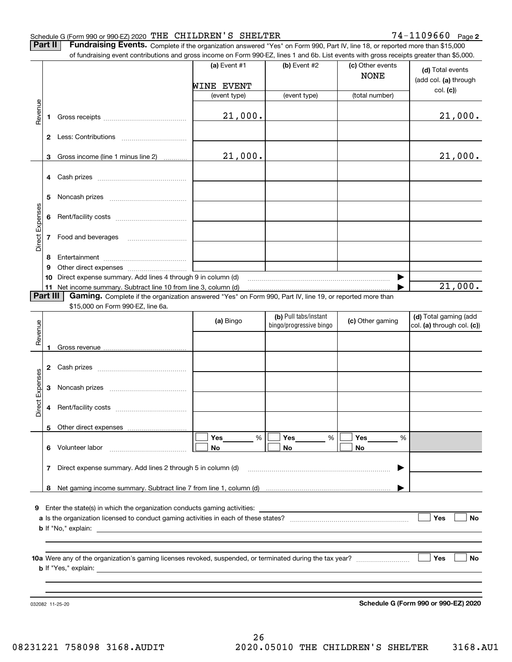**2**

**Part II** | Fundraising Events. Complete if the organization answered "Yes" on Form 990, Part IV, line 18, or reported more than \$15,000 of fundraising event contributions and gross income on Form 990-EZ, lines 1 and 6b. List events with gross receipts greater than \$5,000.

|                 |              | of fundraising event contributions and gross income on Form 990-EZ, lines 1 and 6b. List events with gross receipts greater than \$5,000. |              |                                                  |                                 |                                                     |
|-----------------|--------------|-------------------------------------------------------------------------------------------------------------------------------------------|--------------|--------------------------------------------------|---------------------------------|-----------------------------------------------------|
|                 |              |                                                                                                                                           | (a) Event #1 | (b) Event #2                                     | (c) Other events<br><b>NONE</b> | (d) Total events<br>(add col. (a) through           |
|                 |              |                                                                                                                                           | WINE EVENT   |                                                  |                                 | col. (c)                                            |
|                 |              |                                                                                                                                           | (event type) | (event type)                                     | (total number)                  |                                                     |
| Revenue         |              |                                                                                                                                           |              |                                                  |                                 |                                                     |
|                 | 1            |                                                                                                                                           | 21,000.      |                                                  |                                 | 21,000.                                             |
|                 |              |                                                                                                                                           |              |                                                  |                                 |                                                     |
|                 | $\mathbf{2}$ |                                                                                                                                           |              |                                                  |                                 |                                                     |
|                 |              |                                                                                                                                           |              |                                                  |                                 |                                                     |
|                 | 3            | Gross income (line 1 minus line 2)                                                                                                        | 21,000.      |                                                  |                                 | 21,000.                                             |
|                 |              |                                                                                                                                           |              |                                                  |                                 |                                                     |
|                 | 4            |                                                                                                                                           |              |                                                  |                                 |                                                     |
|                 | 5            |                                                                                                                                           |              |                                                  |                                 |                                                     |
|                 |              |                                                                                                                                           |              |                                                  |                                 |                                                     |
|                 | 6            |                                                                                                                                           |              |                                                  |                                 |                                                     |
|                 |              |                                                                                                                                           |              |                                                  |                                 |                                                     |
|                 | 7            | Food and beverages                                                                                                                        |              |                                                  |                                 |                                                     |
| Direct Expenses |              |                                                                                                                                           |              |                                                  |                                 |                                                     |
|                 | 8            |                                                                                                                                           |              |                                                  |                                 |                                                     |
|                 | 9            |                                                                                                                                           |              |                                                  |                                 |                                                     |
|                 | 10           | Direct expense summary. Add lines 4 through 9 in column (d)                                                                               |              |                                                  | ▶                               |                                                     |
|                 | 11           | Net income summary. Subtract line 10 from line 3, column (d)                                                                              |              |                                                  |                                 | 21,000.                                             |
|                 | Part III     | Gaming. Complete if the organization answered "Yes" on Form 990, Part IV, line 19, or reported more than                                  |              |                                                  |                                 |                                                     |
|                 |              | \$15,000 on Form 990-EZ, line 6a.                                                                                                         |              |                                                  |                                 |                                                     |
|                 |              |                                                                                                                                           | (a) Bingo    | (b) Pull tabs/instant<br>bingo/progressive bingo | (c) Other gaming                | (d) Total gaming (add<br>col. (a) through col. (c)) |
| Revenue         |              |                                                                                                                                           |              |                                                  |                                 |                                                     |
|                 |              |                                                                                                                                           |              |                                                  |                                 |                                                     |
|                 | 1            |                                                                                                                                           |              |                                                  |                                 |                                                     |
|                 | 2            |                                                                                                                                           |              |                                                  |                                 |                                                     |
|                 |              |                                                                                                                                           |              |                                                  |                                 |                                                     |
|                 | 3            |                                                                                                                                           |              |                                                  |                                 |                                                     |
| Direct Expenses |              |                                                                                                                                           |              |                                                  |                                 |                                                     |
|                 | 4            |                                                                                                                                           |              |                                                  |                                 |                                                     |
|                 |              |                                                                                                                                           |              |                                                  |                                 |                                                     |
|                 |              | 5 Other direct expenses                                                                                                                   |              |                                                  |                                 |                                                     |
|                 |              |                                                                                                                                           | Yes<br>%     | Yes<br>%                                         | Yes<br>%                        |                                                     |
|                 | 6.           | Volunteer labor                                                                                                                           | No           | No                                               | No                              |                                                     |
|                 |              |                                                                                                                                           |              |                                                  |                                 |                                                     |
|                 | 7            | Direct expense summary. Add lines 2 through 5 in column (d)                                                                               |              |                                                  |                                 |                                                     |
|                 |              |                                                                                                                                           |              |                                                  |                                 |                                                     |
|                 |              |                                                                                                                                           |              |                                                  |                                 |                                                     |
|                 |              |                                                                                                                                           |              |                                                  |                                 |                                                     |
| 9               |              | Enter the state(s) in which the organization conducts gaming activities:                                                                  |              |                                                  |                                 |                                                     |
|                 |              |                                                                                                                                           |              |                                                  |                                 | Yes<br>No                                           |
|                 |              |                                                                                                                                           |              |                                                  |                                 |                                                     |
|                 |              |                                                                                                                                           |              |                                                  |                                 |                                                     |
|                 |              |                                                                                                                                           |              |                                                  |                                 | Yes<br>No                                           |
|                 |              |                                                                                                                                           |              |                                                  |                                 |                                                     |
|                 |              |                                                                                                                                           |              |                                                  |                                 |                                                     |
|                 |              |                                                                                                                                           |              |                                                  |                                 |                                                     |
|                 |              |                                                                                                                                           |              |                                                  |                                 | Schedule G (Form 990 or 990-EZ) 2020                |
|                 |              | 032082 11-25-20                                                                                                                           |              |                                                  |                                 |                                                     |

**Schedule G (Form 990 or 990-EZ) 2020**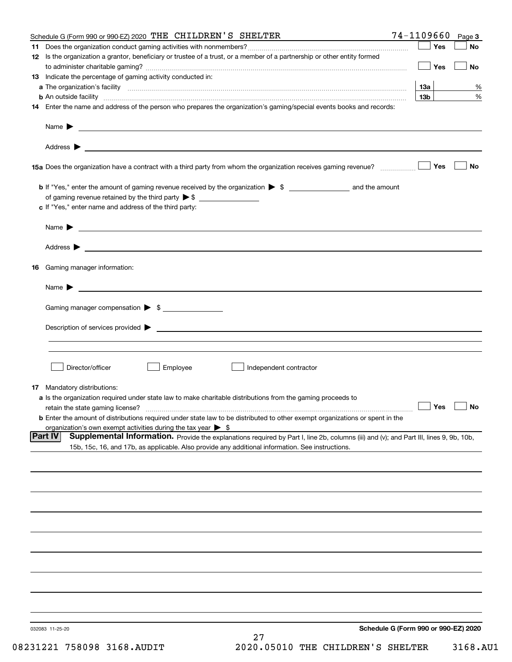|    | Schedule G (Form 990 or 990-EZ) 2020 THE CHILDREN'S SHELTER                                                                                                                                                         | 74-1109660      | Page 3    |
|----|---------------------------------------------------------------------------------------------------------------------------------------------------------------------------------------------------------------------|-----------------|-----------|
| 11 |                                                                                                                                                                                                                     | Yes             | No        |
|    | 12 Is the organization a grantor, beneficiary or trustee of a trust, or a member of a partnership or other entity formed                                                                                            |                 |           |
|    |                                                                                                                                                                                                                     | Yes             | No        |
|    | 13 Indicate the percentage of gaming activity conducted in:                                                                                                                                                         |                 |           |
|    |                                                                                                                                                                                                                     | 13а             | %         |
|    | <b>b</b> An outside facility <i>www.communicality www.communicality.communicality www.communicality www.communicality.communicality www.communicality.com</i>                                                       | 13 <sub>b</sub> | %         |
|    | 14 Enter the name and address of the person who prepares the organization's gaming/special events books and records:                                                                                                |                 |           |
|    |                                                                                                                                                                                                                     |                 |           |
|    | Name $\triangleright$ $\square$                                                                                                                                                                                     |                 |           |
|    |                                                                                                                                                                                                                     |                 |           |
|    | 15a Does the organization have a contract with a third party from whom the organization receives gaming revenue?                                                                                                    | Yes             | <b>No</b> |
|    |                                                                                                                                                                                                                     |                 |           |
|    | of gaming revenue retained by the third party $\triangleright$ \$                                                                                                                                                   |                 |           |
|    | c If "Yes," enter name and address of the third party:                                                                                                                                                              |                 |           |
|    |                                                                                                                                                                                                                     |                 |           |
|    |                                                                                                                                                                                                                     |                 |           |
|    |                                                                                                                                                                                                                     |                 |           |
| 16 | Gaming manager information:                                                                                                                                                                                         |                 |           |
|    | Name $\blacktriangleright$                                                                                                                                                                                          |                 |           |
|    | Gaming manager compensation > \$                                                                                                                                                                                    |                 |           |
|    |                                                                                                                                                                                                                     |                 |           |
|    | $Description of services provided$ $\triangleright$                                                                                                                                                                 |                 |           |
|    |                                                                                                                                                                                                                     |                 |           |
|    | Director/officer<br>Employee<br>Independent contractor                                                                                                                                                              |                 |           |
|    |                                                                                                                                                                                                                     |                 |           |
|    | 17 Mandatory distributions:                                                                                                                                                                                         |                 |           |
|    | a Is the organization required under state law to make charitable distributions from the gaming proceeds to                                                                                                         | $\Box$ Yes      | $\Box$ No |
|    | retain the state gaming license?                                                                                                                                                                                    |                 |           |
|    | <b>b</b> Enter the amount of distributions required under state law to be distributed to other exempt organizations or spent in the<br>organization's own exempt activities during the tax year $\triangleright$ \$ |                 |           |
|    | Supplemental Information. Provide the explanations required by Part I, line 2b, columns (iii) and (v); and Part III, lines 9, 9b, 10b,<br> Part IV                                                                  |                 |           |
|    | 15b, 15c, 16, and 17b, as applicable. Also provide any additional information. See instructions.                                                                                                                    |                 |           |
|    |                                                                                                                                                                                                                     |                 |           |
|    |                                                                                                                                                                                                                     |                 |           |
|    |                                                                                                                                                                                                                     |                 |           |
|    |                                                                                                                                                                                                                     |                 |           |
|    |                                                                                                                                                                                                                     |                 |           |
|    |                                                                                                                                                                                                                     |                 |           |
|    |                                                                                                                                                                                                                     |                 |           |
|    |                                                                                                                                                                                                                     |                 |           |
|    |                                                                                                                                                                                                                     |                 |           |
|    |                                                                                                                                                                                                                     |                 |           |
|    |                                                                                                                                                                                                                     |                 |           |
|    | Schedule G (Form 990 or 990-EZ) 2020<br>032083 11-25-20<br>27                                                                                                                                                       |                 |           |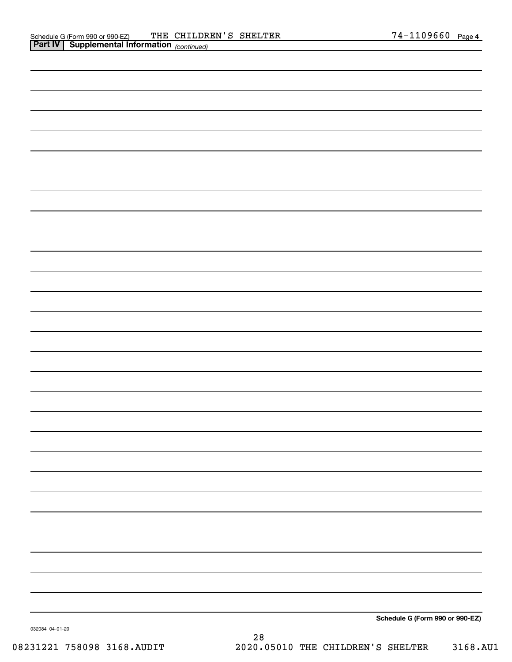| Schedule G (Form 990 or 990-EZ) |
|---------------------------------|

032084 04-01-20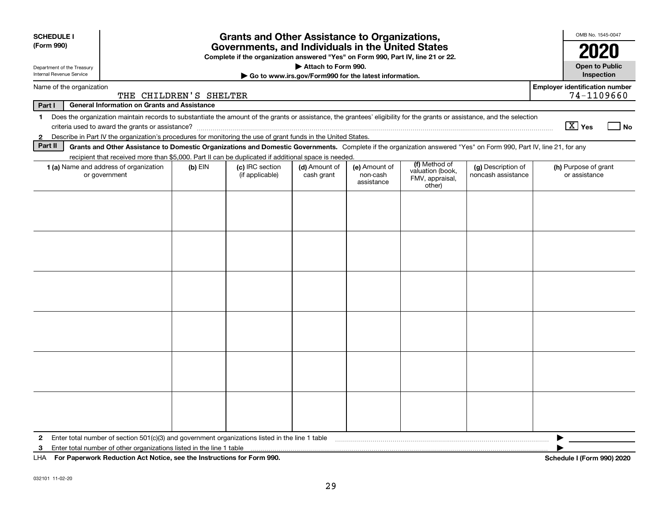| <b>SCHEDULE I</b><br>(Form 990)                                                                                                                                                                                    | <b>Grants and Other Assistance to Organizations,</b><br>Governments, and Individuals in the United States<br>Complete if the organization answered "Yes" on Form 990, Part IV, line 21 or 22.                                                                                        |           |                                    |                                                                              |                                         |                                                                |                                          |                                       |  |  |  |  |  |  |
|--------------------------------------------------------------------------------------------------------------------------------------------------------------------------------------------------------------------|--------------------------------------------------------------------------------------------------------------------------------------------------------------------------------------------------------------------------------------------------------------------------------------|-----------|------------------------------------|------------------------------------------------------------------------------|-----------------------------------------|----------------------------------------------------------------|------------------------------------------|---------------------------------------|--|--|--|--|--|--|
| Department of the Treasury<br>Internal Revenue Service                                                                                                                                                             |                                                                                                                                                                                                                                                                                      |           |                                    | Attach to Form 990.<br>Go to www.irs.gov/Form990 for the latest information. |                                         |                                                                |                                          | <b>Open to Public</b><br>Inspection   |  |  |  |  |  |  |
|                                                                                                                                                                                                                    | <b>Employer identification number</b><br>Name of the organization<br>74-1109660<br>THE CHILDREN'S SHELTER                                                                                                                                                                            |           |                                    |                                                                              |                                         |                                                                |                                          |                                       |  |  |  |  |  |  |
| Part I                                                                                                                                                                                                             | <b>General Information on Grants and Assistance</b>                                                                                                                                                                                                                                  |           |                                    |                                                                              |                                         |                                                                |                                          |                                       |  |  |  |  |  |  |
| Does the organization maintain records to substantiate the amount of the grants or assistance, the grantees' eligibility for the grants or assistance, and the selection<br>$\mathbf{1}$<br>$\boxed{\text{X}}$ Yes |                                                                                                                                                                                                                                                                                      |           |                                    |                                                                              |                                         |                                                                |                                          |                                       |  |  |  |  |  |  |
| Describe in Part IV the organization's procedures for monitoring the use of grant funds in the United States.<br>2                                                                                                 |                                                                                                                                                                                                                                                                                      |           |                                    |                                                                              |                                         |                                                                |                                          |                                       |  |  |  |  |  |  |
|                                                                                                                                                                                                                    | Part II<br>Grants and Other Assistance to Domestic Organizations and Domestic Governments. Complete if the organization answered "Yes" on Form 990, Part IV, line 21, for any<br>recipient that received more than \$5,000. Part II can be duplicated if additional space is needed. |           |                                    |                                                                              |                                         |                                                                |                                          |                                       |  |  |  |  |  |  |
|                                                                                                                                                                                                                    | 1 (a) Name and address of organization<br>or government                                                                                                                                                                                                                              | $(b)$ EIN | (c) IRC section<br>(if applicable) | (d) Amount of<br>cash grant                                                  | (e) Amount of<br>non-cash<br>assistance | (f) Method of<br>valuation (book,<br>FMV, appraisal,<br>other) | (g) Description of<br>noncash assistance | (h) Purpose of grant<br>or assistance |  |  |  |  |  |  |
|                                                                                                                                                                                                                    |                                                                                                                                                                                                                                                                                      |           |                                    |                                                                              |                                         |                                                                |                                          |                                       |  |  |  |  |  |  |
|                                                                                                                                                                                                                    |                                                                                                                                                                                                                                                                                      |           |                                    |                                                                              |                                         |                                                                |                                          |                                       |  |  |  |  |  |  |
| $\mathbf{2}$                                                                                                                                                                                                       | Enter total number of section 501(c)(3) and government organizations listed in the line 1 table                                                                                                                                                                                      |           |                                    |                                                                              |                                         |                                                                |                                          |                                       |  |  |  |  |  |  |
| 3                                                                                                                                                                                                                  | Enter total number of other organizations listed in the line 1 table                                                                                                                                                                                                                 |           |                                    |                                                                              |                                         |                                                                |                                          |                                       |  |  |  |  |  |  |
|                                                                                                                                                                                                                    | LHA For Paperwork Reduction Act Notice, see the Instructions for Form 990.                                                                                                                                                                                                           |           |                                    |                                                                              |                                         |                                                                |                                          | Schedule I (Form 990) 2020            |  |  |  |  |  |  |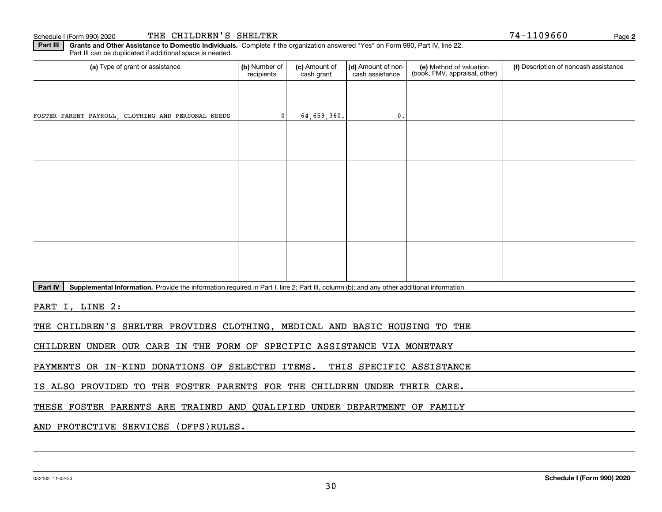**2**74-1109660

**Part III** | Grants and Other Assistance to Domestic Individuals. Complete if the organization answered "Yes" on Form 990, Part IV, line 22. Part III can be duplicated if additional space is needed.

| (a) Type of grant or assistance                                                                                                                      | (b) Number of<br>recipients | (c) Amount of<br>cash grant | (d) Amount of non-<br>cash assistance | (e) Method of valuation<br>(book, FMV, appraisal, other) | (f) Description of noncash assistance |
|------------------------------------------------------------------------------------------------------------------------------------------------------|-----------------------------|-----------------------------|---------------------------------------|----------------------------------------------------------|---------------------------------------|
|                                                                                                                                                      |                             |                             |                                       |                                                          |                                       |
| FOSTER PARENT PAYROLL, CLOTHING AND PERSONAL NEEDS                                                                                                   | 0                           | 64,659,360.                 | $\mathbf 0$ .                         |                                                          |                                       |
|                                                                                                                                                      |                             |                             |                                       |                                                          |                                       |
|                                                                                                                                                      |                             |                             |                                       |                                                          |                                       |
|                                                                                                                                                      |                             |                             |                                       |                                                          |                                       |
|                                                                                                                                                      |                             |                             |                                       |                                                          |                                       |
|                                                                                                                                                      |                             |                             |                                       |                                                          |                                       |
|                                                                                                                                                      |                             |                             |                                       |                                                          |                                       |
|                                                                                                                                                      |                             |                             |                                       |                                                          |                                       |
|                                                                                                                                                      |                             |                             |                                       |                                                          |                                       |
| Supplemental Information. Provide the information required in Part I, line 2; Part III, column (b); and any other additional information.<br>Part IV |                             |                             |                                       |                                                          |                                       |

PART I, LINE 2:

THE CHILDREN'S SHELTER PROVIDES CLOTHING, MEDICAL AND BASIC HOUSING TO THE

CHILDREN UNDER OUR CARE IN THE FORM OF SPECIFIC ASSISTANCE VIA MONETARY

PAYMENTS OR IN-KIND DONATIONS OF SELECTED ITEMS. THIS SPECIFIC ASSISTANCE

IS ALSO PROVIDED TO THE FOSTER PARENTS FOR THE CHILDREN UNDER THEIR CARE.

THESE FOSTER PARENTS ARE TRAINED AND QUALIFIED UNDER DEPARTMENT OF FAMILY

AND PROTECTIVE SERVICES (DFPS)RULES.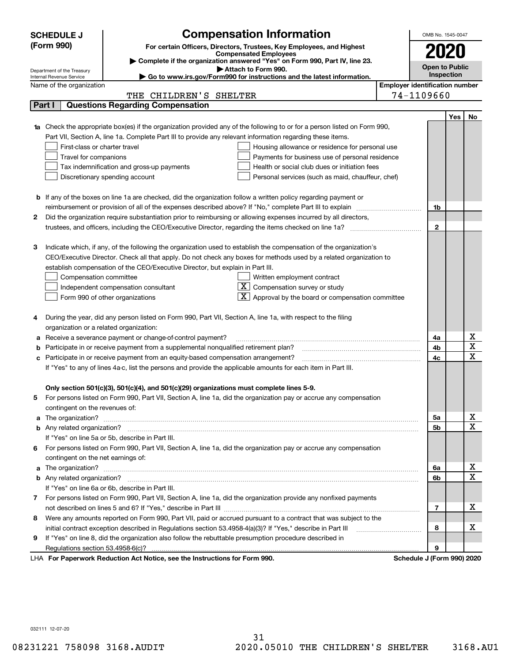|    | <b>SCHEDULE J</b>                                                                   |                                         | <b>Compensation Information</b>                                                                                        | OMB No. 1545-0047                     |     |              |  |  |
|----|-------------------------------------------------------------------------------------|-----------------------------------------|------------------------------------------------------------------------------------------------------------------------|---------------------------------------|-----|--------------|--|--|
|    | (Form 990)                                                                          |                                         | For certain Officers, Directors, Trustees, Key Employees, and Highest                                                  |                                       |     |              |  |  |
|    |                                                                                     |                                         | <b>Compensated Employees</b>                                                                                           | 2020                                  |     |              |  |  |
|    |                                                                                     |                                         | Complete if the organization answered "Yes" on Form 990, Part IV, line 23.<br>Attach to Form 990.                      | <b>Open to Public</b>                 |     |              |  |  |
|    | Department of the Treasury<br>Internal Revenue Service                              |                                         | Go to www.irs.gov/Form990 for instructions and the latest information.                                                 | Inspection                            |     |              |  |  |
|    | Name of the organization                                                            |                                         |                                                                                                                        | <b>Employer identification number</b> |     |              |  |  |
|    |                                                                                     | THE CHILDREN'S SHELTER                  |                                                                                                                        | 74-1109660                            |     |              |  |  |
|    | Part I                                                                              | <b>Questions Regarding Compensation</b> |                                                                                                                        |                                       |     |              |  |  |
|    |                                                                                     |                                         |                                                                                                                        |                                       | Yes | No           |  |  |
|    |                                                                                     |                                         | Check the appropriate box(es) if the organization provided any of the following to or for a person listed on Form 990, |                                       |     |              |  |  |
|    |                                                                                     |                                         | Part VII, Section A, line 1a. Complete Part III to provide any relevant information regarding these items.             |                                       |     |              |  |  |
|    | First-class or charter travel                                                       |                                         | Housing allowance or residence for personal use                                                                        |                                       |     |              |  |  |
|    | Travel for companions                                                               |                                         | Payments for business use of personal residence                                                                        |                                       |     |              |  |  |
|    | Tax indemnification and gross-up payments                                           |                                         | Health or social club dues or initiation fees                                                                          |                                       |     |              |  |  |
|    | Discretionary spending account                                                      |                                         | Personal services (such as maid, chauffeur, chef)                                                                      |                                       |     |              |  |  |
|    |                                                                                     |                                         |                                                                                                                        |                                       |     |              |  |  |
|    |                                                                                     |                                         | <b>b</b> If any of the boxes on line 1a are checked, did the organization follow a written policy regarding payment or |                                       |     |              |  |  |
|    |                                                                                     |                                         | reimbursement or provision of all of the expenses described above? If "No," complete Part III to explain               | 1b                                    |     |              |  |  |
| 2  |                                                                                     |                                         | Did the organization require substantiation prior to reimbursing or allowing expenses incurred by all directors,       |                                       |     |              |  |  |
|    |                                                                                     |                                         |                                                                                                                        | $\mathbf{2}$                          |     |              |  |  |
|    |                                                                                     |                                         |                                                                                                                        |                                       |     |              |  |  |
| з  |                                                                                     |                                         | Indicate which, if any, of the following the organization used to establish the compensation of the organization's     |                                       |     |              |  |  |
|    |                                                                                     |                                         | CEO/Executive Director. Check all that apply. Do not check any boxes for methods used by a related organization to     |                                       |     |              |  |  |
|    | establish compensation of the CEO/Executive Director, but explain in Part III.      |                                         |                                                                                                                        |                                       |     |              |  |  |
|    | Compensation committee                                                              |                                         | Written employment contract                                                                                            |                                       |     |              |  |  |
|    | Independent compensation consultant                                                 |                                         | $\overline{\textbf{X}}$ Compensation survey or study                                                                   |                                       |     |              |  |  |
|    | Form 990 of other organizations                                                     |                                         | $\mathbf{X}$ Approval by the board or compensation committee                                                           |                                       |     |              |  |  |
|    |                                                                                     |                                         |                                                                                                                        |                                       |     |              |  |  |
| 4  |                                                                                     |                                         | During the year, did any person listed on Form 990, Part VII, Section A, line 1a, with respect to the filing           |                                       |     |              |  |  |
|    | organization or a related organization:                                             |                                         |                                                                                                                        |                                       |     |              |  |  |
| а  | Receive a severance payment or change-of-control payment?                           |                                         |                                                                                                                        | 4a                                    |     | х<br>X       |  |  |
| b  | Participate in or receive payment from a supplemental nonqualified retirement plan? |                                         |                                                                                                                        | 4b                                    |     | $\mathbf x$  |  |  |
| c  | Participate in or receive payment from an equity-based compensation arrangement?    |                                         |                                                                                                                        | 4c                                    |     |              |  |  |
|    |                                                                                     |                                         | If "Yes" to any of lines 4a-c, list the persons and provide the applicable amounts for each item in Part III.          |                                       |     |              |  |  |
|    |                                                                                     |                                         | Only section 501(c)(3), 501(c)(4), and 501(c)(29) organizations must complete lines 5-9.                               |                                       |     |              |  |  |
|    |                                                                                     |                                         | For persons listed on Form 990, Part VII, Section A, line 1a, did the organization pay or accrue any compensation      |                                       |     |              |  |  |
|    | contingent on the revenues of:                                                      |                                         |                                                                                                                        |                                       |     |              |  |  |
| a  |                                                                                     |                                         |                                                                                                                        | 5а                                    |     | x            |  |  |
|    |                                                                                     |                                         |                                                                                                                        | <b>5b</b>                             |     | X            |  |  |
|    | If "Yes" on line 5a or 5b, describe in Part III.                                    |                                         |                                                                                                                        |                                       |     |              |  |  |
| 6. |                                                                                     |                                         | For persons listed on Form 990, Part VII, Section A, line 1a, did the organization pay or accrue any compensation      |                                       |     |              |  |  |
|    | contingent on the net earnings of:                                                  |                                         |                                                                                                                        |                                       |     |              |  |  |
| a  |                                                                                     |                                         |                                                                                                                        | 6a                                    |     | х            |  |  |
|    |                                                                                     |                                         |                                                                                                                        | 6b                                    |     | $\mathbf{x}$ |  |  |
|    | If "Yes" on line 6a or 6b, describe in Part III.                                    |                                         |                                                                                                                        |                                       |     |              |  |  |
|    |                                                                                     |                                         | 7 For persons listed on Form 990, Part VII, Section A, line 1a, did the organization provide any nonfixed payments     |                                       |     |              |  |  |
|    |                                                                                     |                                         |                                                                                                                        | 7                                     |     | x            |  |  |
| 8  |                                                                                     |                                         | Were any amounts reported on Form 990, Part VII, paid or accrued pursuant to a contract that was subject to the        |                                       |     |              |  |  |
|    |                                                                                     |                                         | initial contract exception described in Regulations section 53.4958-4(a)(3)? If "Yes," describe in Part III            | 8                                     |     | х            |  |  |
| 9  |                                                                                     |                                         | If "Yes" on line 8, did the organization also follow the rebuttable presumption procedure described in                 |                                       |     |              |  |  |
|    | Regulations section 53.4958-6(c)?                                                   |                                         |                                                                                                                        | 9                                     |     |              |  |  |
|    | LHA For Paperwork Reduction Act Notice, see the Instructions for Form 990.          |                                         |                                                                                                                        | Schedule J (Form 990) 2020            |     |              |  |  |

032111 12-07-20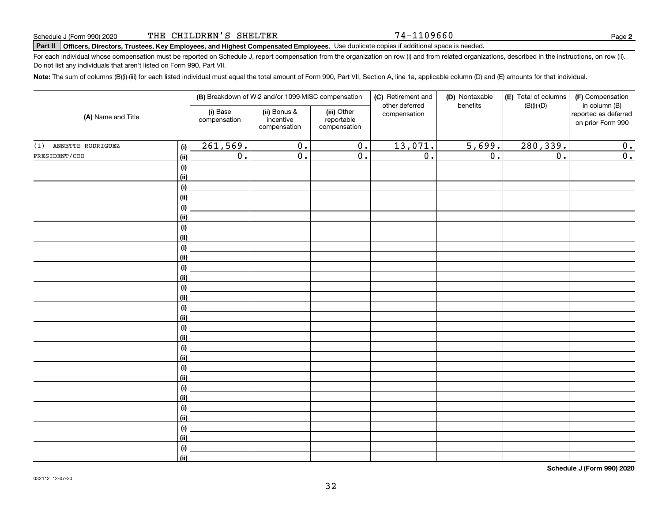#### 74-1109660

**2**

# **Part II Officers, Directors, Trustees, Key Employees, and Highest Compensated Employees.**  Schedule J (Form 990) 2020 Page Use duplicate copies if additional space is needed.

For each individual whose compensation must be reported on Schedule J, report compensation from the organization on row (i) and from related organizations, described in the instructions, on row (ii). Do not list any individuals that aren't listed on Form 990, Part VII.

**Note:**  The sum of columns (B)(i)-(iii) for each listed individual must equal the total amount of Form 990, Part VII, Section A, line 1a, applicable column (D) and (E) amounts for that individual.

| (A) Name and Title    |                           |                          | (B) Breakdown of W-2 and/or 1099-MISC compensation |                                           | (C) Retirement and<br>other deferred | (D) Nontaxable<br>benefits | (E) Total of columns | (F) Compensation<br>in column (B)         |
|-----------------------|---------------------------|--------------------------|----------------------------------------------------|-------------------------------------------|--------------------------------------|----------------------------|----------------------|-------------------------------------------|
|                       |                           | (i) Base<br>compensation | (ii) Bonus &<br>incentive<br>compensation          | (iii) Other<br>reportable<br>compensation | compensation                         |                            | $(B)(i)-(D)$         | reported as deferred<br>on prior Form 990 |
| (1) ANNETTE RODRIGUEZ | (i)                       | 261,569.                 | $\overline{0}$ .                                   | $\overline{0}$ .                          | 13,071.                              | 5,699.                     | 280,339.             | 0.                                        |
| PRESIDENT/CEO         | <u>(ii)</u>               | $\overline{0}$ .         | $\overline{0}$ .                                   | $\overline{0}$ .                          | $\overline{0}$ .                     | $\overline{0}$ .           | $\overline{0}$ .     | $\overline{0}$ .                          |
|                       | (i)                       |                          |                                                    |                                           |                                      |                            |                      |                                           |
|                       | <u>(ii)</u>               |                          |                                                    |                                           |                                      |                            |                      |                                           |
|                       | (i)                       |                          |                                                    |                                           |                                      |                            |                      |                                           |
|                       | <u>(ii)</u>               |                          |                                                    |                                           |                                      |                            |                      |                                           |
|                       | (i)                       |                          |                                                    |                                           |                                      |                            |                      |                                           |
|                       | (ii)                      |                          |                                                    |                                           |                                      |                            |                      |                                           |
|                       | $(\sf{i})$                |                          |                                                    |                                           |                                      |                            |                      |                                           |
|                       | (ii)                      |                          |                                                    |                                           |                                      |                            |                      |                                           |
|                       | $(\sf{i})$                |                          |                                                    |                                           |                                      |                            |                      |                                           |
|                       | (ii)                      |                          |                                                    |                                           |                                      |                            |                      |                                           |
|                       | $(\sf{i})$<br><u>(ii)</u> |                          |                                                    |                                           |                                      |                            |                      |                                           |
|                       | $(\sf{i})$                |                          |                                                    |                                           |                                      |                            |                      |                                           |
|                       | <u>(ii)</u>               |                          |                                                    |                                           |                                      |                            |                      |                                           |
|                       | $(\sf{i})$                |                          |                                                    |                                           |                                      |                            |                      |                                           |
|                       | <u>(ii)</u>               |                          |                                                    |                                           |                                      |                            |                      |                                           |
|                       | (i)                       |                          |                                                    |                                           |                                      |                            |                      |                                           |
|                       | (ii)                      |                          |                                                    |                                           |                                      |                            |                      |                                           |
|                       | (i)                       |                          |                                                    |                                           |                                      |                            |                      |                                           |
|                       | (ii)                      |                          |                                                    |                                           |                                      |                            |                      |                                           |
|                       | (i)                       |                          |                                                    |                                           |                                      |                            |                      |                                           |
|                       | (ii)                      |                          |                                                    |                                           |                                      |                            |                      |                                           |
|                       | (i)                       |                          |                                                    |                                           |                                      |                            |                      |                                           |
|                       | (ii)                      |                          |                                                    |                                           |                                      |                            |                      |                                           |
|                       | (i)                       |                          |                                                    |                                           |                                      |                            |                      |                                           |
|                       | (ii)                      |                          |                                                    |                                           |                                      |                            |                      |                                           |
|                       | (i)                       |                          |                                                    |                                           |                                      |                            |                      |                                           |
|                       | <u>(ii)</u>               |                          |                                                    |                                           |                                      |                            |                      |                                           |
|                       | (i)                       |                          |                                                    |                                           |                                      |                            |                      |                                           |
|                       | $\overline{}}$            |                          |                                                    |                                           |                                      |                            |                      |                                           |

**Schedule J (Form 990) 2020**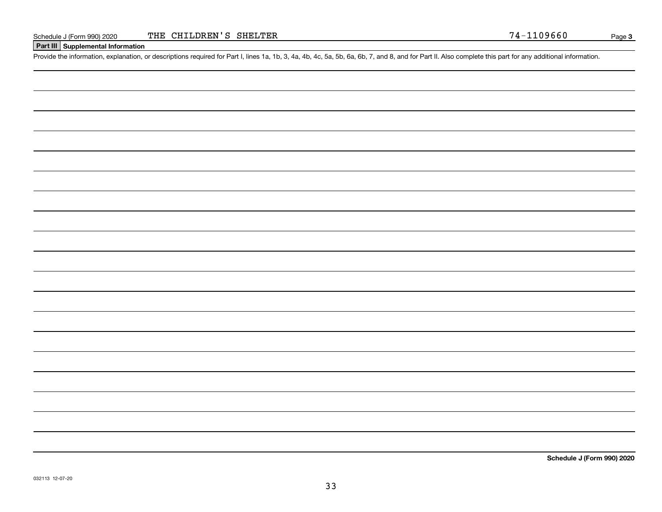#### **Part III Supplemental Information**

Schedule J (Form 990) 2020 THE CHILDREN'S SHELTER<br>
Part III Supplemental Information<br>
Provide the information, explanation, or descriptions required for Part I, lines 1a, 1b, 3, 4a, 4b, 4c, 5a, 5b, 6a, 6b, 7, and 8, and fo

**Schedule J (Form 990) 2020**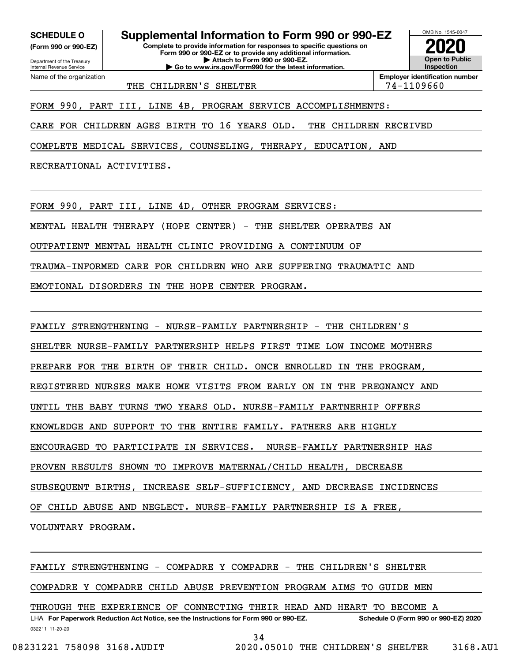**(Form 990 or 990-EZ)**

Department of the Treasury Internal Revenue Service Name of the organization

**Complete to provide information for responses to specific questions on Form 990 or 990-EZ or to provide any additional information. SCHEDULE O Supplemental Information to Form 990 or 990-EZ**

**| Attach to Form 990 or 990-EZ. | Go to www.irs.gov/Form990 for the latest information.**



THE CHILDREN'S SHELTER THE 74-1109660

FORM 990, PART III, LINE 4B, PROGRAM SERVICE ACCOMPLISHMENTS:

CARE FOR CHILDREN AGES BIRTH TO 16 YEARS OLD. THE CHILDREN RECEIVED

COMPLETE MEDICAL SERVICES, COUNSELING, THERAPY, EDUCATION, AND

RECREATIONAL ACTIVITIES.

FORM 990, PART III, LINE 4D, OTHER PROGRAM SERVICES:

MENTAL HEALTH THERAPY (HOPE CENTER) - THE SHELTER OPERATES AN

OUTPATIENT MENTAL HEALTH CLINIC PROVIDING A CONTINUUM OF

TRAUMA-INFORMED CARE FOR CHILDREN WHO ARE SUFFERING TRAUMATIC AND

EMOTIONAL DISORDERS IN THE HOPE CENTER PROGRAM.

FAMILY STRENGTHENING - NURSE-FAMILY PARTNERSHIP - THE CHILDREN'S

SHELTER NURSE-FAMILY PARTNERSHIP HELPS FIRST TIME LOW INCOME MOTHERS

PREPARE FOR THE BIRTH OF THEIR CHILD. ONCE ENROLLED IN THE PROGRAM,

REGISTERED NURSES MAKE HOME VISITS FROM EARLY ON IN THE PREGNANCY AND

UNTIL THE BABY TURNS TWO YEARS OLD. NURSE-FAMILY PARTNERHIP OFFERS

KNOWLEDGE AND SUPPORT TO THE ENTIRE FAMILY. FATHERS ARE HIGHLY

ENCOURAGED TO PARTICIPATE IN SERVICES. NURSE-FAMILY PARTNERSHIP HAS

PROVEN RESULTS SHOWN TO IMPROVE MATERNAL/CHILD HEALTH, DECREASE

SUBSEQUENT BIRTHS, INCREASE SELF-SUFFICIENCY, AND DECREASE INCIDENCES

OF CHILD ABUSE AND NEGLECT. NURSE-FAMILY PARTNERSHIP IS A FREE,

VOLUNTARY PROGRAM.

FAMILY STRENGTHENING - COMPADRE Y COMPADRE - THE CHILDREN'S SHELTER

COMPADRE Y COMPADRE CHILD ABUSE PREVENTION PROGRAM AIMS TO GUIDE MEN

THROUGH THE EXPERIENCE OF CONNECTING THEIR HEAD AND HEART TO BECOME A

032211 11-20-20 LHA For Paperwork Reduction Act Notice, see the Instructions for Form 990 or 990-EZ. Schedule O (Form 990 or 990-EZ) 2020

34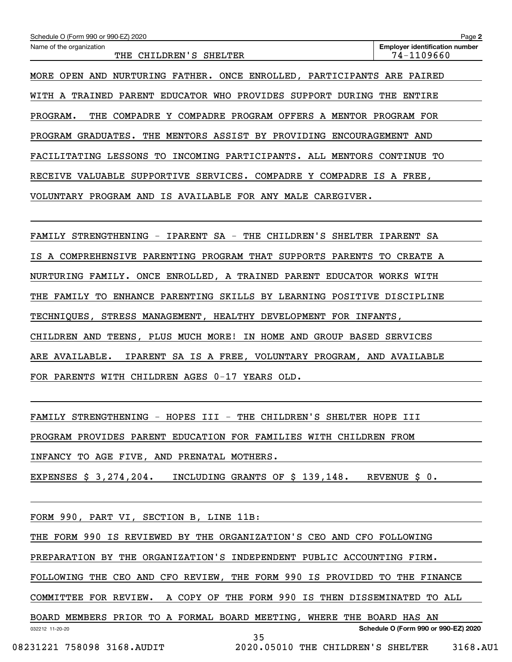| Schedule O (Form 990 or 990-EZ) 2020                                                          | Page 2                                              |
|-----------------------------------------------------------------------------------------------|-----------------------------------------------------|
| Name of the organization<br>CHILDREN'S SHELTER<br>THE                                         | <b>Employer identification number</b><br>74-1109660 |
| <b>OPEN</b><br>$\tt{FATHER}$ .<br>ONCE ENROLLED, PARTICIPANTS<br>MORE<br>AND<br>NURTURING     | ARE PAIRED                                          |
| <b>EDUCATOR</b><br>WHO<br>PROVIDES<br><b>SUPPORT</b><br>WITH A<br>TRAINED<br>PARENT<br>DURING | THE<br>ENTIRE                                       |
| PROGRAM.<br>COMPADRE<br>COMPADRE<br>PROGRAM OFFERS<br>A MENTOR<br>THE<br>Y                    | PROGRAM<br>FOR                                      |
| PROGRAM GRADUATES.<br>THE<br>MENTORS ASSIST BY PROVIDING                                      | ENCOURAGEMENT AND                                   |
| LESSONS<br>PARTICIPANTS.<br>FACILITATING<br>TО<br>INCOMING<br>ALL<br>MENTORS                  | <b>CONTINUE</b><br>TО                               |
| VALUABLE<br>SUPPORTIVE<br>SERVICES.<br>COMPADRE<br>Y COMPADRE<br>RECEIVE                      | IS<br>A FREE,                                       |
| FOR ANY<br>VOLUNTARY<br>PROGRAM AND<br>ΙS<br>AVAILABLE<br>MALE<br>CAREGIVER.                  |                                                     |
|                                                                                               |                                                     |
| CHILDREN'S<br>IPARENT<br>$SA -$<br>THE<br><b>SHELTER</b><br>STRENGTHENING<br>FAMILY<br>$-$    | IPARENT<br>SA                                       |
|                                                                                               |                                                     |

IS A COMPREHENSIVE PARENTING PROGRAM THAT SUPPORTS PARENTS TO CREATE A NURTURING FAMILY. ONCE ENROLLED, A TRAINED PARENT EDUCATOR WORKS WITH THE FAMILY TO ENHANCE PARENTING SKILLS BY LEARNING POSITIVE DISCIPLINE TECHNIQUES, STRESS MANAGEMENT, HEALTHY DEVELOPMENT FOR INFANTS, CHILDREN AND TEENS, PLUS MUCH MORE! IN HOME AND GROUP BASED SERVICES ARE AVAILABLE. IPARENT SA IS A FREE, VOLUNTARY PROGRAM, AND AVAILABLE

FOR PARENTS WITH CHILDREN AGES 0-17 YEARS OLD.

FAMILY STRENGTHENING - HOPES III - THE CHILDREN'S SHELTER HOPE III

PROGRAM PROVIDES PARENT EDUCATION FOR FAMILIES WITH CHILDREN FROM

INFANCY TO AGE FIVE, AND PRENATAL MOTHERS.

EXPENSES \$ 3,274,204. INCLUDING GRANTS OF \$ 139,148. REVENUE \$ 0.

FORM 990, PART VI, SECTION B, LINE 11B:

THE FORM 990 IS REVIEWED BY THE ORGANIZATION'S CEO AND CFO FOLLOWING

PREPARATION BY THE ORGANIZATION'S INDEPENDENT PUBLIC ACCOUNTING FIRM.

FOLLOWING THE CEO AND CFO REVIEW, THE FORM 990 IS PROVIDED TO THE FINANCE

COMMITTEE FOR REVIEW. A COPY OF THE FORM 990 IS THEN DISSEMINATED TO ALL

032212 11-20-20 **Schedule O (Form 990 or 990-EZ) 2020** BOARD MEMBERS PRIOR TO A FORMAL BOARD MEETING, WHERE THE BOARD HAS AN 35

08231221 758098 3168.AUDIT 2020.05010 THE CHILDREN'S SHELTER 3168.AU1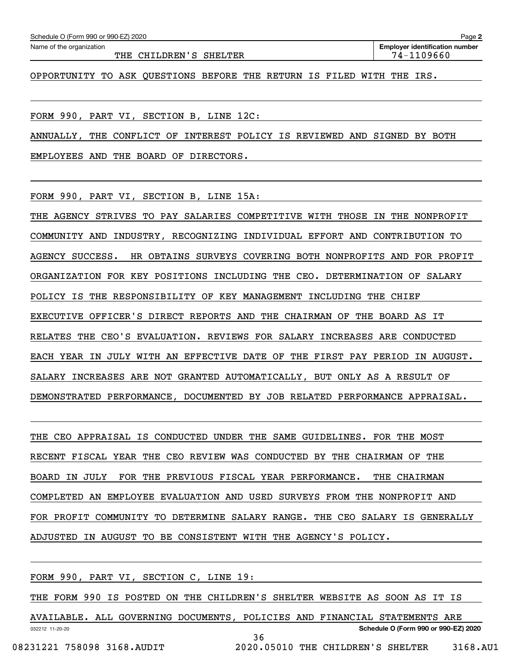THE CHILDREN'S SHELTER THE 74-1109660

OPPORTUNITY TO ASK QUESTIONS BEFORE THE RETURN IS FILED WITH THE IRS.

FORM 990, PART VI, SECTION B, LINE 12C:

ANNUALLY, THE CONFLICT OF INTEREST POLICY IS REVIEWED AND SIGNED BY BOTH

EMPLOYEES AND THE BOARD OF DIRECTORS.

FORM 990, PART VI, SECTION B, LINE 15A:

THE AGENCY STRIVES TO PAY SALARIES COMPETITIVE WITH THOSE IN THE NONPROFIT COMMUNITY AND INDUSTRY, RECOGNIZING INDIVIDUAL EFFORT AND CONTRIBUTION TO AGENCY SUCCESS. HR OBTAINS SURVEYS COVERING BOTH NONPROFITS AND FOR PROFIT ORGANIZATION FOR KEY POSITIONS INCLUDING THE CEO. DETERMINATION OF SALARY POLICY IS THE RESPONSIBILITY OF KEY MANAGEMENT INCLUDING THE CHIEF EXECUTIVE OFFICER'S DIRECT REPORTS AND THE CHAIRMAN OF THE BOARD AS IT RELATES THE CEO'S EVALUATION. REVIEWS FOR SALARY INCREASES ARE CONDUCTED EACH YEAR IN JULY WITH AN EFFECTIVE DATE OF THE FIRST PAY PERIOD IN AUGUST. SALARY INCREASES ARE NOT GRANTED AUTOMATICALLY, BUT ONLY AS A RESULT OF DEMONSTRATED PERFORMANCE, DOCUMENTED BY JOB RELATED PERFORMANCE APPRAISAL.

THE CEO APPRAISAL IS CONDUCTED UNDER THE SAME GUIDELINES. FOR THE MOST RECENT FISCAL YEAR THE CEO REVIEW WAS CONDUCTED BY THE CHAIRMAN OF THE BOARD IN JULY FOR THE PREVIOUS FISCAL YEAR PERFORMANCE. THE CHAIRMAN COMPLETED AN EMPLOYEE EVALUATION AND USED SURVEYS FROM THE NONPROFIT AND FOR PROFIT COMMUNITY TO DETERMINE SALARY RANGE. THE CEO SALARY IS GENERALLY ADJUSTED IN AUGUST TO BE CONSISTENT WITH THE AGENCY'S POLICY.

FORM 990, PART VI, SECTION C, LINE 19:

THE FORM 990 IS POSTED ON THE CHILDREN'S SHELTER WEBSITE AS SOON AS IT IS

032212 11-20-20 **Schedule O (Form 990 or 990-EZ) 2020** AVAILABLE. ALL GOVERNING DOCUMENTS, POLICIES AND FINANCIAL STATEMENTS ARE 36

08231221 758098 3168.AUDIT 2020.05010 THE CHILDREN'S SHELTER 3168.AU1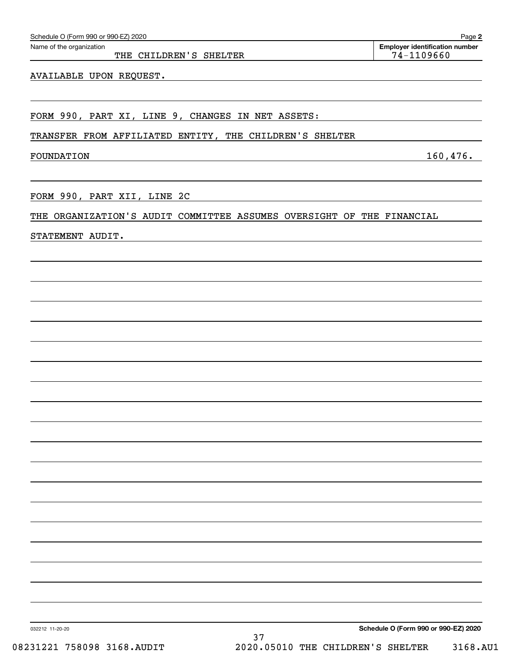032212 11-20-20

AVAILABLE UPON REQUEST.

FORM 990, PART XI, LINE 9, CHANGES IN NET ASSETS:

TRANSFER FROM AFFILIATED ENTITY, THE CHILDREN'S SHELTER

FOUNDATION 160,476.

FORM 990, PART XII, LINE 2C

### THE ORGANIZATION'S AUDIT COMMITTEE ASSUMES OVERSIGHT OF THE FINANCIAL

STATEMENT AUDIT.

Echedule O (Form 990 or 990-EZ) 2020<br>Name of the organization **number** Name of the organization **number** THE CHILDREN'S SHELTER 74-1109660

**2**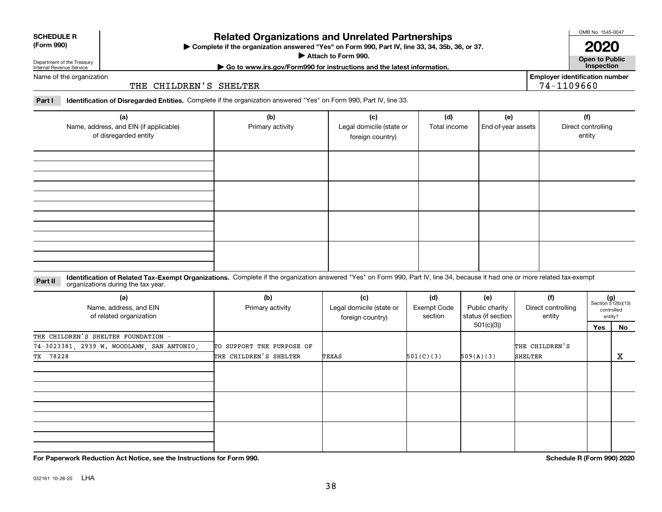032161 10-28-20 LHA

## **Related Organizations and Unrelated Partnerships**

**Complete if the organization answered "Yes" on Form 990, Part IV, line 33, 34, 35b, 36, or 37.** |

**Attach to Form 990.**  |

Department of the Treasury Internal Revenue Service Name of the organization

#### THE CHILDREN'S SHELTER

**Part I Identification of Disregarded Entities.**  Complete if the organization answered "Yes" on Form 990, Part IV, line 33.

| (a)<br>Name, address, and EIN (if applicable)<br>of disregarded entity | (b)<br>Primary activity | (c)<br>Legal domicile (state or<br>foreign country) | (d)<br>Total income | (e)<br>End-of-year assets | (f)<br>Direct controlling<br>entity |
|------------------------------------------------------------------------|-------------------------|-----------------------------------------------------|---------------------|---------------------------|-------------------------------------|
|                                                                        |                         |                                                     |                     |                           |                                     |
|                                                                        |                         |                                                     |                     |                           |                                     |
|                                                                        |                         |                                                     |                     |                           |                                     |
|                                                                        |                         |                                                     |                     |                           |                                     |

#### **Identification of Related Tax-Exempt Organizations.** Complete if the organization answered "Yes" on Form 990, Part IV, line 34, because it had one or more related tax-exempt **Part II** organizations during the tax year.

| sigameations adming the tax year.                        |                           |                                                     |                                      |                                             |                                     |     |                                                      |
|----------------------------------------------------------|---------------------------|-----------------------------------------------------|--------------------------------------|---------------------------------------------|-------------------------------------|-----|------------------------------------------------------|
| (a)<br>Name, address, and EIN<br>of related organization | (b)<br>Primary activity   | (c)<br>Legal domicile (state or<br>foreign country) | (d)<br><b>Exempt Code</b><br>section | (e)<br>Public charity<br>status (if section | (f)<br>Direct controlling<br>entity |     | $(g)$<br>Section 512(b)(13)<br>controlled<br>entity? |
|                                                          |                           |                                                     |                                      | 501(c)(3))                                  |                                     | Yes | No                                                   |
| THE CHILDREN'S SHELTER FOUNDATION -                      |                           |                                                     |                                      |                                             |                                     |     |                                                      |
| 74-3023381, 2939 W. WOODLAWN, SAN ANTONIO,               | TO SUPPORT THE PURPOSE OF |                                                     |                                      |                                             | THE CHILDREN'S                      |     |                                                      |
| TX 78228                                                 | THE CHILDREN'S SHELTER    | TEXAS                                               | 501(C)(3)                            | 509(A)(3)                                   | SHELTER                             |     | X                                                    |
|                                                          |                           |                                                     |                                      |                                             |                                     |     |                                                      |
|                                                          |                           |                                                     |                                      |                                             |                                     |     |                                                      |
|                                                          |                           |                                                     |                                      |                                             |                                     |     |                                                      |

**For Paperwork Reduction Act Notice, see the Instructions for Form 990. Schedule R (Form 990) 2020**

**Open to Public | Go to www.irs.gov/Form990 for instructions and the latest information. Inspection**



**Employer identification number**

74-1109660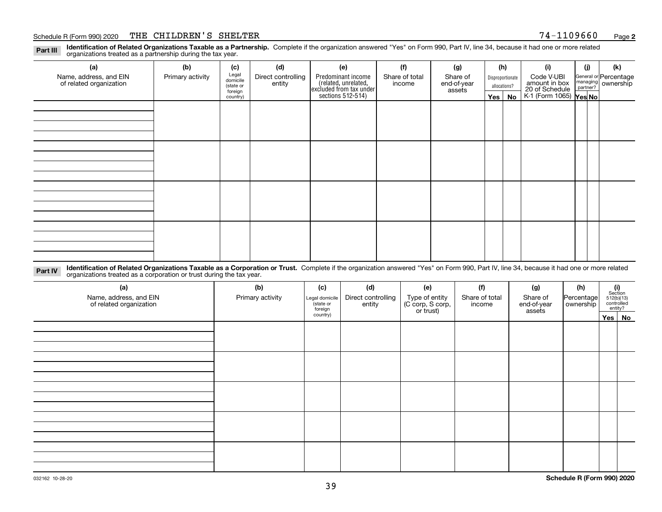#### Schedule R (Form 990) 2020 THE CHILDREN'S SHELTER 7 4-110 9 6 6 0 <sub>Page</sub>

**Identification of Related Organizations Taxable as a Partnership.** Complete if the organization answered "Yes" on Form 990, Part IV, line 34, because it had one or more related **Part III** organizations treated as a partnership during the tax year.

| (a)                                               | (b)              | (c)                                               | (d)                | (e)                                                                  | (f)                     | (g)              |              | (h)        | (i)                                                       | (i)                                                     | (k) |  |  |
|---------------------------------------------------|------------------|---------------------------------------------------|--------------------|----------------------------------------------------------------------|-------------------------|------------------|--------------|------------|-----------------------------------------------------------|---------------------------------------------------------|-----|--|--|
| Name, address, and EIN<br>of related organization | Primary activity | Legal<br>domicile<br>Direct controlling<br>entity | Predominant income | Share of total<br>income                                             | Share of<br>end-of-year | Disproportionate |              | Code V-UBI |                                                           | General or Percentage<br>managing ownership<br>partner? |     |  |  |
|                                                   |                  | (state or<br>foreign                              |                    | (related, unrelated,<br>excluded from tax under<br>sections 512-514) |                         | assets           | allocations? |            |                                                           |                                                         |     |  |  |
|                                                   |                  | country)                                          |                    |                                                                      |                         |                  |              | Yes   No   | amount in box<br>20 of Schedule<br>K-1 (Form 1065) Yes No |                                                         |     |  |  |
|                                                   |                  |                                                   |                    |                                                                      |                         |                  |              |            |                                                           |                                                         |     |  |  |
|                                                   |                  |                                                   |                    |                                                                      |                         |                  |              |            |                                                           |                                                         |     |  |  |
|                                                   |                  |                                                   |                    |                                                                      |                         |                  |              |            |                                                           |                                                         |     |  |  |
|                                                   |                  |                                                   |                    |                                                                      |                         |                  |              |            |                                                           |                                                         |     |  |  |
|                                                   |                  |                                                   |                    |                                                                      |                         |                  |              |            |                                                           |                                                         |     |  |  |
|                                                   |                  |                                                   |                    |                                                                      |                         |                  |              |            |                                                           |                                                         |     |  |  |
|                                                   |                  |                                                   |                    |                                                                      |                         |                  |              |            |                                                           |                                                         |     |  |  |
|                                                   |                  |                                                   |                    |                                                                      |                         |                  |              |            |                                                           |                                                         |     |  |  |
|                                                   |                  |                                                   |                    |                                                                      |                         |                  |              |            |                                                           |                                                         |     |  |  |
|                                                   |                  |                                                   |                    |                                                                      |                         |                  |              |            |                                                           |                                                         |     |  |  |
|                                                   |                  |                                                   |                    |                                                                      |                         |                  |              |            |                                                           |                                                         |     |  |  |
|                                                   |                  |                                                   |                    |                                                                      |                         |                  |              |            |                                                           |                                                         |     |  |  |
|                                                   |                  |                                                   |                    |                                                                      |                         |                  |              |            |                                                           |                                                         |     |  |  |
|                                                   |                  |                                                   |                    |                                                                      |                         |                  |              |            |                                                           |                                                         |     |  |  |
|                                                   |                  |                                                   |                    |                                                                      |                         |                  |              |            |                                                           |                                                         |     |  |  |
|                                                   |                  |                                                   |                    |                                                                      |                         |                  |              |            |                                                           |                                                         |     |  |  |
|                                                   |                  |                                                   |                    |                                                                      |                         |                  |              |            |                                                           |                                                         |     |  |  |

**Identification of Related Organizations Taxable as a Corporation or Trust.** Complete if the organization answered "Yes" on Form 990, Part IV, line 34, because it had one or more related **Part IV** organizations treated as a corporation or trust during the tax year.

| (a)<br>Name, address, and EIN<br>of related organization | (b)<br>Primary activity | (c)<br>Legal domicile<br>(state or<br>foreign | (d)<br>Direct controlling<br>entity | (e)<br>Type of entity<br>(C corp, S corp,<br>or trust) | (f)<br>Share of total<br>income | (g)<br>Share of<br>end-of-year<br>assets | (h)<br>Percentage<br>ownership | $\begin{array}{c} \textbf{(i)}\\ \text{Section}\\ 512 \text{(b)} \text{(13)}\\ \text{controlled} \\ \text{entity?} \end{array}$ |
|----------------------------------------------------------|-------------------------|-----------------------------------------------|-------------------------------------|--------------------------------------------------------|---------------------------------|------------------------------------------|--------------------------------|---------------------------------------------------------------------------------------------------------------------------------|
|                                                          |                         | country)                                      |                                     |                                                        |                                 |                                          |                                | Yes No                                                                                                                          |
|                                                          |                         |                                               |                                     |                                                        |                                 |                                          |                                |                                                                                                                                 |
|                                                          |                         |                                               |                                     |                                                        |                                 |                                          |                                |                                                                                                                                 |
|                                                          |                         |                                               |                                     |                                                        |                                 |                                          |                                |                                                                                                                                 |
|                                                          |                         |                                               |                                     |                                                        |                                 |                                          |                                |                                                                                                                                 |
|                                                          |                         |                                               |                                     |                                                        |                                 |                                          |                                |                                                                                                                                 |
|                                                          |                         |                                               |                                     |                                                        |                                 |                                          |                                |                                                                                                                                 |
|                                                          |                         |                                               |                                     |                                                        |                                 |                                          |                                |                                                                                                                                 |
|                                                          |                         |                                               |                                     |                                                        |                                 |                                          |                                |                                                                                                                                 |
|                                                          |                         |                                               |                                     |                                                        |                                 |                                          |                                |                                                                                                                                 |
|                                                          |                         |                                               |                                     |                                                        |                                 |                                          |                                |                                                                                                                                 |
|                                                          |                         |                                               |                                     |                                                        |                                 |                                          |                                |                                                                                                                                 |
|                                                          |                         |                                               |                                     |                                                        |                                 |                                          |                                |                                                                                                                                 |
|                                                          |                         |                                               |                                     |                                                        |                                 |                                          |                                |                                                                                                                                 |
|                                                          |                         |                                               |                                     |                                                        |                                 |                                          |                                |                                                                                                                                 |
|                                                          |                         |                                               |                                     |                                                        |                                 |                                          |                                |                                                                                                                                 |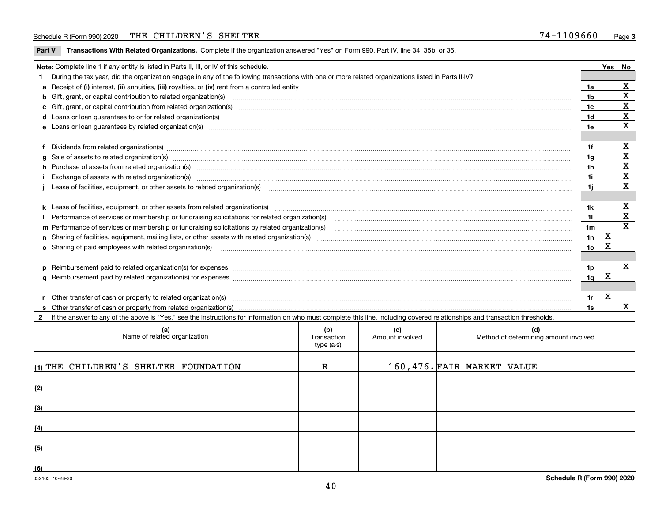#### Schedule R (Form 990) 2020 THE CHILDREN'S SHELTER 7 4-110 9 6 6 0 <sub>Page</sub>

**Part V** T**ransactions With Related Organizations.** Complete if the organization answered "Yes" on Form 990, Part IV, line 34, 35b, or 36.

| Note: Complete line 1 if any entity is listed in Parts II, III, or IV of this schedule. |                                                                                                                                                                                                                                |                 |   |             |  |
|-----------------------------------------------------------------------------------------|--------------------------------------------------------------------------------------------------------------------------------------------------------------------------------------------------------------------------------|-----------------|---|-------------|--|
|                                                                                         | During the tax year, did the organization engage in any of the following transactions with one or more related organizations listed in Parts II-IV?                                                                            |                 |   |             |  |
|                                                                                         |                                                                                                                                                                                                                                | 1a              |   | X           |  |
|                                                                                         | b Gift, grant, or capital contribution to related organization(s) mature and contained and contribution to related organization(s) matures are contained and contribution to related organization(s) matures are contained and | 1b              |   | X           |  |
|                                                                                         |                                                                                                                                                                                                                                | 1c              |   | $\mathbf X$ |  |
|                                                                                         |                                                                                                                                                                                                                                | 1 <sub>d</sub>  |   | X           |  |
|                                                                                         |                                                                                                                                                                                                                                |                 |   |             |  |
|                                                                                         |                                                                                                                                                                                                                                |                 |   |             |  |
|                                                                                         | Dividends from related organization(s) manufactured and contract and contract and contract and contract and contract and contract and contract and contract and contract and contract and contract and contract and contract a | 1f              |   | X           |  |
|                                                                                         |                                                                                                                                                                                                                                | 1g              |   | X           |  |
|                                                                                         | h Purchase of assets from related organization(s) manufactured and content to content the content of assets from related organization(s)                                                                                       | 1h              |   | $\mathbf X$ |  |
|                                                                                         | Exchange of assets with related organization(s) www.assettion.com/www.assettion.com/www.assettion.com/www.assettion.com/www.assettion.com/www.assettion.com/www.assettion.com/www.assettion.com/www.assettion.com/www.assettio | 1i              |   | $\mathbf x$ |  |
|                                                                                         |                                                                                                                                                                                                                                | 1i              |   | X           |  |
|                                                                                         |                                                                                                                                                                                                                                |                 |   |             |  |
|                                                                                         | k Lease of facilities, equipment, or other assets from related organization(s) manufaction content and the manufacture of facilities, equipment, or other assets from related organization(s) manufaction manufacture manufact | 1k              |   | X           |  |
|                                                                                         |                                                                                                                                                                                                                                | 11              |   | х           |  |
|                                                                                         |                                                                                                                                                                                                                                | 1 <sub>m</sub>  |   | X           |  |
|                                                                                         |                                                                                                                                                                                                                                | 1n              | X |             |  |
|                                                                                         | <b>o</b> Sharing of paid employees with related organization(s)                                                                                                                                                                | 10 <sub>o</sub> | x |             |  |
|                                                                                         |                                                                                                                                                                                                                                |                 |   |             |  |
|                                                                                         |                                                                                                                                                                                                                                | 1p              |   | X           |  |
|                                                                                         |                                                                                                                                                                                                                                | 1 <sub>q</sub>  | X |             |  |
|                                                                                         |                                                                                                                                                                                                                                |                 |   |             |  |
|                                                                                         | r Other transfer of cash or property to related organization(s)                                                                                                                                                                | 1r              | Х |             |  |
|                                                                                         |                                                                                                                                                                                                                                | 1s              |   | X           |  |
|                                                                                         | 2 If the answer to any of the above is "Yes," see the instructions for information on who must complete this line, including covered relationships and transaction thresholds.                                                 |                 |   |             |  |

| (a)<br>Name of related organization   | (b)<br>Transaction<br>type (a-s) | (c)<br>Amount involved | (d)<br>Method of determining amount involved |
|---------------------------------------|----------------------------------|------------------------|----------------------------------------------|
| (1) THE CHILDREN'S SHELTER FOUNDATION | $\mathbf R$                      |                        | 160,476.FAIR MARKET VALUE                    |
| (2)                                   |                                  |                        |                                              |
| (3)                                   |                                  |                        |                                              |
| (4)                                   |                                  |                        |                                              |
| (5)                                   |                                  |                        |                                              |
| (6)                                   |                                  |                        |                                              |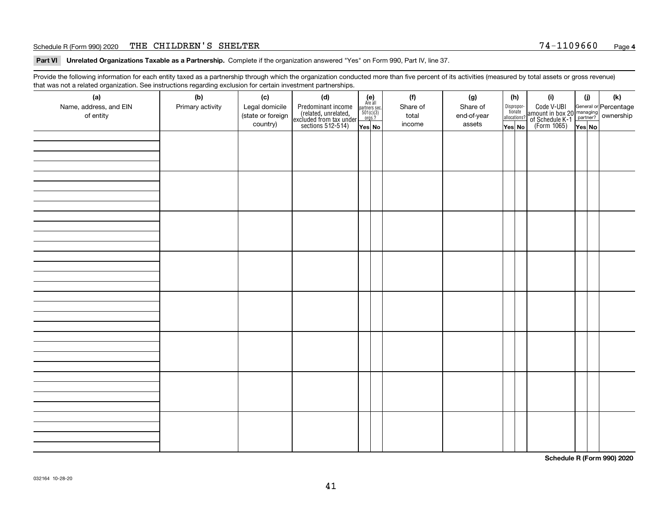#### Schedule R (Form 990) 2020 THE CHILDREN'S SHELTER 7 4-110 9 6 6 0 <sub>Page</sub>

**Part VI Unrelated Organizations Taxable as a Partnership. Complete if the organization answered "Yes" on Form 990, Part IV, line 37.** 

Provide the following information for each entity taxed as a partnership through which the organization conducted more than five percent of its activities (measured by total assets or gross revenue) that was not a related organization. See instructions regarding exclusion for certain investment partnerships.

| ັ                      | ັ<br>ັ           |                   |                                                                                            |                                                                                               |          |             |                                  |                                                                                                  |        |     |
|------------------------|------------------|-------------------|--------------------------------------------------------------------------------------------|-----------------------------------------------------------------------------------------------|----------|-------------|----------------------------------|--------------------------------------------------------------------------------------------------|--------|-----|
| (a)                    | (b)              | (c)               | (d)                                                                                        | $(e)$<br>Are all                                                                              | (f)      | (g)         | (h)                              | (i)                                                                                              | (i)    | (k) |
| Name, address, and EIN | Primary activity | Legal domicile    | Predominant income<br>(related, unrelated,<br>excluded from tax under<br>sections 512-514) |                                                                                               | Share of | Share of    | Disproportionate<br>allocations? | Code V-UBI<br>amount in box 20 managing<br>of Schedule K-1<br>(Form 1065)<br>$\overline{Yes}$ No |        |     |
| of entity              |                  | (state or foreign |                                                                                            | $\begin{array}{c}\n\text{partners} & \text{sec.} \\ 501(c)(3) & \text{orgs.?} \\ \end{array}$ | total    | end-of-year |                                  |                                                                                                  |        |     |
|                        |                  | country)          |                                                                                            |                                                                                               | income   | assets      |                                  |                                                                                                  |        |     |
|                        |                  |                   |                                                                                            | Yes No                                                                                        |          |             | Yes No                           |                                                                                                  | Yes No |     |
|                        |                  |                   |                                                                                            |                                                                                               |          |             |                                  |                                                                                                  |        |     |
|                        |                  |                   |                                                                                            |                                                                                               |          |             |                                  |                                                                                                  |        |     |
|                        |                  |                   |                                                                                            |                                                                                               |          |             |                                  |                                                                                                  |        |     |
|                        |                  |                   |                                                                                            |                                                                                               |          |             |                                  |                                                                                                  |        |     |
|                        |                  |                   |                                                                                            |                                                                                               |          |             |                                  |                                                                                                  |        |     |
|                        |                  |                   |                                                                                            |                                                                                               |          |             |                                  |                                                                                                  |        |     |
|                        |                  |                   |                                                                                            |                                                                                               |          |             |                                  |                                                                                                  |        |     |
|                        |                  |                   |                                                                                            |                                                                                               |          |             |                                  |                                                                                                  |        |     |
|                        |                  |                   |                                                                                            |                                                                                               |          |             |                                  |                                                                                                  |        |     |
|                        |                  |                   |                                                                                            |                                                                                               |          |             |                                  |                                                                                                  |        |     |
|                        |                  |                   |                                                                                            |                                                                                               |          |             |                                  |                                                                                                  |        |     |
|                        |                  |                   |                                                                                            |                                                                                               |          |             |                                  |                                                                                                  |        |     |
|                        |                  |                   |                                                                                            |                                                                                               |          |             |                                  |                                                                                                  |        |     |
|                        |                  |                   |                                                                                            |                                                                                               |          |             |                                  |                                                                                                  |        |     |
|                        |                  |                   |                                                                                            |                                                                                               |          |             |                                  |                                                                                                  |        |     |
|                        |                  |                   |                                                                                            |                                                                                               |          |             |                                  |                                                                                                  |        |     |
|                        |                  |                   |                                                                                            |                                                                                               |          |             |                                  |                                                                                                  |        |     |
|                        |                  |                   |                                                                                            |                                                                                               |          |             |                                  |                                                                                                  |        |     |
|                        |                  |                   |                                                                                            |                                                                                               |          |             |                                  |                                                                                                  |        |     |
|                        |                  |                   |                                                                                            |                                                                                               |          |             |                                  |                                                                                                  |        |     |
|                        |                  |                   |                                                                                            |                                                                                               |          |             |                                  |                                                                                                  |        |     |
|                        |                  |                   |                                                                                            |                                                                                               |          |             |                                  |                                                                                                  |        |     |
|                        |                  |                   |                                                                                            |                                                                                               |          |             |                                  |                                                                                                  |        |     |
|                        |                  |                   |                                                                                            |                                                                                               |          |             |                                  |                                                                                                  |        |     |
|                        |                  |                   |                                                                                            |                                                                                               |          |             |                                  |                                                                                                  |        |     |
|                        |                  |                   |                                                                                            |                                                                                               |          |             |                                  |                                                                                                  |        |     |
|                        |                  |                   |                                                                                            |                                                                                               |          |             |                                  |                                                                                                  |        |     |
|                        |                  |                   |                                                                                            |                                                                                               |          |             |                                  |                                                                                                  |        |     |
|                        |                  |                   |                                                                                            |                                                                                               |          |             |                                  |                                                                                                  |        |     |
|                        |                  |                   |                                                                                            |                                                                                               |          |             |                                  |                                                                                                  |        |     |
|                        |                  |                   |                                                                                            |                                                                                               |          |             |                                  |                                                                                                  |        |     |
|                        |                  |                   |                                                                                            |                                                                                               |          |             |                                  |                                                                                                  |        |     |
|                        |                  |                   |                                                                                            |                                                                                               |          |             |                                  |                                                                                                  |        |     |
|                        |                  |                   |                                                                                            |                                                                                               |          |             |                                  |                                                                                                  |        |     |
|                        |                  |                   |                                                                                            |                                                                                               |          |             |                                  |                                                                                                  |        |     |
|                        |                  |                   |                                                                                            |                                                                                               |          |             |                                  |                                                                                                  |        |     |
|                        |                  |                   |                                                                                            |                                                                                               |          |             |                                  |                                                                                                  |        |     |
|                        |                  |                   |                                                                                            |                                                                                               |          |             |                                  |                                                                                                  |        |     |
|                        |                  |                   |                                                                                            |                                                                                               |          |             |                                  |                                                                                                  |        |     |
|                        |                  |                   |                                                                                            |                                                                                               |          |             |                                  |                                                                                                  |        |     |
|                        |                  |                   |                                                                                            |                                                                                               |          |             |                                  |                                                                                                  |        |     |
|                        |                  |                   |                                                                                            |                                                                                               |          |             |                                  |                                                                                                  |        |     |
|                        |                  |                   |                                                                                            |                                                                                               |          |             |                                  |                                                                                                  |        |     |

**Schedule R (Form 990) 2020**